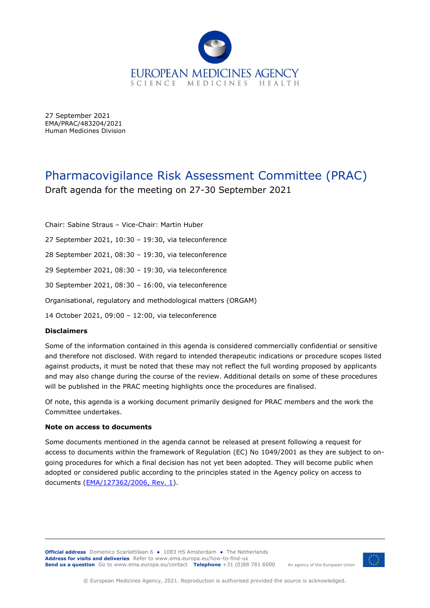

27 September 2021 EMA/PRAC/483204/2021 Human Medicines Division

# Pharmacovigilance Risk Assessment Committee (PRAC) Draft agenda for the meeting on 27-30 September 2021

Chair: Sabine Straus – Vice-Chair: Martin Huber

27 September 2021, 10:30 – 19:30, via teleconference

28 September 2021, 08:30 – 19:30, via teleconference

29 September 2021, 08:30 – 19:30, via teleconference

30 September 2021, 08:30 – 16:00, via teleconference

Organisational, regulatory and methodological matters (ORGAM)

14 October 2021, 09:00 – 12:00, via teleconference

#### **Disclaimers**

Some of the information contained in this agenda is considered commercially confidential or sensitive and therefore not disclosed. With regard to intended therapeutic indications or procedure scopes listed against products, it must be noted that these may not reflect the full wording proposed by applicants and may also change during the course of the review. Additional details on some of these procedures will be published in the [PRAC meeting highlights](http://www.ema.europa.eu/ema/index.jsp?curl=pages/about_us/general/general_content_000508.jsp&mid=WC0b01ac0580028d2a) once the procedures are finalised.

Of note, this agenda is a working document primarily designed for PRAC members and the work the Committee undertakes.

#### **Note on access to documents**

Some documents mentioned in the agenda cannot be released at present following a request for access to documents within the framework of Regulation (EC) No 1049/2001 as they are subject to ongoing procedures for which a final decision has not yet been adopted. They will become public when adopted or considered public according to the principles stated in the Agency policy on access to documents [\(EMA/127362/2006, Rev. 1\)](https://www.ema.europa.eu/en/documents/regulatory-procedural-guideline/output-european-medicines-agency-policy-access-documents-related-medicinal-products-human-veterinary_en.pdf).

**Official address** Domenico Scarlattilaan 6 **●** 1083 HS Amsterdam **●** The Netherlands **Address for visits and deliveries** Refer to [www.ema.europa.eu/how-to-find-us](http://www.ema.europa.eu/how-to-find-us) **Send us a question** Go to [www.ema.europa.eu/contact](http://www.ema.europa.eu/contact) **Telephone** +31 (0)88 781 6000



An agency of the European Union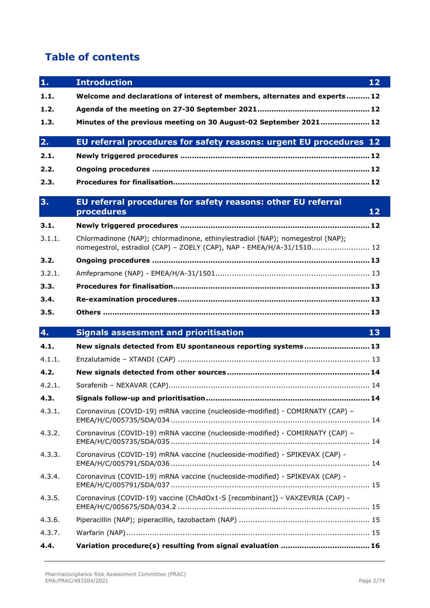# **Table of contents**

 $\overline{\phantom{a}}$ 

| $\mathbf{1}$ . | <b>Introduction</b><br>12                                                                                                                               |
|----------------|---------------------------------------------------------------------------------------------------------------------------------------------------------|
| 1.1.           | Welcome and declarations of interest of members, alternates and experts 12                                                                              |
| 1.2.           |                                                                                                                                                         |
| 1.3.           | Minutes of the previous meeting on 30 August-02 September 2021 12                                                                                       |
| 2.             | EU referral procedures for safety reasons: urgent EU procedures 12                                                                                      |
| 2.1.           |                                                                                                                                                         |
| 2.2.           |                                                                                                                                                         |
| 2.3.           |                                                                                                                                                         |
| 3 <sub>1</sub> | EU referral procedures for safety reasons: other EU referral<br>procedures<br>12                                                                        |
| 3.1.           |                                                                                                                                                         |
| 3.1.1.         | Chlormadinone (NAP); chlormadinone, ethinylestradiol (NAP); nomegestrol (NAP);<br>nomegestrol, estradiol (CAP) - ZOELY (CAP), NAP - EMEA/H/A-31/1510 12 |
| 3.2.           |                                                                                                                                                         |
| 3.2.1.         |                                                                                                                                                         |
| 3.3.           |                                                                                                                                                         |
| 3.4.           |                                                                                                                                                         |
| 3.5.           |                                                                                                                                                         |
| 4.             | <b>Signals assessment and prioritisation</b><br>13                                                                                                      |
| 4.1.           | New signals detected from EU spontaneous reporting systems 13                                                                                           |
| 4.1.1.         |                                                                                                                                                         |
| 4.2.           |                                                                                                                                                         |
| 4.2.1.         |                                                                                                                                                         |
| 4.3.           |                                                                                                                                                         |
| 4.3.1.         | Coronavirus (COVID-19) mRNA vaccine (nucleoside-modified) - COMIRNATY (CAP) -                                                                           |
| 4.3.2.         | Coronavirus (COVID-19) mRNA vaccine (nucleoside-modified) - COMIRNATY (CAP) -                                                                           |
| 4.3.3.         | Coronavirus (COVID-19) mRNA vaccine (nucleoside-modified) - SPIKEVAX (CAP) -                                                                            |
| 4.3.4.         | Coronavirus (COVID-19) mRNA vaccine (nucleoside-modified) - SPIKEVAX (CAP) -                                                                            |
| 4.3.5.         | Coronavirus (COVID-19) vaccine (ChAdOx1-S [recombinant]) - VAXZEVRIA (CAP) -                                                                            |
| 4.3.6.         |                                                                                                                                                         |
|                |                                                                                                                                                         |
| 4.3.7.         |                                                                                                                                                         |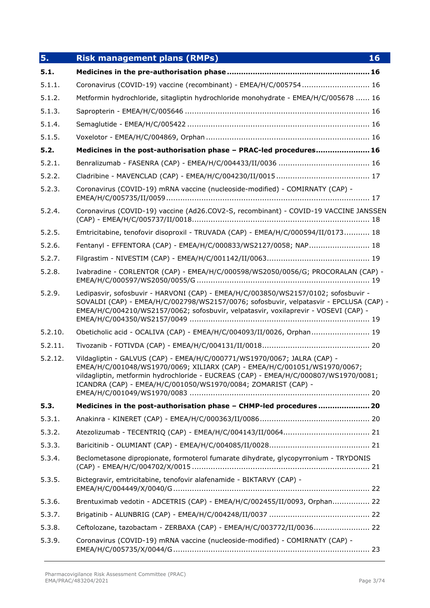| 5.      | <b>Risk management plans (RMPs)</b><br>16                                                                                                                                                                                                                                                                      |
|---------|----------------------------------------------------------------------------------------------------------------------------------------------------------------------------------------------------------------------------------------------------------------------------------------------------------------|
| 5.1.    |                                                                                                                                                                                                                                                                                                                |
| 5.1.1.  | Coronavirus (COVID-19) vaccine (recombinant) - EMEA/H/C/005754 16                                                                                                                                                                                                                                              |
| 5.1.2.  | Metformin hydrochloride, sitagliptin hydrochloride monohydrate - EMEA/H/C/005678  16                                                                                                                                                                                                                           |
| 5.1.3.  |                                                                                                                                                                                                                                                                                                                |
| 5.1.4.  |                                                                                                                                                                                                                                                                                                                |
| 5.1.5.  |                                                                                                                                                                                                                                                                                                                |
| 5.2.    | Medicines in the post-authorisation phase - PRAC-led procedures 16                                                                                                                                                                                                                                             |
| 5.2.1.  |                                                                                                                                                                                                                                                                                                                |
| 5.2.2.  |                                                                                                                                                                                                                                                                                                                |
| 5.2.3.  | Coronavirus (COVID-19) mRNA vaccine (nucleoside-modified) - COMIRNATY (CAP) -                                                                                                                                                                                                                                  |
| 5.2.4.  | Coronavirus (COVID-19) vaccine (Ad26.COV2-S, recombinant) - COVID-19 VACCINE JANSSEN                                                                                                                                                                                                                           |
| 5.2.5.  | Emtricitabine, tenofovir disoproxil - TRUVADA (CAP) - EMEA/H/C/000594/II/0173 18                                                                                                                                                                                                                               |
| 5.2.6.  | Fentanyl - EFFENTORA (CAP) - EMEA/H/C/000833/WS2127/0058; NAP 18                                                                                                                                                                                                                                               |
| 5.2.7.  |                                                                                                                                                                                                                                                                                                                |
| 5.2.8.  | Ivabradine - CORLENTOR (CAP) - EMEA/H/C/000598/WS2050/0056/G; PROCORALAN (CAP) -                                                                                                                                                                                                                               |
| 5.2.9.  | Ledipasvir, sofosbuvir - HARVONI (CAP) - EMEA/H/C/003850/WS2157/0102; sofosbuvir -<br>SOVALDI (CAP) - EMEA/H/C/002798/WS2157/0076; sofosbuvir, velpatasvir - EPCLUSA (CAP) -<br>EMEA/H/C/004210/WS2157/0062; sofosbuvir, velpatasvir, voxilaprevir - VOSEVI (CAP) -                                            |
| 5.2.10. | Obeticholic acid - OCALIVA (CAP) - EMEA/H/C/004093/II/0026, Orphan 19                                                                                                                                                                                                                                          |
| 5.2.11. |                                                                                                                                                                                                                                                                                                                |
| 5.2.12. | Vildagliptin - GALVUS (CAP) - EMEA/H/C/000771/WS1970/0067; JALRA (CAP) -<br>EMEA/H/C/001048/WS1970/0069; XILIARX (CAP) - EMEA/H/C/001051/WS1970/0067;<br>vildagliptin, metformin hydrochloride - EUCREAS (CAP) - EMEA/H/C/000807/WS1970/0081;<br>ICANDRA (CAP) - EMEA/H/C/001050/WS1970/0084; ZOMARIST (CAP) - |
| 5.3.    | Medicines in the post-authorisation phase - CHMP-led procedures  20                                                                                                                                                                                                                                            |
| 5.3.1.  |                                                                                                                                                                                                                                                                                                                |
| 5.3.2.  |                                                                                                                                                                                                                                                                                                                |
| 5.3.3.  |                                                                                                                                                                                                                                                                                                                |
| 5.3.4.  | Beclometasone dipropionate, formoterol fumarate dihydrate, glycopyrronium - TRYDONIS                                                                                                                                                                                                                           |
| 5.3.5.  | Bictegravir, emtricitabine, tenofovir alafenamide - BIKTARVY (CAP) -                                                                                                                                                                                                                                           |
| 5.3.6.  | Brentuximab vedotin - ADCETRIS (CAP) - EMEA/H/C/002455/II/0093, Orphan 22                                                                                                                                                                                                                                      |
| 5.3.7.  |                                                                                                                                                                                                                                                                                                                |
| 5.3.8.  | Ceftolozane, tazobactam - ZERBAXA (CAP) - EMEA/H/C/003772/II/0036 22                                                                                                                                                                                                                                           |
| 5.3.9.  | Coronavirus (COVID-19) mRNA vaccine (nucleoside-modified) - COMIRNATY (CAP) -                                                                                                                                                                                                                                  |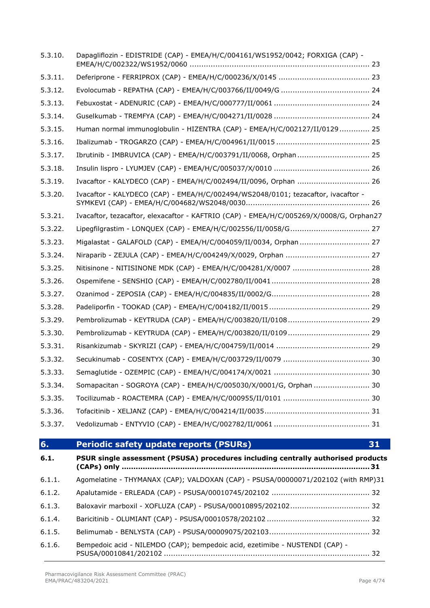| 6.1.6.  | Bempedoic acid - NILEMDO (CAP); bempedoic acid, ezetimibe - NUSTENDI (CAP) -                     |
|---------|--------------------------------------------------------------------------------------------------|
| 6.1.5.  |                                                                                                  |
| 6.1.4.  |                                                                                                  |
| 6.1.3.  |                                                                                                  |
| 6.1.2.  |                                                                                                  |
| 6.1.1.  | Agomelatine - THYMANAX (CAP); VALDOXAN (CAP) - PSUSA/00000071/202102 (with RMP)31                |
| 6.1.    | PSUR single assessment (PSUSA) procedures including centrally authorised products<br>(CAPs) only |
| 6.      | 31<br><b>Periodic safety update reports (PSURs)</b>                                              |
| 5.3.37. |                                                                                                  |
| 5.3.36. |                                                                                                  |
| 5.3.35. |                                                                                                  |
| 5.3.34. | Somapacitan - SOGROYA (CAP) - EMEA/H/C/005030/X/0001/G, Orphan  30                               |
| 5.3.33. |                                                                                                  |
| 5.3.32. |                                                                                                  |
| 5.3.31. |                                                                                                  |
| 5.3.30. |                                                                                                  |
| 5.3.29. |                                                                                                  |
| 5.3.28. |                                                                                                  |
| 5.3.27. |                                                                                                  |
| 5.3.26. |                                                                                                  |
| 5.3.25. | Nitisinone - NITISINONE MDK (CAP) - EMEA/H/C/004281/X/0007  28                                   |
| 5.3.24. |                                                                                                  |
| 5.3.23. | Migalastat - GALAFOLD (CAP) - EMEA/H/C/004059/II/0034, Orphan 27                                 |
| 5.3.22. | Lipegfilgrastim - LONQUEX (CAP) - EMEA/H/C/002556/II/0058/G 27                                   |
| 5.3.21. | Ivacaftor, tezacaftor, elexacaftor - KAFTRIO (CAP) - EMEA/H/C/005269/X/0008/G, Orphan27          |
| 5.3.20. | Ivacaftor - KALYDECO (CAP) - EMEA/H/C/002494/WS2048/0101; tezacaftor, ivacaftor -                |
| 5.3.19. | Ivacaftor - KALYDECO (CAP) - EMEA/H/C/002494/II/0096, Orphan  26                                 |
| 5.3.18. |                                                                                                  |
| 5.3.17. |                                                                                                  |
| 5.3.16. |                                                                                                  |
| 5.3.15. | Human normal immunoglobulin - HIZENTRA (CAP) - EMEA/H/C/002127/II/0129 25                        |
| 5.3.14. |                                                                                                  |
| 5.3.13. |                                                                                                  |
| 5.3.12. |                                                                                                  |

5.3.10. Dapagliflozin - EDISTRIDE (CAP) - [EMEA/H/C/004161/WS1952/0042; FORXIGA \(CAP\) -](#page-22-1)

5.3.11. Deferiprone - FERRIPROX (CAP) - EMEA/H/C/000236/X/0145 [.......................................](#page-22-2) 23

EMEA/H/C/002322/WS1952/0060 [.............................................................................](#page-22-1) 23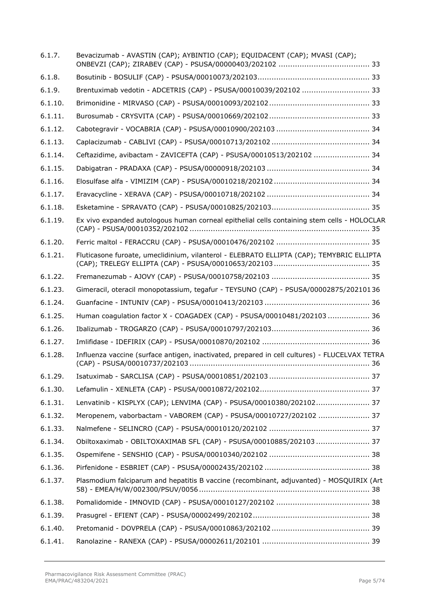| 6.1.7.  | Bevacizumab - AVASTIN (CAP); AYBINTIO (CAP); EQUIDACENT (CAP); MVASI (CAP);                   |
|---------|-----------------------------------------------------------------------------------------------|
| 6.1.8.  |                                                                                               |
| 6.1.9.  | Brentuximab vedotin - ADCETRIS (CAP) - PSUSA/00010039/202102  33                              |
| 6.1.10. |                                                                                               |
| 6.1.11. |                                                                                               |
| 6.1.12. |                                                                                               |
| 6.1.13. |                                                                                               |
| 6.1.14. | Ceftazidime, avibactam - ZAVICEFTA (CAP) - PSUSA/00010513/202102  34                          |
| 6.1.15. |                                                                                               |
| 6.1.16. |                                                                                               |
| 6.1.17. |                                                                                               |
| 6.1.18. |                                                                                               |
| 6.1.19. | Ex vivo expanded autologous human corneal epithelial cells containing stem cells - HOLOCLAR   |
| 6.1.20. |                                                                                               |
| 6.1.21. | Fluticasone furoate, umeclidinium, vilanterol - ELEBRATO ELLIPTA (CAP); TEMYBRIC ELLIPTA      |
| 6.1.22. |                                                                                               |
| 6.1.23. | Gimeracil, oteracil monopotassium, tegafur - TEYSUNO (CAP) - PSUSA/00002875/20210136          |
| 6.1.24. |                                                                                               |
| 6.1.25. | Human coagulation factor X - COAGADEX (CAP) - PSUSA/00010481/202103  36                       |
| 6.1.26. |                                                                                               |
| 6.1.27. |                                                                                               |
| 6.1.28. | Influenza vaccine (surface antigen, inactivated, prepared in cell cultures) - FLUCELVAX TETRA |
| 6.1.29. |                                                                                               |
| 6.1.30. |                                                                                               |
| 6.1.31. | Lenvatinib - KISPLYX (CAP); LENVIMA (CAP) - PSUSA/00010380/202102 37                          |
| 6.1.32. | Meropenem, vaborbactam - VABOREM (CAP) - PSUSA/00010727/202102  37                            |
| 6.1.33. |                                                                                               |
| 6.1.34. | Obiltoxaximab - OBILTOXAXIMAB SFL (CAP) - PSUSA/00010885/202103 37                            |
| 6.1.35. |                                                                                               |
| 6.1.36. |                                                                                               |
| 6.1.37. | Plasmodium falciparum and hepatitis B vaccine (recombinant, adjuvanted) - MOSQUIRIX (Art      |
| 6.1.38. |                                                                                               |
| 6.1.39. |                                                                                               |
| 6.1.40. |                                                                                               |
| 6.1.41. |                                                                                               |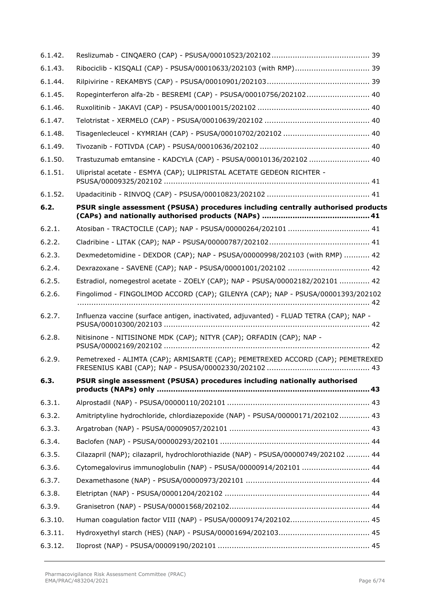| 6.1.42. |                                                                                         |
|---------|-----------------------------------------------------------------------------------------|
| 6.1.43. | Ribociclib - KISQALI (CAP) - PSUSA/00010633/202103 (with RMP) 39                        |
| 6.1.44. |                                                                                         |
| 6.1.45. | Ropeginterferon alfa-2b - BESREMI (CAP) - PSUSA/00010756/202102 40                      |
| 6.1.46. |                                                                                         |
| 6.1.47. |                                                                                         |
| 6.1.48. |                                                                                         |
| 6.1.49. |                                                                                         |
| 6.1.50. | Trastuzumab emtansine - KADCYLA (CAP) - PSUSA/00010136/202102  40                       |
| 6.1.51. | Ulipristal acetate - ESMYA (CAP); ULIPRISTAL ACETATE GEDEON RICHTER -                   |
| 6.1.52. |                                                                                         |
| 6.2.    | PSUR single assessment (PSUSA) procedures including centrally authorised products       |
| 6.2.1.  |                                                                                         |
| 6.2.2.  |                                                                                         |
| 6.2.3.  | Dexmedetomidine - DEXDOR (CAP); NAP - PSUSA/00000998/202103 (with RMP)  42              |
| 6.2.4.  |                                                                                         |
| 6.2.5.  | Estradiol, nomegestrol acetate - ZOELY (CAP); NAP - PSUSA/00002182/202101  42           |
| 6.2.6.  | Fingolimod - FINGOLIMOD ACCORD (CAP); GILENYA (CAP); NAP - PSUSA/00001393/202102        |
| 6.2.7.  | Influenza vaccine (surface antigen, inactivated, adjuvanted) - FLUAD TETRA (CAP); NAP - |
| 6.2.8.  | Nitisinone - NITISINONE MDK (CAP); NITYR (CAP); ORFADIN (CAP); NAP -                    |
| 6.2.9.  | Pemetrexed - ALIMTA (CAP); ARMISARTE (CAP); PEMETREXED ACCORD (CAP); PEMETREXED         |
| 6.3.    | PSUR single assessment (PSUSA) procedures including nationally authorised<br>. 43       |
| 6.3.1.  |                                                                                         |
| 6.3.2.  | Amitriptyline hydrochloride, chlordiazepoxide (NAP) - PSUSA/00000171/202102 43          |
| 6.3.3.  |                                                                                         |
| 6.3.4.  |                                                                                         |
| 6.3.5.  | Cilazapril (NAP); cilazapril, hydrochlorothiazide (NAP) - PSUSA/00000749/202102  44     |
| 6.3.6.  | Cytomegalovirus immunoglobulin (NAP) - PSUSA/00000914/202101  44                        |
| 6.3.7.  |                                                                                         |
| 6.3.8.  |                                                                                         |
| 6.3.9.  |                                                                                         |
| 6.3.10. |                                                                                         |
| 6.3.11. |                                                                                         |
| 6.3.12. |                                                                                         |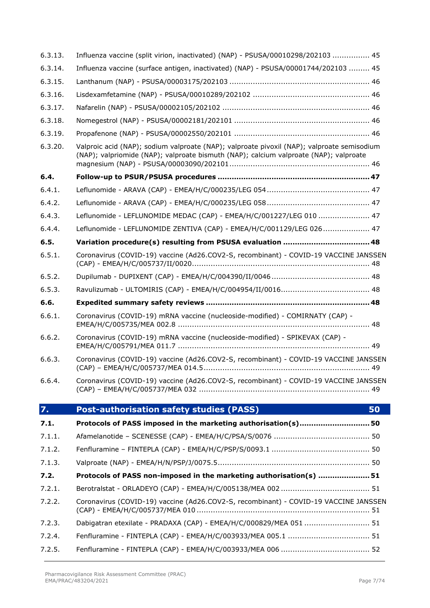| 6.3.15. |                                                                                                                                                                                     |
|---------|-------------------------------------------------------------------------------------------------------------------------------------------------------------------------------------|
| 6.3.16. |                                                                                                                                                                                     |
| 6.3.17. |                                                                                                                                                                                     |
| 6.3.18. |                                                                                                                                                                                     |
| 6.3.19. |                                                                                                                                                                                     |
| 6.3.20. | Valproic acid (NAP); sodium valproate (NAP); valproate pivoxil (NAP); valproate semisodium<br>(NAP); valpriomide (NAP); valproate bismuth (NAP); calcium valproate (NAP); valproate |
| 6.4.    |                                                                                                                                                                                     |
| 6.4.1.  |                                                                                                                                                                                     |
| 6.4.2.  |                                                                                                                                                                                     |
| 6.4.3.  | Leflunomide - LEFLUNOMIDE MEDAC (CAP) - EMEA/H/C/001227/LEG 010  47                                                                                                                 |
| 6.4.4.  | Leflunomide - LEFLUNOMIDE ZENTIVA (CAP) - EMEA/H/C/001129/LEG 026 47                                                                                                                |
| 6.5.    |                                                                                                                                                                                     |
| 6.5.1.  | Coronavirus (COVID-19) vaccine (Ad26.COV2-S, recombinant) - COVID-19 VACCINE JANSSEN                                                                                                |
| 6.5.2.  |                                                                                                                                                                                     |
| 6.5.3.  |                                                                                                                                                                                     |
| 6.6.    |                                                                                                                                                                                     |
| 6.6.1.  | Coronavirus (COVID-19) mRNA vaccine (nucleoside-modified) - COMIRNATY (CAP) -                                                                                                       |
| 6.6.2.  | Coronavirus (COVID-19) mRNA vaccine (nucleoside-modified) - SPIKEVAX (CAP) -                                                                                                        |
| 6.6.3.  | Coronavirus (COVID-19) vaccine (Ad26.COV2-S, recombinant) - COVID-19 VACCINE JANSSEN                                                                                                |
| 6.6.4.  | Coronavirus (COVID-19) vaccine (Ad26.COV2-S, recombinant) - COVID-19 VACCINE JANSSEN                                                                                                |
| 7.      | <b>Post-authorisation safety studies (PASS)</b><br>50                                                                                                                               |
| 7.1.    | Protocols of PASS imposed in the marketing authorisation(s)50                                                                                                                       |
| 7.1.1.  |                                                                                                                                                                                     |
| 7.1.2.  |                                                                                                                                                                                     |
| 7.1.3.  |                                                                                                                                                                                     |
| 7.2.    | Protocols of PASS non-imposed in the marketing authorisation(s) 51                                                                                                                  |
| 7.2.1.  |                                                                                                                                                                                     |
| 7.2.2.  | Coronavirus (COVID-19) vaccine (Ad26.COV2-S, recombinant) - COVID-19 VACCINE JANSSEN                                                                                                |
| 7.2.3.  | Dabigatran etexilate - PRADAXA (CAP) - EMEA/H/C/000829/MEA 051  51                                                                                                                  |
| 7.2.4.  |                                                                                                                                                                                     |
| 7.2.5.  |                                                                                                                                                                                     |
|         |                                                                                                                                                                                     |

6.3.13. [Influenza vaccine \(split virion, inactivated\) \(NAP\) -](#page-44-3) PSUSA/00010298/202103 ................ 45 6.3.14. [Influenza vaccine \(surface antigen, inactivated\) \(NAP\) -](#page-44-4) PSUSA/00001744/202103 ......... 45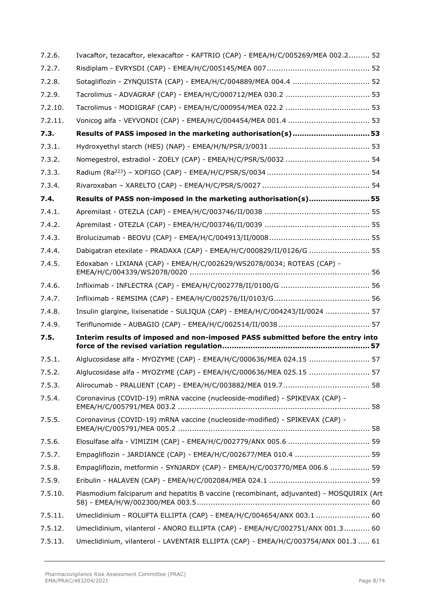| 7.2.6.  | Ivacaftor, tezacaftor, elexacaftor - KAFTRIO (CAP) - EMEA/H/C/005269/MEA 002.2 52        |
|---------|------------------------------------------------------------------------------------------|
| 7.2.7.  |                                                                                          |
| 7.2.8.  |                                                                                          |
| 7.2.9.  |                                                                                          |
| 7.2.10. |                                                                                          |
| 7.2.11. |                                                                                          |
| 7.3.    | Results of PASS imposed in the marketing authorisation(s)53                              |
| 7.3.1.  |                                                                                          |
| 7.3.2.  |                                                                                          |
| 7.3.3.  |                                                                                          |
| 7.3.4.  |                                                                                          |
| 7.4.    | Results of PASS non-imposed in the marketing authorisation(s)55                          |
| 7.4.1.  |                                                                                          |
| 7.4.2.  |                                                                                          |
| 7.4.3.  |                                                                                          |
| 7.4.4.  | Dabigatran etexilate - PRADAXA (CAP) - EMEA/H/C/000829/II/0126/G  55                     |
| 7.4.5.  | Edoxaban - LIXIANA (CAP) - EMEA/H/C/002629/WS2078/0034; ROTEAS (CAP) -                   |
| 7.4.6.  |                                                                                          |
| 7.4.7.  |                                                                                          |
| 7.4.8.  | Insulin glargine, lixisenatide - SULIQUA (CAP) - EMEA/H/C/004243/II/0024  57             |
| 7.4.9.  |                                                                                          |
| 7.5.    | Interim results of imposed and non-imposed PASS submitted before the entry into          |
| 7.5.1.  | Alglucosidase alfa - MYOZYME (CAP) - EMEA/H/C/000636/MEA 024.15  57                      |
| 7.5.2.  | Alglucosidase alfa - MYOZYME (CAP) - EMEA/H/C/000636/MEA 025.15  57                      |
| 7.5.3.  |                                                                                          |
| 7.5.4.  | Coronavirus (COVID-19) mRNA vaccine (nucleoside-modified) - SPIKEVAX (CAP) -             |
| 7.5.5.  | Coronavirus (COVID-19) mRNA vaccine (nucleoside-modified) - SPIKEVAX (CAP) -             |
| 7.5.6.  |                                                                                          |
| 7.5.7.  | Empagliflozin - JARDIANCE (CAP) - EMEA/H/C/002677/MEA 010.4  59                          |
| 7.5.8.  | Empagliflozin, metformin - SYNJARDY (CAP) - EMEA/H/C/003770/MEA 006.6  59                |
| 7.5.9.  |                                                                                          |
| 7.5.10. | Plasmodium falciparum and hepatitis B vaccine (recombinant, adjuvanted) - MOSQUIRIX (Art |
| 7.5.11. | Umeclidinium - ROLUFTA ELLIPTA (CAP) - EMEA/H/C/004654/ANX 003.1  60                     |
| 7.5.12. | Umeclidinium, vilanterol - ANORO ELLIPTA (CAP) - EMEA/H/C/002751/ANX 001.3 60            |
| 7.5.13. | Umeclidinium, vilanterol - LAVENTAIR ELLIPTA (CAP) - EMEA/H/C/003754/ANX 001.3  61       |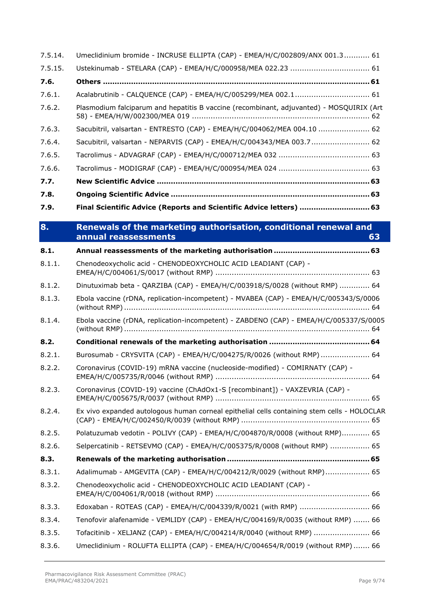| 7.5.15. |                                                                                                |
|---------|------------------------------------------------------------------------------------------------|
| 7.6.    |                                                                                                |
| 7.6.1.  | Acalabrutinib - CALQUENCE (CAP) - EMEA/H/C/005299/MEA 002.1 61                                 |
| 7.6.2.  | Plasmodium falciparum and hepatitis B vaccine (recombinant, adjuvanted) - MOSQUIRIX (Art       |
| 7.6.3.  | Sacubitril, valsartan - ENTRESTO (CAP) - EMEA/H/C/004062/MEA 004.10  62                        |
| 7.6.4.  | Sacubitril, valsartan - NEPARVIS (CAP) - EMEA/H/C/004343/MEA 003.7 62                          |
| 7.6.5.  |                                                                                                |
| 7.6.6.  |                                                                                                |
| 7.7.    |                                                                                                |
| 7.8.    |                                                                                                |
| 7.9.    | Final Scientific Advice (Reports and Scientific Advice letters)  63                            |
| 8.      | Renewals of the marketing authorisation, conditional renewal and<br>annual reassessments<br>63 |
| 8.1.    |                                                                                                |
| 8.1.1.  | Chenodeoxycholic acid - CHENODEOXYCHOLIC ACID LEADIANT (CAP) -                                 |
| 8.1.2.  | Dinutuximab beta - QARZIBA (CAP) - EMEA/H/C/003918/S/0028 (without RMP)  64                    |
| 8.1.3.  | Ebola vaccine (rDNA, replication-incompetent) - MVABEA (CAP) - EMEA/H/C/005343/S/0006          |
| 8.1.4.  | Ebola vaccine (rDNA, replication-incompetent) - ZABDENO (CAP) - EMEA/H/C/005337/S/0005         |
| 8.2.    |                                                                                                |
| 8.2.1.  | Burosumab - CRYSVITA (CAP) - EMEA/H/C/004275/R/0026 (without RMP)  64                          |
| 8.2.2.  | Coronavirus (COVID-19) mRNA vaccine (nucleoside-modified) - COMIRNATY (CAP) -                  |
| 8.2.3.  | Coronavirus (COVID-19) vaccine (ChAdOx1-S [recombinant]) - VAXZEVRIA (CAP) -                   |
| 8.2.4.  | Ex vivo expanded autologous human corneal epithelial cells containing stem cells - HOLOCLAR    |
| 8.2.5.  | Polatuzumab vedotin - POLIVY (CAP) - EMEA/H/C/004870/R/0008 (without RMP) 65                   |
| 8.2.6.  | Selpercatinib - RETSEVMO (CAP) - EMEA/H/C/005375/R/0008 (without RMP)  65                      |
| 8.3.    |                                                                                                |
| 8.3.1.  | Adalimumab - AMGEVITA (CAP) - EMEA/H/C/004212/R/0029 (without RMP) 65                          |
| 8.3.2.  | Chenodeoxycholic acid - CHENODEOXYCHOLIC ACID LEADIANT (CAP) -                                 |
| 8.3.3.  | Edoxaban - ROTEAS (CAP) - EMEA/H/C/004339/R/0021 (with RMP)  66                                |
| 8.3.4.  | Tenofovir alafenamide - VEMLIDY (CAP) - EMEA/H/C/004169/R/0035 (without RMP)  66               |
| 8.3.5.  | Tofacitinib - XELJANZ (CAP) - EMEA/H/C/004214/R/0040 (without RMP)  66                         |
| 8.3.6.  | Umeclidinium - ROLUFTA ELLIPTA (CAP) - EMEA/H/C/004654/R/0019 (without RMP) 66                 |

7.5.14. Umeclidinium bromide - INCRUSE ELLIPTA (CAP) - [EMEA/H/C/002809/ANX 001.3...........](#page-60-1) 61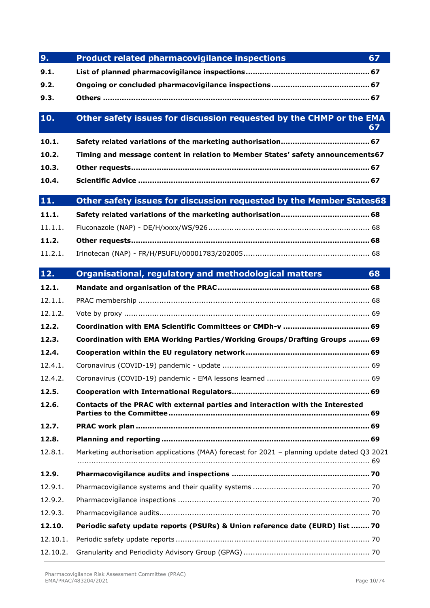| 9.       | 67<br><b>Product related pharmacovigilance inspections</b>                                   |
|----------|----------------------------------------------------------------------------------------------|
| 9.1.     |                                                                                              |
| 9.2.     |                                                                                              |
| 9.3.     |                                                                                              |
| 10.      | Other safety issues for discussion requested by the CHMP or the EMA<br>67                    |
| 10.1.    |                                                                                              |
| 10.2.    | Timing and message content in relation to Member States' safety announcements67              |
| 10.3.    |                                                                                              |
| 10.4.    |                                                                                              |
| 11.      | Other safety issues for discussion requested by the Member States68                          |
| 11.1.    |                                                                                              |
| 11.1.1.  |                                                                                              |
| 11.2.    |                                                                                              |
| 11.2.1.  |                                                                                              |
| 12.      | Organisational, regulatory and methodological matters<br>68                                  |
| 12.1.    |                                                                                              |
| 12.1.1.  |                                                                                              |
| 12.1.2.  |                                                                                              |
| 12.2.    |                                                                                              |
| 12.3.    | Coordination with EMA Working Parties/Working Groups/Drafting Groups  69                     |
| 12.4.    |                                                                                              |
| 12.4.1.  |                                                                                              |
| 12.4.2.  |                                                                                              |
| 12.5.    |                                                                                              |
| 12.6.    | Contacts of the PRAC with external parties and interaction with the Interested               |
| 12.7.    |                                                                                              |
| 12.8.    |                                                                                              |
| 12.8.1.  | Marketing authorisation applications (MAA) forecast for 2021 - planning update dated Q3 2021 |
|          |                                                                                              |
| 12.9.    |                                                                                              |
| 12.9.1.  |                                                                                              |
| 12.9.2.  |                                                                                              |
| 12.9.3.  |                                                                                              |
| 12.10.   | Periodic safety update reports (PSURs) & Union reference date (EURD) list  70                |
| 12.10.1. |                                                                                              |
| 12.10.2. |                                                                                              |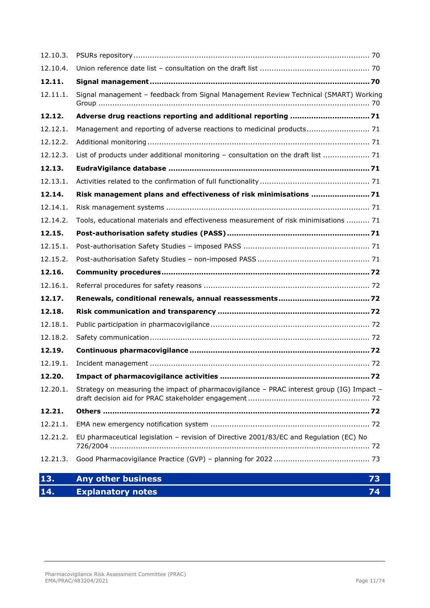| 12.10.3. |                                                                                           |
|----------|-------------------------------------------------------------------------------------------|
| 12.10.4. |                                                                                           |
| 12.11.   |                                                                                           |
| 12.11.1. | Signal management - feedback from Signal Management Review Technical (SMART) Working      |
| 12.12.   | Adverse drug reactions reporting and additional reporting 71                              |
| 12.12.1. | Management and reporting of adverse reactions to medicinal products 71                    |
| 12.12.2. |                                                                                           |
| 12.12.3. | List of products under additional monitoring - consultation on the draft list  71         |
| 12.13.   |                                                                                           |
| 12.13.1. |                                                                                           |
| 12.14.   | Risk management plans and effectiveness of risk minimisations  71                         |
| 12.14.1. |                                                                                           |
| 12.14.2. | Tools, educational materials and effectiveness measurement of risk minimisations  71      |
| 12.15.   |                                                                                           |
| 12.15.1. |                                                                                           |
| 12.15.2. |                                                                                           |
| 12.16.   |                                                                                           |
| 12.16.1. |                                                                                           |
| 12.17.   |                                                                                           |
| 12.18.   |                                                                                           |
| 12.18.1. |                                                                                           |
| 12.18.2. |                                                                                           |
| 12.19.   |                                                                                           |
| 12.19.1. |                                                                                           |
| 12.20.   |                                                                                           |
| 12.20.1. | Strategy on measuring the impact of pharmacovigilance - PRAC interest group (IG) Impact - |
| 12.21.   |                                                                                           |
| 12.21.1. |                                                                                           |
| 12.21.2. | EU pharmaceutical legislation - revision of Directive 2001/83/EC and Regulation (EC) No   |
| 12.21.3. |                                                                                           |
| 13.      | <b>Any other business</b><br>73                                                           |
| 14.      | <b>Explanatory notes</b><br>74                                                            |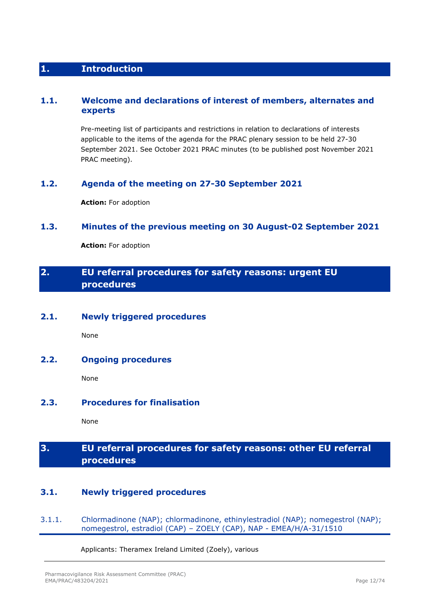## <span id="page-11-0"></span>**1. Introduction**

## <span id="page-11-1"></span>**1.1. Welcome and declarations of interest of members, alternates and experts**

Pre-meeting list of participants and restrictions in relation to declarations of interests applicable to the items of the agenda for the PRAC plenary session to be held 27-30 September 2021. See October 2021 PRAC minutes (to be published post November 2021 PRAC meeting).

## <span id="page-11-2"></span>**1.2. Agenda of the meeting on 27-30 September 2021**

**Action:** For adoption

## <span id="page-11-3"></span>**1.3. Minutes of the previous meeting on 30 August-02 September 2021**

**Action:** For adoption

## <span id="page-11-4"></span>**2. EU referral procedures for safety reasons: urgent EU procedures**

## <span id="page-11-5"></span>**2.1. Newly triggered procedures**

None

## <span id="page-11-6"></span>**2.2. Ongoing procedures**

None

## <span id="page-11-7"></span>**2.3. Procedures for finalisation**

None

## <span id="page-11-8"></span>**3. EU referral procedures for safety reasons: other EU referral procedures**

## <span id="page-11-9"></span>**3.1. Newly triggered procedures**

<span id="page-11-10"></span>3.1.1. Chlormadinone (NAP); chlormadinone, ethinylestradiol (NAP); nomegestrol (NAP); nomegestrol, estradiol (CAP) – ZOELY (CAP), NAP - EMEA/H/A-31/1510

Applicants: Theramex Ireland Limited (Zoely), various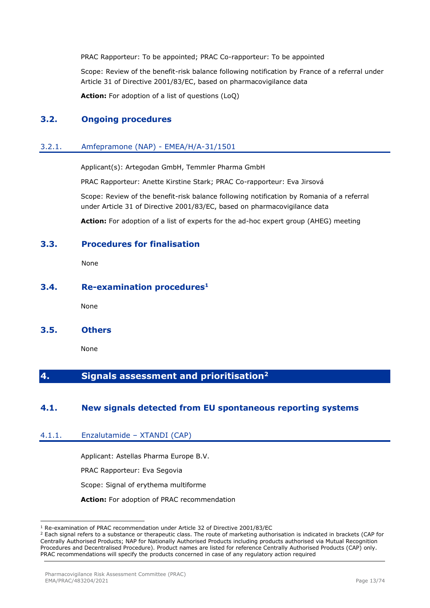PRAC Rapporteur: To be appointed; PRAC Co-rapporteur: To be appointed

Scope: Review of the benefit-risk balance following notification by France of a referral under Article 31 of Directive 2001/83/EC, based on pharmacovigilance data

**Action:** For adoption of a list of questions (LoQ)

## <span id="page-12-0"></span>**3.2. Ongoing procedures**

### <span id="page-12-1"></span>3.2.1. Amfepramone (NAP) - EMEA/H/A-31/1501

Applicant(s): Artegodan GmbH, Temmler Pharma GmbH

PRAC Rapporteur: Anette Kirstine Stark; PRAC Co-rapporteur: Eva Jirsová

Scope: Review of the benefit-risk balance following notification by Romania of a referral under Article 31 of Directive 2001/83/EC, based on pharmacovigilance data

**Action:** For adoption of a list of experts for the ad-hoc expert group (AHEG) meeting

### <span id="page-12-2"></span>**3.3. Procedures for finalisation**

None

## <span id="page-12-3"></span>**3.4. Re-examination procedures<sup>1</sup>**

None

<span id="page-12-4"></span>**3.5. Others**

None

## <span id="page-12-5"></span>**4. Signals assessment and prioritisation<sup>2</sup>**

## <span id="page-12-6"></span>**4.1. New signals detected from EU spontaneous reporting systems**

#### <span id="page-12-7"></span>4.1.1. Enzalutamide – XTANDI (CAP)

Applicant: Astellas Pharma Europe B.V.

PRAC Rapporteur: Eva Segovia

Scope: Signal of erythema multiforme

**Action:** For adoption of PRAC recommendation

<sup>1</sup> Re-examination of PRAC recommendation under Article 32 of Directive 2001/83/EC

<sup>&</sup>lt;sup>2</sup> Each signal refers to a substance or therapeutic class. The route of marketing authorisation is indicated in brackets (CAP for Centrally Authorised Products; NAP for Nationally Authorised Products including products authorised via Mutual Recognition Procedures and Decentralised Procedure). Product names are listed for reference Centrally Authorised Products (CAP) only. PRAC recommendations will specify the products concerned in case of any regulatory action required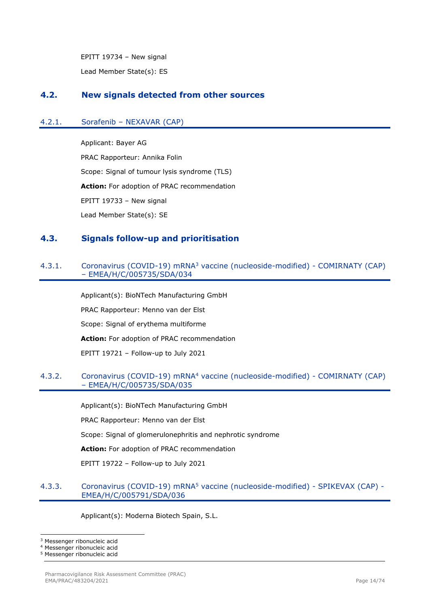EPITT 19734 – New signal

Lead Member State(s): ES

## <span id="page-13-0"></span>**4.2. New signals detected from other sources**

## <span id="page-13-1"></span>4.2.1. Sorafenib – NEXAVAR (CAP)

Applicant: Bayer AG PRAC Rapporteur: Annika Folin Scope: Signal of tumour lysis syndrome (TLS) **Action:** For adoption of PRAC recommendation EPITT 19733 – New signal Lead Member State(s): SE

## <span id="page-13-2"></span>**4.3. Signals follow-up and prioritisation**

## <span id="page-13-3"></span>4.3.1. Coronavirus (COVID-19) mRNA<sup>3</sup> vaccine (nucleoside-modified) - COMIRNATY (CAP) – EMEA/H/C/005735/SDA/034

Applicant(s): BioNTech Manufacturing GmbH PRAC Rapporteur: Menno van der Elst Scope: Signal of erythema multiforme **Action:** For adoption of PRAC recommendation EPITT 19721 – Follow-up to July 2021

### <span id="page-13-4"></span>4.3.2. Coronavirus (COVID-19) mRNA<sup>4</sup> vaccine (nucleoside-modified) - COMIRNATY (CAP) – EMEA/H/C/005735/SDA/035

Applicant(s): BioNTech Manufacturing GmbH

PRAC Rapporteur: Menno van der Elst

Scope: Signal of glomerulonephritis and nephrotic syndrome

**Action:** For adoption of PRAC recommendation

EPITT 19722 – Follow-up to July 2021

### <span id="page-13-5"></span>4.3.3. Coronavirus (COVID-19) mRNA<sup>5</sup> vaccine (nucleoside-modified) - SPIKEVAX (CAP) -EMEA/H/C/005791/SDA/036

Applicant(s): Moderna Biotech Spain, S.L.

<sup>3</sup> Messenger ribonucleic acid

Messenger ribonucleic acid

<sup>5</sup> Messenger ribonucleic acid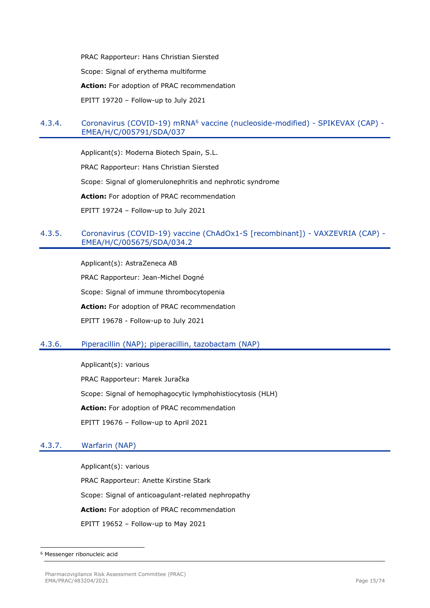PRAC Rapporteur: Hans Christian Siersted Scope: Signal of erythema multiforme **Action:** For adoption of PRAC recommendation EPITT 19720 – Follow-up to July 2021

## <span id="page-14-0"></span>4.3.4. Coronavirus (COVID-19) mRNA<sup>6</sup> vaccine (nucleoside-modified) - SPIKEVAX (CAP) -EMEA/H/C/005791/SDA/037

Applicant(s): Moderna Biotech Spain, S.L. PRAC Rapporteur: Hans Christian Siersted Scope: Signal of glomerulonephritis and nephrotic syndrome **Action:** For adoption of PRAC recommendation EPITT 19724 – Follow-up to July 2021

## <span id="page-14-1"></span>4.3.5. Coronavirus (COVID-19) vaccine (ChAdOx1-S [recombinant]) - VAXZEVRIA (CAP) - EMEA/H/C/005675/SDA/034.2

Applicant(s): AstraZeneca AB PRAC Rapporteur: Jean-Michel Dogné Scope: Signal of immune thrombocytopenia **Action:** For adoption of PRAC recommendation EPITT 19678 - Follow-up to July 2021

## <span id="page-14-2"></span>4.3.6. Piperacillin (NAP); piperacillin, tazobactam (NAP)

Applicant(s): various PRAC Rapporteur: Marek Juračka Scope: Signal of hemophagocytic lymphohistiocytosis (HLH) **Action:** For adoption of PRAC recommendation EPITT 19676 – Follow-up to April 2021

## <span id="page-14-3"></span>4.3.7. Warfarin (NAP)

Applicant(s): various PRAC Rapporteur: Anette Kirstine Stark Scope: Signal of anticoagulant-related nephropathy **Action:** For adoption of PRAC recommendation EPITT 19652 – Follow-up to May 2021

<sup>6</sup> Messenger ribonucleic acid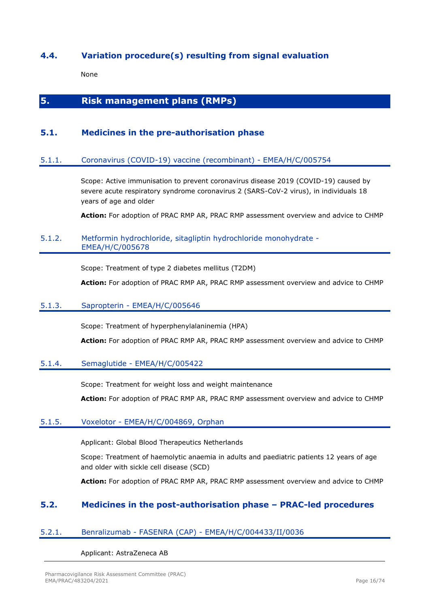## <span id="page-15-0"></span>**4.4. Variation procedure(s) resulting from signal evaluation**

None

## <span id="page-15-1"></span>**5. Risk management plans (RMPs)**

## <span id="page-15-2"></span>**5.1. Medicines in the pre-authorisation phase**

#### <span id="page-15-3"></span>5.1.1. Coronavirus (COVID-19) vaccine (recombinant) - EMEA/H/C/005754

Scope: Active immunisation to prevent coronavirus disease 2019 (COVID-19) caused by severe acute respiratory syndrome coronavirus 2 (SARS-CoV-2 virus), in individuals 18 years of age and older

**Action:** For adoption of PRAC RMP AR, PRAC RMP assessment overview and advice to CHMP

#### <span id="page-15-4"></span>5.1.2. Metformin hydrochloride, sitagliptin hydrochloride monohydrate - EMEA/H/C/005678

Scope: Treatment of type 2 diabetes mellitus (T2DM)

**Action:** For adoption of PRAC RMP AR, PRAC RMP assessment overview and advice to CHMP

#### <span id="page-15-5"></span>5.1.3. Sapropterin - EMEA/H/C/005646

Scope: Treatment of hyperphenylalaninemia (HPA)

**Action:** For adoption of PRAC RMP AR, PRAC RMP assessment overview and advice to CHMP

#### <span id="page-15-6"></span>5.1.4. Semaglutide - EMEA/H/C/005422

Scope: Treatment for weight loss and weight maintenance

**Action:** For adoption of PRAC RMP AR, PRAC RMP assessment overview and advice to CHMP

#### <span id="page-15-7"></span>5.1.5. Voxelotor - EMEA/H/C/004869, Orphan

Applicant: Global Blood Therapeutics Netherlands

Scope: Treatment of haemolytic anaemia in adults and paediatric patients 12 years of age and older with sickle cell disease (SCD)

**Action:** For adoption of PRAC RMP AR, PRAC RMP assessment overview and advice to CHMP

## <span id="page-15-8"></span>**5.2. Medicines in the post-authorisation phase – PRAC-led procedures**

#### <span id="page-15-9"></span>5.2.1. Benralizumab - FASENRA (CAP) - EMEA/H/C/004433/II/0036

#### Applicant: AstraZeneca AB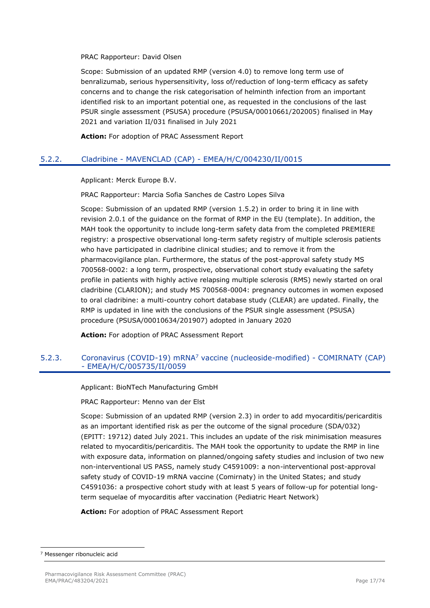#### PRAC Rapporteur: David Olsen

Scope: Submission of an updated RMP (version 4.0) to remove long term use of benralizumab, serious hypersensitivity, loss of/reduction of long-term efficacy as safety concerns and to change the risk categorisation of helminth infection from an important identified risk to an important potential one, as requested in the conclusions of the last PSUR single assessment (PSUSA) procedure (PSUSA/00010661/202005) finalised in May 2021 and variation II/031 finalised in July 2021

**Action:** For adoption of PRAC Assessment Report

## <span id="page-16-0"></span>5.2.2. Cladribine - MAVENCLAD (CAP) - EMEA/H/C/004230/II/0015

Applicant: Merck Europe B.V.

PRAC Rapporteur: Marcia Sofia Sanches de Castro Lopes Silva

Scope: Submission of an updated RMP (version 1.5.2) in order to bring it in line with revision 2.0.1 of the guidance on the format of RMP in the EU (template). In addition, the MAH took the opportunity to include long-term safety data from the completed PREMIERE registry: a prospective observational long-term safety registry of multiple sclerosis patients who have participated in cladribine clinical studies; and to remove it from the pharmacovigilance plan. Furthermore, the status of the post-approval safety study MS 700568-0002: a long term, prospective, observational cohort study evaluating the safety profile in patients with highly active relapsing multiple sclerosis (RMS) newly started on oral cladribine (CLARION); and study MS 700568-0004: pregnancy outcomes in women exposed to oral cladribine: a multi-country cohort database study (CLEAR) are updated. Finally, the RMP is updated in line with the conclusions of the PSUR single assessment (PSUSA) procedure (PSUSA/00010634/201907) adopted in January 2020

**Action:** For adoption of PRAC Assessment Report

## <span id="page-16-1"></span>5.2.3. Coronavirus (COVID-19) mRNA<sup>7</sup> vaccine (nucleoside-modified) - COMIRNATY (CAP) - EMEA/H/C/005735/II/0059

Applicant: BioNTech Manufacturing GmbH

PRAC Rapporteur: Menno van der Elst

Scope: Submission of an updated RMP (version 2.3) in order to add myocarditis/pericarditis as an important identified risk as per the outcome of the signal procedure (SDA/032) (EPITT: 19712) dated July 2021. This includes an update of the risk minimisation measures related to myocarditis/pericarditis. The MAH took the opportunity to update the RMP in line with exposure data, information on planned/ongoing safety studies and inclusion of two new non-interventional US PASS, namely study C4591009: a non-interventional post-approval safety study of COVID-19 mRNA vaccine (Comirnaty) in the United States; and study C4591036: a prospective cohort study with at least 5 years of follow-up for potential longterm sequelae of myocarditis after vaccination (Pediatric Heart Network)

**Action:** For adoption of PRAC Assessment Report

<sup>7</sup> Messenger ribonucleic acid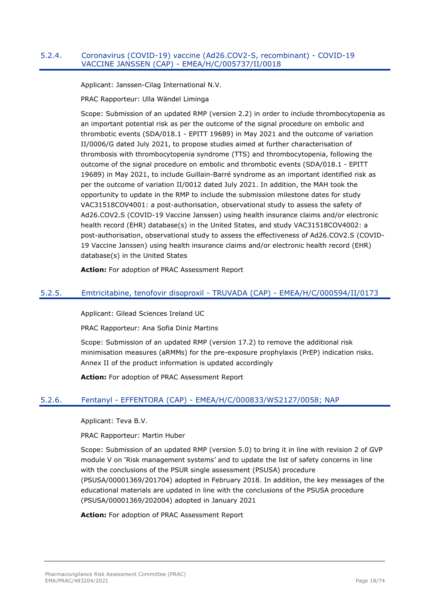#### <span id="page-17-0"></span>5.2.4. Coronavirus (COVID-19) vaccine (Ad26.COV2-S, recombinant) - COVID-19 VACCINE JANSSEN (CAP) - EMEA/H/C/005737/II/0018

Applicant: Janssen-Cilag International N.V.

PRAC Rapporteur: Ulla Wändel Liminga

Scope: Submission of an updated RMP (version 2.2) in order to include thrombocytopenia as an important potential risk as per the outcome of the signal procedure on embolic and thrombotic events (SDA/018.1 - EPITT 19689) in May 2021 and the outcome of variation II/0006/G dated July 2021, to propose studies aimed at further characterisation of thrombosis with thrombocytopenia syndrome (TTS) and thrombocytopenia, following the outcome of the signal procedure on embolic and thrombotic events (SDA/018.1 - EPITT 19689) in May 2021, to include Guillain-Barré syndrome as an important identified risk as per the outcome of variation II/0012 dated July 2021. In addition, the MAH took the opportunity to update in the RMP to include the submission milestone dates for study VAC31518COV4001: a post-authorisation, observational study to assess the safety of Ad26.COV2.S (COVID-19 Vaccine Janssen) using health insurance claims and/or electronic health record (EHR) database(s) in the United States, and study VAC31518COV4002: a post-authorisation, observational study to assess the effectiveness of Ad26.COV2.S (COVID-19 Vaccine Janssen) using health insurance claims and/or electronic health record (EHR) database(s) in the United States

**Action:** For adoption of PRAC Assessment Report

## <span id="page-17-1"></span>5.2.5. Emtricitabine, tenofovir disoproxil - TRUVADA (CAP) - EMEA/H/C/000594/II/0173

Applicant: Gilead Sciences Ireland UC

PRAC Rapporteur: Ana Sofia Diniz Martins

Scope: Submission of an updated RMP (version 17.2) to remove the additional risk minimisation measures (aRMMs) for the pre-exposure prophylaxis (PrEP) indication risks. Annex II of the product information is updated accordingly

**Action:** For adoption of PRAC Assessment Report

## <span id="page-17-2"></span>5.2.6. Fentanyl - EFFENTORA (CAP) - EMEA/H/C/000833/WS2127/0058; NAP

Applicant: Teva B.V.

PRAC Rapporteur: Martin Huber

Scope: Submission of an updated RMP (version 5.0) to bring it in line with revision 2 of GVP module V on 'Risk management systems' and to update the list of safety concerns in line with the conclusions of the PSUR single assessment (PSUSA) procedure (PSUSA/00001369/201704) adopted in February 2018. In addition, the key messages of the educational materials are updated in line with the conclusions of the PSUSA procedure (PSUSA/00001369/202004) adopted in January 2021

**Action:** For adoption of PRAC Assessment Report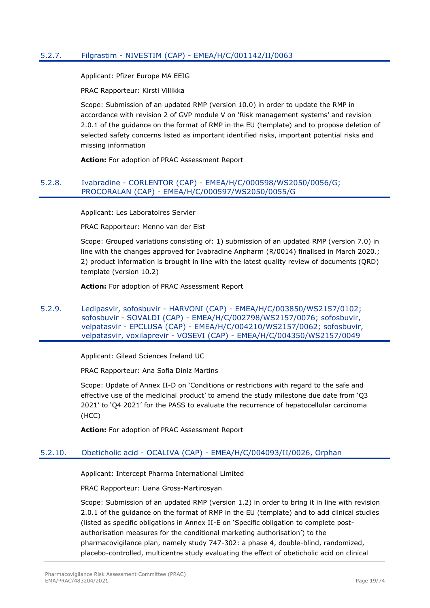## <span id="page-18-0"></span>5.2.7. Filgrastim - NIVESTIM (CAP) - EMEA/H/C/001142/II/0063

Applicant: Pfizer Europe MA EEIG

PRAC Rapporteur: Kirsti Villikka

Scope: Submission of an updated RMP (version 10.0) in order to update the RMP in accordance with revision 2 of GVP module V on 'Risk management systems' and revision 2.0.1 of the guidance on the format of RMP in the EU (template) and to propose deletion of selected safety concerns listed as important identified risks, important potential risks and missing information

**Action:** For adoption of PRAC Assessment Report

### <span id="page-18-1"></span>5.2.8. Ivabradine - CORLENTOR (CAP) - EMEA/H/C/000598/WS2050/0056/G; PROCORALAN (CAP) - EMEA/H/C/000597/WS2050/0055/G

Applicant: Les Laboratoires Servier

PRAC Rapporteur: Menno van der Elst

Scope: Grouped variations consisting of: 1) submission of an updated RMP (version 7.0) in line with the changes approved for Ivabradine Anpharm (R/0014) finalised in March 2020.; 2) product information is brought in line with the latest quality review of documents (QRD) template (version 10.2)

**Action:** For adoption of PRAC Assessment Report

<span id="page-18-2"></span>5.2.9. Ledipasvir, sofosbuvir - HARVONI (CAP) - EMEA/H/C/003850/WS2157/0102; sofosbuvir - SOVALDI (CAP) - EMEA/H/C/002798/WS2157/0076; sofosbuvir, velpatasvir - EPCLUSA (CAP) - EMEA/H/C/004210/WS2157/0062; sofosbuvir, velpatasvir, voxilaprevir - VOSEVI (CAP) - EMEA/H/C/004350/WS2157/0049

Applicant: Gilead Sciences Ireland UC

PRAC Rapporteur: Ana Sofia Diniz Martins

Scope: Update of Annex II-D on 'Conditions or restrictions with regard to the safe and effective use of the medicinal product' to amend the study milestone due date from 'Q3 2021' to 'Q4 2021' for the PASS to evaluate the recurrence of hepatocellular carcinoma (HCC)

**Action:** For adoption of PRAC Assessment Report

#### <span id="page-18-3"></span>5.2.10. Obeticholic acid - OCALIVA (CAP) - EMEA/H/C/004093/II/0026, Orphan

Applicant: Intercept Pharma International Limited

PRAC Rapporteur: Liana Gross-Martirosyan

Scope: Submission of an updated RMP (version 1.2) in order to bring it in line with revision 2.0.1 of the guidance on the format of RMP in the EU (template) and to add clinical studies (listed as specific obligations in Annex II-E on 'Specific obligation to complete postauthorisation measures for the conditional marketing authorisation') to the pharmacovigilance plan, namely study 747-302: a phase 4, double-blind, randomized, placebo-controlled, multicentre study evaluating the effect of obeticholic acid on clinical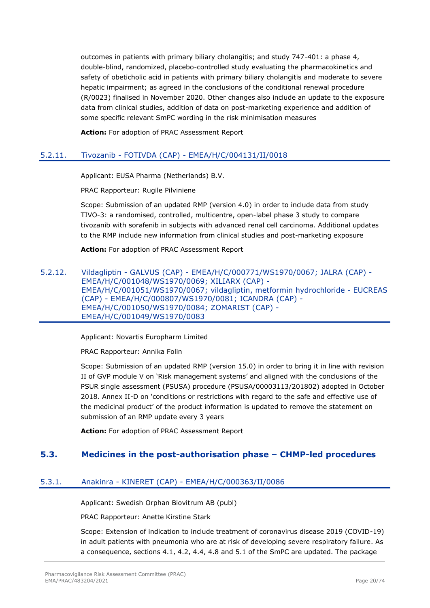outcomes in patients with primary biliary cholangitis; and study 747-401: a phase 4, double-blind, randomized, placebo-controlled study evaluating the pharmacokinetics and safety of obeticholic acid in patients with primary biliary cholangitis and moderate to severe hepatic impairment; as agreed in the conclusions of the conditional renewal procedure (R/0023) finalised in November 2020. Other changes also include an update to the exposure data from clinical studies, addition of data on post-marketing experience and addition of some specific relevant SmPC wording in the risk minimisation measures

**Action:** For adoption of PRAC Assessment Report

## <span id="page-19-0"></span>5.2.11. Tivozanib - FOTIVDA (CAP) - EMEA/H/C/004131/II/0018

Applicant: EUSA Pharma (Netherlands) B.V.

PRAC Rapporteur: Rugile Pilviniene

Scope: Submission of an updated RMP (version 4.0) in order to include data from study TIVO-3: a randomised, controlled, multicentre, open-label phase 3 study to compare tivozanib with sorafenib in subjects with advanced renal cell carcinoma. Additional updates to the RMP include new information from clinical studies and post-marketing exposure

**Action:** For adoption of PRAC Assessment Report

#### <span id="page-19-1"></span>5.2.12. Vildagliptin - GALVUS (CAP) - EMEA/H/C/000771/WS1970/0067; JALRA (CAP) - EMEA/H/C/001048/WS1970/0069; XILIARX (CAP) - EMEA/H/C/001051/WS1970/0067; vildagliptin, metformin hydrochloride - EUCREAS (CAP) - EMEA/H/C/000807/WS1970/0081; ICANDRA (CAP) - EMEA/H/C/001050/WS1970/0084; ZOMARIST (CAP) - EMEA/H/C/001049/WS1970/0083

Applicant: Novartis Europharm Limited

PRAC Rapporteur: Annika Folin

Scope: Submission of an updated RMP (version 15.0) in order to bring it in line with revision II of GVP module V on 'Risk management systems' and aligned with the conclusions of the PSUR single assessment (PSUSA) procedure (PSUSA/00003113/201802) adopted in October 2018. Annex II-D on 'conditions or restrictions with regard to the safe and effective use of the medicinal product' of the product information is updated to remove the statement on submission of an RMP update every 3 years

**Action:** For adoption of PRAC Assessment Report

## <span id="page-19-2"></span>**5.3. Medicines in the post-authorisation phase – CHMP-led procedures**

#### <span id="page-19-3"></span>5.3.1. Anakinra - KINERET (CAP) - EMEA/H/C/000363/II/0086

Applicant: Swedish Orphan Biovitrum AB (publ)

PRAC Rapporteur: Anette Kirstine Stark

Scope: Extension of indication to include treatment of coronavirus disease 2019 (COVID-19) in adult patients with pneumonia who are at risk of developing severe respiratory failure. As a consequence, sections 4.1, 4.2, 4.4, 4.8 and 5.1 of the SmPC are updated. The package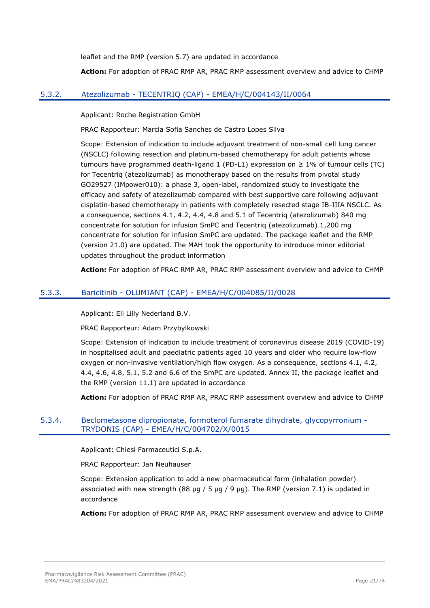leaflet and the RMP (version 5.7) are updated in accordance

**Action:** For adoption of PRAC RMP AR, PRAC RMP assessment overview and advice to CHMP

#### <span id="page-20-0"></span>5.3.2. Atezolizumab - TECENTRIQ (CAP) - EMEA/H/C/004143/II/0064

Applicant: Roche Registration GmbH

PRAC Rapporteur: Marcia Sofia Sanches de Castro Lopes Silva

Scope: Extension of indication to include adjuvant treatment of non-small cell lung cancer (NSCLC) following resection and platinum-based chemotherapy for adult patients whose tumours have programmed death-ligand 1 (PD-L1) expression on  $\geq 1\%$  of tumour cells (TC) for Tecentriq (atezolizumab) as monotherapy based on the results from pivotal study GO29527 (IMpower010): a phase 3, open-label, randomized study to investigate the efficacy and safety of atezolizumab compared with best supportive care following adjuvant cisplatin-based chemotherapy in patients with completely resected stage IB-IIIA NSCLC. As a consequence, sections 4.1, 4.2, 4.4, 4.8 and 5.1 of Tecentriq (atezolizumab) 840 mg concentrate for solution for infusion SmPC and Tecentriq (atezolizumab) 1,200 mg concentrate for solution for infusion SmPC are updated. The package leaflet and the RMP (version 21.0) are updated. The MAH took the opportunity to introduce minor editorial updates throughout the product information

**Action:** For adoption of PRAC RMP AR, PRAC RMP assessment overview and advice to CHMP

### <span id="page-20-1"></span>5.3.3. Baricitinib - OLUMIANT (CAP) - EMEA/H/C/004085/II/0028

Applicant: Eli Lilly Nederland B.V.

PRAC Rapporteur: Adam Przybylkowski

Scope: Extension of indication to include treatment of coronavirus disease 2019 (COVID-19) in hospitalised adult and paediatric patients aged 10 years and older who require low-flow oxygen or non-invasive ventilation/high flow oxygen. As a consequence, sections 4.1, 4.2, 4.4, 4.6, 4.8, 5.1, 5.2 and 6.6 of the SmPC are updated. Annex II, the package leaflet and the RMP (version 11.1) are updated in accordance

**Action:** For adoption of PRAC RMP AR, PRAC RMP assessment overview and advice to CHMP

### <span id="page-20-2"></span>5.3.4. Beclometasone dipropionate, formoterol fumarate dihydrate, glycopyrronium - TRYDONIS (CAP) - EMEA/H/C/004702/X/0015

Applicant: Chiesi Farmaceutici S.p.A.

PRAC Rapporteur: Jan Neuhauser

Scope: Extension application to add a new pharmaceutical form (inhalation powder) associated with new strength  $(88 \text{ µg} / 5 \text{ µg} / 9 \text{ µg})$ . The RMP (version 7.1) is updated in accordance

**Action:** For adoption of PRAC RMP AR, PRAC RMP assessment overview and advice to CHMP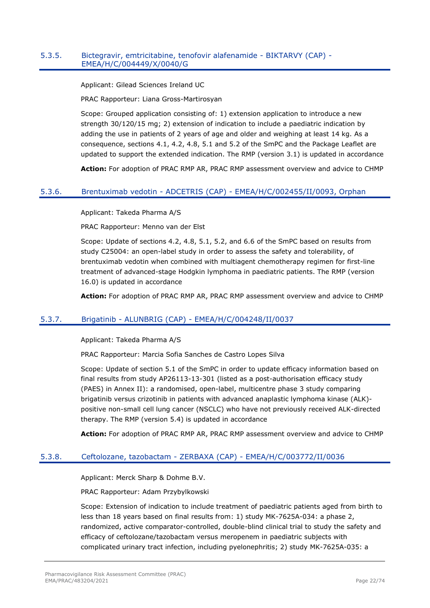## <span id="page-21-0"></span>5.3.5. Bictegravir, emtricitabine, tenofovir alafenamide - BIKTARVY (CAP) - EMEA/H/C/004449/X/0040/G

Applicant: Gilead Sciences Ireland UC

PRAC Rapporteur: Liana Gross-Martirosyan

Scope: Grouped application consisting of: 1) extension application to introduce a new strength 30/120/15 mg; 2) extension of indication to include a paediatric indication by adding the use in patients of 2 years of age and older and weighing at least 14 kg. As a consequence, sections 4.1, 4.2, 4.8, 5.1 and 5.2 of the SmPC and the Package Leaflet are updated to support the extended indication. The RMP (version 3.1) is updated in accordance

**Action:** For adoption of PRAC RMP AR, PRAC RMP assessment overview and advice to CHMP

#### <span id="page-21-1"></span>5.3.6. Brentuximab vedotin - ADCETRIS (CAP) - EMEA/H/C/002455/II/0093, Orphan

Applicant: Takeda Pharma A/S

PRAC Rapporteur: Menno van der Elst

Scope: Update of sections 4.2, 4.8, 5.1, 5.2, and 6.6 of the SmPC based on results from study C25004: an open-label study in order to assess the safety and tolerability, of brentuximab vedotin when combined with multiagent chemotherapy regimen for first-line treatment of advanced-stage Hodgkin lymphoma in paediatric patients. The RMP (version 16.0) is updated in accordance

**Action:** For adoption of PRAC RMP AR, PRAC RMP assessment overview and advice to CHMP

#### <span id="page-21-2"></span>5.3.7. Brigatinib - ALUNBRIG (CAP) - EMEA/H/C/004248/II/0037

Applicant: Takeda Pharma A/S

PRAC Rapporteur: Marcia Sofia Sanches de Castro Lopes Silva

Scope: Update of section 5.1 of the SmPC in order to update efficacy information based on final results from study AP26113-13-301 (listed as a post-authorisation efficacy study (PAES) in Annex II): a randomised, open-label, multicentre phase 3 study comparing brigatinib versus crizotinib in patients with advanced anaplastic lymphoma kinase (ALK) positive non-small cell lung cancer (NSCLC) who have not previously received ALK-directed therapy. The RMP (version 5.4) is updated in accordance

**Action:** For adoption of PRAC RMP AR, PRAC RMP assessment overview and advice to CHMP

#### <span id="page-21-3"></span>5.3.8. Ceftolozane, tazobactam - ZERBAXA (CAP) - EMEA/H/C/003772/II/0036

Applicant: Merck Sharp & Dohme B.V.

PRAC Rapporteur: Adam Przybylkowski

Scope: Extension of indication to include treatment of paediatric patients aged from birth to less than 18 years based on final results from: 1) study MK-7625A-034: a phase 2, randomized, active comparator-controlled, double-blind clinical trial to study the safety and efficacy of ceftolozane/tazobactam versus meropenem in paediatric subjects with complicated urinary tract infection, including pyelonephritis; 2) study MK-7625A-035: a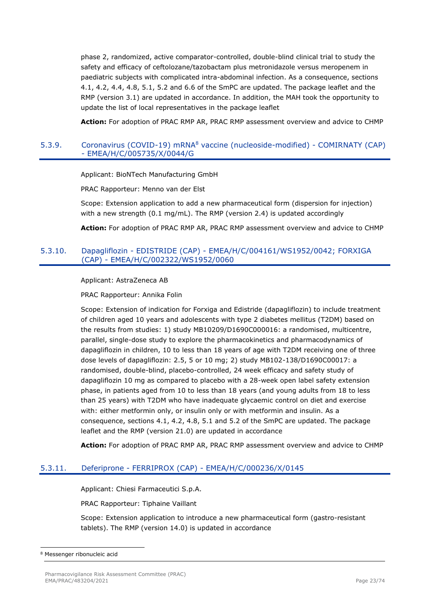phase 2, randomized, active comparator-controlled, double-blind clinical trial to study the safety and efficacy of ceftolozane/tazobactam plus metronidazole versus meropenem in paediatric subjects with complicated intra-abdominal infection. As a consequence, sections 4.1, 4.2, 4.4, 4.8, 5.1, 5.2 and 6.6 of the SmPC are updated. The package leaflet and the RMP (version 3.1) are updated in accordance. In addition, the MAH took the opportunity to update the list of local representatives in the package leaflet

**Action:** For adoption of PRAC RMP AR, PRAC RMP assessment overview and advice to CHMP

#### <span id="page-22-0"></span>5.3.9. Coronavirus (COVID-19) mRNA<sup>8</sup> vaccine (nucleoside-modified) - COMIRNATY (CAP) - EMEA/H/C/005735/X/0044/G

Applicant: BioNTech Manufacturing GmbH

PRAC Rapporteur: Menno van der Elst

Scope: Extension application to add a new pharmaceutical form (dispersion for injection) with a new strength (0.1 mg/mL). The RMP (version 2.4) is updated accordingly

**Action:** For adoption of PRAC RMP AR, PRAC RMP assessment overview and advice to CHMP

#### <span id="page-22-1"></span>5.3.10. Dapagliflozin - EDISTRIDE (CAP) - EMEA/H/C/004161/WS1952/0042; FORXIGA (CAP) - EMEA/H/C/002322/WS1952/0060

Applicant: AstraZeneca AB

PRAC Rapporteur: Annika Folin

Scope: Extension of indication for Forxiga and Edistride (dapagliflozin) to include treatment of children aged 10 years and adolescents with type 2 diabetes mellitus (T2DM) based on the results from studies: 1) study MB10209/D1690C000016: a randomised, multicentre, parallel, single-dose study to explore the pharmacokinetics and pharmacodynamics of dapagliflozin in children, 10 to less than 18 years of age with T2DM receiving one of three dose levels of dapagliflozin: 2.5, 5 or 10 mg; 2) study MB102-138/D1690C00017: a randomised, double-blind, placebo-controlled, 24 week efficacy and safety study of dapagliflozin 10 mg as compared to placebo with a 28-week open label safety extension phase, in patients aged from 10 to less than 18 years (and young adults from 18 to less than 25 years) with T2DM who have inadequate glycaemic control on diet and exercise with: either metformin only, or insulin only or with metformin and insulin. As a consequence, sections 4.1, 4.2, 4.8, 5.1 and 5.2 of the SmPC are updated. The package leaflet and the RMP (version 21.0) are updated in accordance

**Action:** For adoption of PRAC RMP AR, PRAC RMP assessment overview and advice to CHMP

#### <span id="page-22-2"></span>5.3.11. Deferiprone - FERRIPROX (CAP) - EMEA/H/C/000236/X/0145

Applicant: Chiesi Farmaceutici S.p.A.

PRAC Rapporteur: Tiphaine Vaillant

Scope: Extension application to introduce a new pharmaceutical form (gastro-resistant tablets). The RMP (version 14.0) is updated in accordance

<sup>8</sup> Messenger ribonucleic acid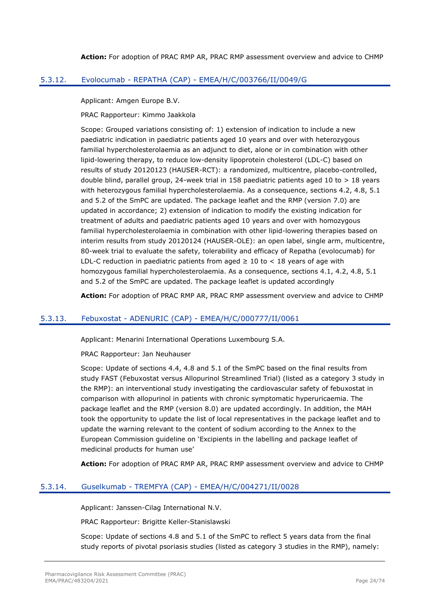**Action:** For adoption of PRAC RMP AR, PRAC RMP assessment overview and advice to CHMP

## <span id="page-23-0"></span>5.3.12. Evolocumab - REPATHA (CAP) - EMEA/H/C/003766/II/0049/G

Applicant: Amgen Europe B.V.

PRAC Rapporteur: Kimmo Jaakkola

Scope: Grouped variations consisting of: 1) extension of indication to include a new paediatric indication in paediatric patients aged 10 years and over with heterozygous familial hypercholesterolaemia as an adjunct to diet, alone or in combination with other lipid-lowering therapy, to reduce low-density lipoprotein cholesterol (LDL-C) based on results of study 20120123 (HAUSER-RCT): a randomized, multicentre, placebo-controlled, double blind, parallel group, 24-week trial in 158 paediatric patients aged 10 to  $> 18$  years with heterozygous familial hypercholesterolaemia. As a consequence, sections 4.2, 4.8, 5.1 and 5.2 of the SmPC are updated. The package leaflet and the RMP (version 7.0) are updated in accordance; 2) extension of indication to modify the existing indication for treatment of adults and paediatric patients aged 10 years and over with homozygous familial hypercholesterolaemia in combination with other lipid-lowering therapies based on interim results from study 20120124 (HAUSER-OLE): an open label, single arm, multicentre, 80-week trial to evaluate the safety, tolerability and efficacy of Repatha (evolocumab) for LDL-C reduction in paediatric patients from aged  $\geq 10$  to  $\lt$  18 years of age with homozygous familial hypercholesterolaemia. As a consequence, sections 4.1, 4.2, 4.8, 5.1 and 5.2 of the SmPC are updated. The package leaflet is updated accordingly

**Action:** For adoption of PRAC RMP AR, PRAC RMP assessment overview and advice to CHMP

## <span id="page-23-1"></span>5.3.13. Febuxostat - ADENURIC (CAP) - EMEA/H/C/000777/II/0061

Applicant: Menarini International Operations Luxembourg S.A.

PRAC Rapporteur: Jan Neuhauser

Scope: Update of sections 4.4, 4.8 and 5.1 of the SmPC based on the final results from study FAST (Febuxostat versus Allopurinol Streamlined Trial) (listed as a category 3 study in the RMP): an interventional study investigating the cardiovascular safety of febuxostat in comparison with allopurinol in patients with chronic symptomatic hyperuricaemia. The package leaflet and the RMP (version 8.0) are updated accordingly. In addition, the MAH took the opportunity to update the list of local representatives in the package leaflet and to update the warning relevant to the content of sodium according to the Annex to the European Commission guideline on 'Excipients in the labelling and package leaflet of medicinal products for human use'

**Action:** For adoption of PRAC RMP AR, PRAC RMP assessment overview and advice to CHMP

#### <span id="page-23-2"></span>5.3.14. Guselkumab - TREMFYA (CAP) - EMEA/H/C/004271/II/0028

Applicant: Janssen-Cilag International N.V.

PRAC Rapporteur: Brigitte Keller-Stanislawski

Scope: Update of sections 4.8 and 5.1 of the SmPC to reflect 5 years data from the final study reports of pivotal psoriasis studies (listed as category 3 studies in the RMP), namely: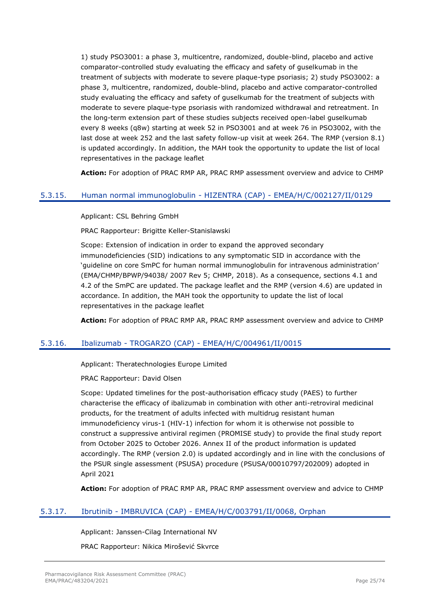1) study PSO3001: a phase 3, multicentre, randomized, double-blind, placebo and active comparator-controlled study evaluating the efficacy and safety of guselkumab in the treatment of subjects with moderate to severe plaque-type psoriasis; 2) study PSO3002: a phase 3, multicentre, randomized, double-blind, placebo and active comparator-controlled study evaluating the efficacy and safety of guselkumab for the treatment of subjects with moderate to severe plaque-type psoriasis with randomized withdrawal and retreatment. In the long-term extension part of these studies subjects received open-label guselkumab every 8 weeks (q8w) starting at week 52 in PSO3001 and at week 76 in PSO3002, with the last dose at week 252 and the last safety follow-up visit at week 264. The RMP (version 8.1) is updated accordingly. In addition, the MAH took the opportunity to update the list of local representatives in the package leaflet

**Action:** For adoption of PRAC RMP AR, PRAC RMP assessment overview and advice to CHMP

## <span id="page-24-0"></span>5.3.15. Human normal immunoglobulin - HIZENTRA (CAP) - EMEA/H/C/002127/II/0129

Applicant: CSL Behring GmbH

PRAC Rapporteur: Brigitte Keller-Stanislawski

Scope: Extension of indication in order to expand the approved secondary immunodeficiencies (SID) indications to any symptomatic SID in accordance with the 'guideline on core SmPC for human normal immunoglobulin for intravenous administration' (EMA/CHMP/BPWP/94038/ 2007 Rev 5; CHMP, 2018). As a consequence, sections 4.1 and 4.2 of the SmPC are updated. The package leaflet and the RMP (version 4.6) are updated in accordance. In addition, the MAH took the opportunity to update the list of local representatives in the package leaflet

**Action:** For adoption of PRAC RMP AR, PRAC RMP assessment overview and advice to CHMP

## <span id="page-24-1"></span>5.3.16. Ibalizumab - TROGARZO (CAP) - EMEA/H/C/004961/II/0015

Applicant: Theratechnologies Europe Limited

PRAC Rapporteur: David Olsen

Scope: Updated timelines for the post-authorisation efficacy study (PAES) to further characterise the efficacy of ibalizumab in combination with other anti-retroviral medicinal products, for the treatment of adults infected with multidrug resistant human immunodeficiency virus-1 (HIV-1) infection for whom it is otherwise not possible to construct a suppressive antiviral regimen (PROMISE study) to provide the final study report from October 2025 to October 2026. Annex II of the product information is updated accordingly. The RMP (version 2.0) is updated accordingly and in line with the conclusions of the PSUR single assessment (PSUSA) procedure (PSUSA/00010797/202009) adopted in April 2021

**Action:** For adoption of PRAC RMP AR, PRAC RMP assessment overview and advice to CHMP

## <span id="page-24-2"></span>5.3.17. Ibrutinib - IMBRUVICA (CAP) - EMEA/H/C/003791/II/0068, Orphan

Applicant: Janssen-Cilag International NV

PRAC Rapporteur: Nikica Mirošević Skvrce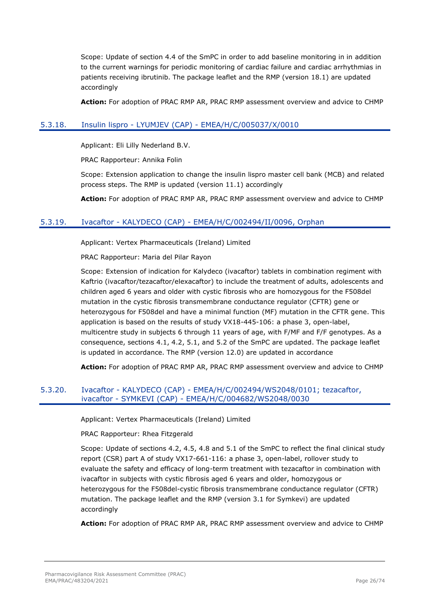Scope: Update of section 4.4 of the SmPC in order to add baseline monitoring in in addition to the current warnings for periodic monitoring of cardiac failure and cardiac arrhythmias in patients receiving ibrutinib. The package leaflet and the RMP (version 18.1) are updated accordingly

**Action:** For adoption of PRAC RMP AR, PRAC RMP assessment overview and advice to CHMP

## <span id="page-25-0"></span>5.3.18. Insulin lispro - LYUMJEV (CAP) - EMEA/H/C/005037/X/0010

Applicant: Eli Lilly Nederland B.V.

PRAC Rapporteur: Annika Folin

Scope: Extension application to change the insulin lispro master cell bank (MCB) and related process steps. The RMP is updated (version 11.1) accordingly

**Action:** For adoption of PRAC RMP AR, PRAC RMP assessment overview and advice to CHMP

### <span id="page-25-1"></span>5.3.19. Ivacaftor - KALYDECO (CAP) - EMEA/H/C/002494/II/0096, Orphan

Applicant: Vertex Pharmaceuticals (Ireland) Limited

PRAC Rapporteur: Maria del Pilar Rayon

Scope: Extension of indication for Kalydeco (ivacaftor) tablets in combination regiment with Kaftrio (ivacaftor/tezacaftor/elexacaftor) to include the treatment of adults, adolescents and children aged 6 years and older with cystic fibrosis who are homozygous for the F508del mutation in the cystic fibrosis transmembrane conductance regulator (CFTR) gene or heterozygous for F508del and have a minimal function (MF) mutation in the CFTR gene. This application is based on the results of study VX18-445-106: a phase 3, open-label, multicentre study in subjects 6 through 11 years of age, with F/MF and F/F genotypes. As a consequence, sections 4.1, 4.2, 5.1, and 5.2 of the SmPC are updated. The package leaflet is updated in accordance. The RMP (version 12.0) are updated in accordance

**Action:** For adoption of PRAC RMP AR, PRAC RMP assessment overview and advice to CHMP

### <span id="page-25-2"></span>5.3.20. Ivacaftor - KALYDECO (CAP) - EMEA/H/C/002494/WS2048/0101; tezacaftor, ivacaftor - SYMKEVI (CAP) - EMEA/H/C/004682/WS2048/0030

Applicant: Vertex Pharmaceuticals (Ireland) Limited

PRAC Rapporteur: Rhea Fitzgerald

Scope: Update of sections 4.2, 4.5, 4.8 and 5.1 of the SmPC to reflect the final clinical study report (CSR) part A of study VX17-661-116: a phase 3, open-label, rollover study to evaluate the safety and efficacy of long-term treatment with tezacaftor in combination with ivacaftor in subjects with cystic fibrosis aged 6 years and older, homozygous or heterozygous for the F508del-cystic fibrosis transmembrane conductance regulator (CFTR) mutation. The package leaflet and the RMP (version 3.1 for Symkevi) are updated accordingly

**Action:** For adoption of PRAC RMP AR, PRAC RMP assessment overview and advice to CHMP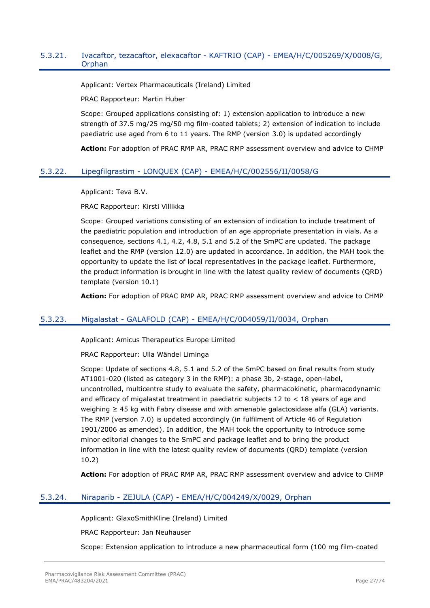#### <span id="page-26-0"></span>5.3.21. Ivacaftor, tezacaftor, elexacaftor - KAFTRIO (CAP) - EMEA/H/C/005269/X/0008/G, Orphan

Applicant: Vertex Pharmaceuticals (Ireland) Limited

PRAC Rapporteur: Martin Huber

Scope: Grouped applications consisting of: 1) extension application to introduce a new strength of 37.5 mg/25 mg/50 mg film-coated tablets; 2) extension of indication to include paediatric use aged from 6 to 11 years. The RMP (version 3.0) is updated accordingly

**Action:** For adoption of PRAC RMP AR, PRAC RMP assessment overview and advice to CHMP

### <span id="page-26-1"></span>5.3.22. Lipegfilgrastim - LONQUEX (CAP) - EMEA/H/C/002556/II/0058/G

Applicant: Teva B.V.

PRAC Rapporteur: Kirsti Villikka

Scope: Grouped variations consisting of an extension of indication to include treatment of the paediatric population and introduction of an age appropriate presentation in vials. As a consequence, sections 4.1, 4.2, 4.8, 5.1 and 5.2 of the SmPC are updated. The package leaflet and the RMP (version 12.0) are updated in accordance. In addition, the MAH took the opportunity to update the list of local representatives in the package leaflet. Furthermore, the product information is brought in line with the latest quality review of documents (QRD) template (version 10.1)

**Action:** For adoption of PRAC RMP AR, PRAC RMP assessment overview and advice to CHMP

## <span id="page-26-2"></span>5.3.23. Migalastat - GALAFOLD (CAP) - EMEA/H/C/004059/II/0034, Orphan

Applicant: Amicus Therapeutics Europe Limited

PRAC Rapporteur: Ulla Wändel Liminga

Scope: Update of sections 4.8, 5.1 and 5.2 of the SmPC based on final results from study AT1001-020 (listed as category 3 in the RMP): a phase 3b, 2-stage, open-label, uncontrolled, multicentre study to evaluate the safety, pharmacokinetic, pharmacodynamic and efficacy of migalastat treatment in paediatric subjects  $12$  to  $\lt 18$  years of age and weighing ≥ 45 kg with Fabry disease and with amenable galactosidase alfa (GLA) variants. The RMP (version 7.0) is updated accordingly (in fulfilment of Article 46 of Regulation 1901/2006 as amended). In addition, the MAH took the opportunity to introduce some minor editorial changes to the SmPC and package leaflet and to bring the product information in line with the latest quality review of documents (QRD) template (version 10.2)

**Action:** For adoption of PRAC RMP AR, PRAC RMP assessment overview and advice to CHMP

## <span id="page-26-3"></span>5.3.24. Niraparib - ZEJULA (CAP) - EMEA/H/C/004249/X/0029, Orphan

Applicant: GlaxoSmithKline (Ireland) Limited

PRAC Rapporteur: Jan Neuhauser

Scope: Extension application to introduce a new pharmaceutical form (100 mg film-coated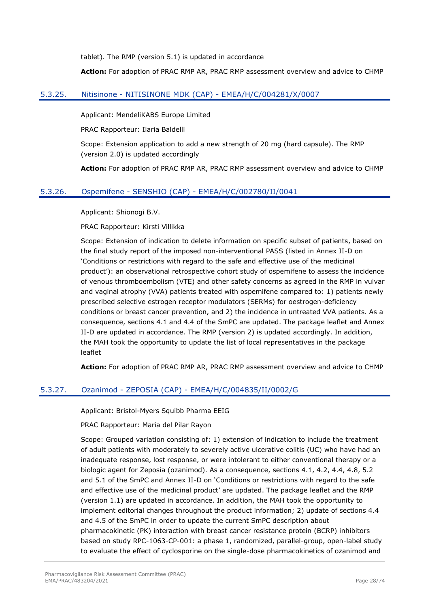tablet). The RMP (version 5.1) is updated in accordance

**Action:** For adoption of PRAC RMP AR, PRAC RMP assessment overview and advice to CHMP

## <span id="page-27-0"></span>5.3.25. Nitisinone - NITISINONE MDK (CAP) - EMEA/H/C/004281/X/0007

Applicant: MendeliKABS Europe Limited

PRAC Rapporteur: Ilaria Baldelli

Scope: Extension application to add a new strength of 20 mg (hard capsule). The RMP (version 2.0) is updated accordingly

**Action:** For adoption of PRAC RMP AR, PRAC RMP assessment overview and advice to CHMP

### <span id="page-27-1"></span>5.3.26. Ospemifene - SENSHIO (CAP) - EMEA/H/C/002780/II/0041

Applicant: Shionogi B.V.

#### PRAC Rapporteur: Kirsti Villikka

Scope: Extension of indication to delete information on specific subset of patients, based on the final study report of the imposed non-interventional PASS (listed in Annex II-D on 'Conditions or restrictions with regard to the safe and effective use of the medicinal product'): an observational retrospective cohort study of ospemifene to assess the incidence of venous thromboembolism (VTE) and other safety concerns as agreed in the RMP in vulvar and vaginal atrophy (VVA) patients treated with ospemifene compared to: 1) patients newly prescribed selective estrogen receptor modulators (SERMs) for oestrogen-deficiency conditions or breast cancer prevention, and 2) the incidence in untreated VVA patients. As a consequence, sections 4.1 and 4.4 of the SmPC are updated. The package leaflet and Annex II-D are updated in accordance. The RMP (version 2) is updated accordingly. In addition, the MAH took the opportunity to update the list of local representatives in the package leaflet

**Action:** For adoption of PRAC RMP AR, PRAC RMP assessment overview and advice to CHMP

## <span id="page-27-2"></span>5.3.27. Ozanimod - ZEPOSIA (CAP) - EMEA/H/C/004835/II/0002/G

Applicant: Bristol-Myers Squibb Pharma EEIG

PRAC Rapporteur: Maria del Pilar Rayon

Scope: Grouped variation consisting of: 1) extension of indication to include the treatment of adult patients with moderately to severely active ulcerative colitis (UC) who have had an inadequate response, lost response, or were intolerant to either conventional therapy or a biologic agent for Zeposia (ozanimod). As a consequence, sections 4.1, 4.2, 4.4, 4.8, 5.2 and 5.1 of the SmPC and Annex II-D on 'Conditions or restrictions with regard to the safe and effective use of the medicinal product' are updated. The package leaflet and the RMP (version 1.1) are updated in accordance. In addition, the MAH took the opportunity to implement editorial changes throughout the product information; 2) update of sections 4.4 and 4.5 of the SmPC in order to update the current SmPC description about pharmacokinetic (PK) interaction with breast cancer resistance protein (BCRP) inhibitors based on study RPC-1063-CP-001: a phase 1, randomized, parallel-group, open-label study to evaluate the effect of cyclosporine on the single-dose pharmacokinetics of ozanimod and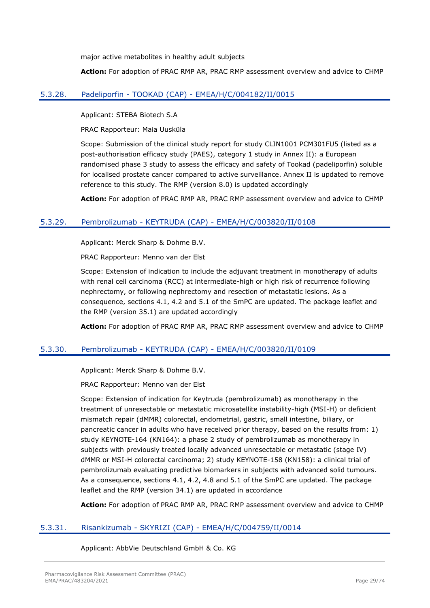major active metabolites in healthy adult subjects

**Action:** For adoption of PRAC RMP AR, PRAC RMP assessment overview and advice to CHMP

## <span id="page-28-0"></span>5.3.28. Padeliporfin - TOOKAD (CAP) - EMEA/H/C/004182/II/0015

Applicant: STEBA Biotech S.A

PRAC Rapporteur: Maia Uusküla

Scope: Submission of the clinical study report for study CLIN1001 PCM301FU5 (listed as a post-authorisation efficacy study (PAES), category 1 study in Annex II): a European randomised phase 3 study to assess the efficacy and safety of Tookad (padeliporfin) soluble for localised prostate cancer compared to active surveillance. Annex II is updated to remove reference to this study. The RMP (version 8.0) is updated accordingly

**Action:** For adoption of PRAC RMP AR, PRAC RMP assessment overview and advice to CHMP

## <span id="page-28-1"></span>5.3.29. Pembrolizumab - KEYTRUDA (CAP) - EMEA/H/C/003820/II/0108

Applicant: Merck Sharp & Dohme B.V.

PRAC Rapporteur: Menno van der Elst

Scope: Extension of indication to include the adjuvant treatment in monotherapy of adults with renal cell carcinoma (RCC) at intermediate-high or high risk of recurrence following nephrectomy, or following nephrectomy and resection of metastatic lesions. As a consequence, sections 4.1, 4.2 and 5.1 of the SmPC are updated. The package leaflet and the RMP (version 35.1) are updated accordingly

**Action:** For adoption of PRAC RMP AR, PRAC RMP assessment overview and advice to CHMP

## <span id="page-28-2"></span>5.3.30. Pembrolizumab - KEYTRUDA (CAP) - EMEA/H/C/003820/II/0109

Applicant: Merck Sharp & Dohme B.V.

PRAC Rapporteur: Menno van der Elst

Scope: Extension of indication for Keytruda (pembrolizumab) as monotherapy in the treatment of unresectable or metastatic microsatellite instability-high (MSI-H) or deficient mismatch repair (dMMR) colorectal, endometrial, gastric, small intestine, biliary, or pancreatic cancer in adults who have received prior therapy, based on the results from: 1) study KEYNOTE-164 (KN164): a phase 2 study of pembrolizumab as monotherapy in subjects with previously treated locally advanced unresectable or metastatic (stage IV) dMMR or MSI-H colorectal carcinoma; 2) study KEYNOTE-158 (KN158): a clinical trial of pembrolizumab evaluating predictive biomarkers in subjects with advanced solid tumours. As a consequence, sections 4.1, 4.2, 4.8 and 5.1 of the SmPC are updated. The package leaflet and the RMP (version 34.1) are updated in accordance

**Action:** For adoption of PRAC RMP AR, PRAC RMP assessment overview and advice to CHMP

## <span id="page-28-3"></span>5.3.31. Risankizumab - SKYRIZI (CAP) - EMEA/H/C/004759/II/0014

Applicant: AbbVie Deutschland GmbH & Co. KG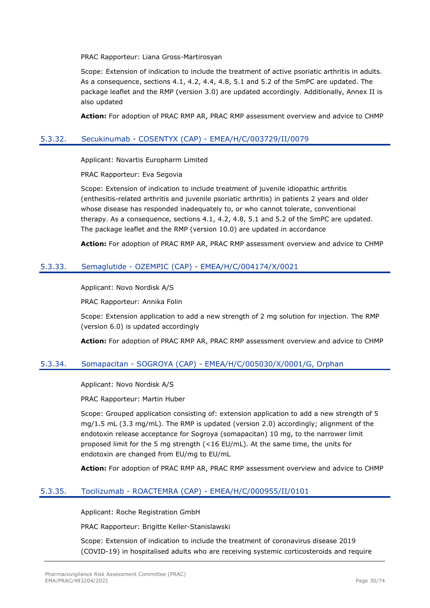PRAC Rapporteur: Liana Gross-Martirosyan

Scope: Extension of indication to include the treatment of active psoriatic arthritis in adults. As a consequence, sections 4.1, 4.2, 4.4, 4.8, 5.1 and 5.2 of the SmPC are updated. The package leaflet and the RMP (version 3.0) are updated accordingly. Additionally, Annex II is also updated

**Action:** For adoption of PRAC RMP AR, PRAC RMP assessment overview and advice to CHMP

## <span id="page-29-0"></span>5.3.32. Secukinumab - COSENTYX (CAP) - EMEA/H/C/003729/II/0079

Applicant: Novartis Europharm Limited

PRAC Rapporteur: Eva Segovia

Scope: Extension of indication to include treatment of juvenile idiopathic arthritis (enthesitis-related arthritis and juvenile psoriatic arthritis) in patients 2 years and older whose disease has responded inadequately to, or who cannot tolerate, conventional therapy. As a consequence, sections 4.1, 4.2, 4.8, 5.1 and 5.2 of the SmPC are updated. The package leaflet and the RMP (version 10.0) are updated in accordance

**Action:** For adoption of PRAC RMP AR, PRAC RMP assessment overview and advice to CHMP

## <span id="page-29-1"></span>5.3.33. Semaglutide - OZEMPIC (CAP) - EMEA/H/C/004174/X/0021

Applicant: Novo Nordisk A/S

PRAC Rapporteur: Annika Folin

Scope: Extension application to add a new strength of 2 mg solution for injection. The RMP (version 6.0) is updated accordingly

**Action:** For adoption of PRAC RMP AR, PRAC RMP assessment overview and advice to CHMP

#### <span id="page-29-2"></span>5.3.34. Somapacitan - SOGROYA (CAP) - EMEA/H/C/005030/X/0001/G, Orphan

Applicant: Novo Nordisk A/S

PRAC Rapporteur: Martin Huber

Scope: Grouped application consisting of: extension application to add a new strength of 5 mg/1.5 mL (3.3 mg/mL). The RMP is updated (version 2.0) accordingly; alignment of the endotoxin release acceptance for Sogroya (somapacitan) 10 mg, to the narrower limit proposed limit for the 5 mg strength (<16 EU/mL). At the same time, the units for endotoxin are changed from EU/mg to EU/mL

**Action:** For adoption of PRAC RMP AR, PRAC RMP assessment overview and advice to CHMP

## <span id="page-29-3"></span>5.3.35. Tocilizumab - ROACTEMRA (CAP) - EMEA/H/C/000955/II/0101

Applicant: Roche Registration GmbH

PRAC Rapporteur: Brigitte Keller-Stanislawski

Scope: Extension of indication to include the treatment of coronavirus disease 2019 (COVID-19) in hospitalised adults who are receiving systemic corticosteroids and require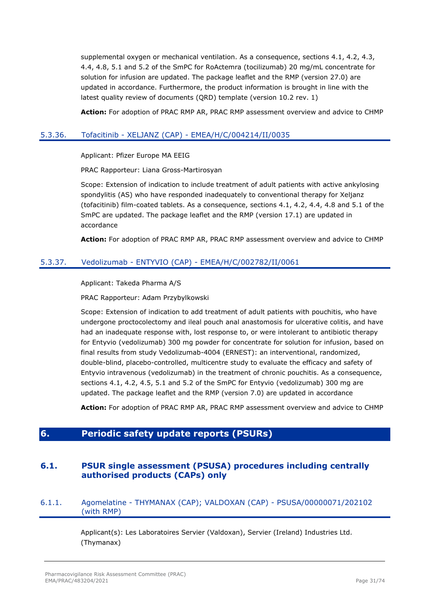supplemental oxygen or mechanical ventilation. As a consequence, sections 4.1, 4.2, 4.3, 4.4, 4.8, 5.1 and 5.2 of the SmPC for RoActemra (tocilizumab) 20 mg/mL concentrate for solution for infusion are updated. The package leaflet and the RMP (version 27.0) are updated in accordance. Furthermore, the product information is brought in line with the latest quality review of documents (QRD) template (version 10.2 rev. 1)

**Action:** For adoption of PRAC RMP AR, PRAC RMP assessment overview and advice to CHMP

## <span id="page-30-0"></span>5.3.36. Tofacitinib - XELJANZ (CAP) - EMEA/H/C/004214/II/0035

Applicant: Pfizer Europe MA EEIG

PRAC Rapporteur: Liana Gross-Martirosyan

Scope: Extension of indication to include treatment of adult patients with active ankylosing spondylitis (AS) who have responded inadequately to conventional therapy for Xeljanz (tofacitinib) film-coated tablets. As a consequence, sections 4.1, 4.2, 4.4, 4.8 and 5.1 of the SmPC are updated. The package leaflet and the RMP (version 17.1) are updated in accordance

**Action:** For adoption of PRAC RMP AR, PRAC RMP assessment overview and advice to CHMP

### <span id="page-30-1"></span>5.3.37. Vedolizumab - ENTYVIO (CAP) - EMEA/H/C/002782/II/0061

Applicant: Takeda Pharma A/S

PRAC Rapporteur: Adam Przybylkowski

Scope: Extension of indication to add treatment of adult patients with pouchitis, who have undergone proctocolectomy and ileal pouch anal anastomosis for ulcerative colitis, and have had an inadequate response with, lost response to, or were intolerant to antibiotic therapy for Entyvio (vedolizumab) 300 mg powder for concentrate for solution for infusion, based on final results from study Vedolizumab-4004 (ERNEST): an interventional, randomized, double-blind, placebo-controlled, multicentre study to evaluate the efficacy and safety of Entyvio intravenous (vedolizumab) in the treatment of chronic pouchitis. As a consequence, sections 4.1, 4.2, 4.5, 5.1 and 5.2 of the SmPC for Entyvio (vedolizumab) 300 mg are updated. The package leaflet and the RMP (version 7.0) are updated in accordance

**Action:** For adoption of PRAC RMP AR, PRAC RMP assessment overview and advice to CHMP

## <span id="page-30-2"></span>**6. Periodic safety update reports (PSURs)**

## <span id="page-30-3"></span>**6.1. PSUR single assessment (PSUSA) procedures including centrally authorised products (CAPs) only**

## <span id="page-30-4"></span>6.1.1. Agomelatine - THYMANAX (CAP); VALDOXAN (CAP) - PSUSA/00000071/202102 (with RMP)

Applicant(s): Les Laboratoires Servier (Valdoxan), Servier (Ireland) Industries Ltd. (Thymanax)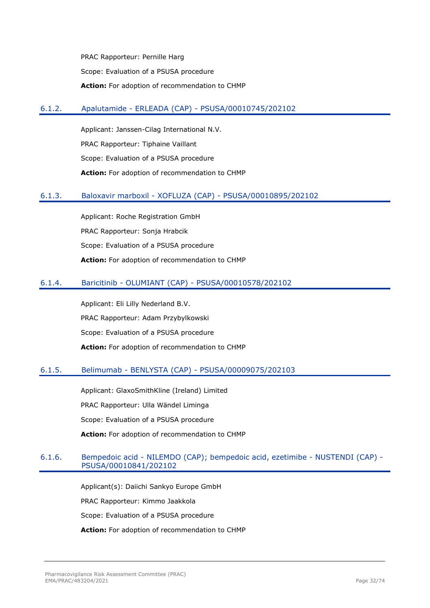PRAC Rapporteur: Pernille Harg Scope: Evaluation of a PSUSA procedure **Action:** For adoption of recommendation to CHMP

### <span id="page-31-0"></span>6.1.2. Apalutamide - ERLEADA (CAP) - PSUSA/00010745/202102

Applicant: Janssen-Cilag International N.V. PRAC Rapporteur: Tiphaine Vaillant Scope: Evaluation of a PSUSA procedure **Action:** For adoption of recommendation to CHMP

### <span id="page-31-1"></span>6.1.3. Baloxavir marboxil - XOFLUZA (CAP) - PSUSA/00010895/202102

Applicant: Roche Registration GmbH PRAC Rapporteur: Sonja Hrabcik Scope: Evaluation of a PSUSA procedure **Action:** For adoption of recommendation to CHMP

### <span id="page-31-2"></span>6.1.4. Baricitinib - OLUMIANT (CAP) - PSUSA/00010578/202102

Applicant: Eli Lilly Nederland B.V. PRAC Rapporteur: Adam Przybylkowski Scope: Evaluation of a PSUSA procedure **Action:** For adoption of recommendation to CHMP

#### <span id="page-31-3"></span>6.1.5. Belimumab - BENLYSTA (CAP) - PSUSA/00009075/202103

Applicant: GlaxoSmithKline (Ireland) Limited PRAC Rapporteur: Ulla Wändel Liminga Scope: Evaluation of a PSUSA procedure **Action:** For adoption of recommendation to CHMP

## <span id="page-31-4"></span>6.1.6. Bempedoic acid - NILEMDO (CAP); bempedoic acid, ezetimibe - NUSTENDI (CAP) - PSUSA/00010841/202102

Applicant(s): Daiichi Sankyo Europe GmbH PRAC Rapporteur: Kimmo Jaakkola Scope: Evaluation of a PSUSA procedure **Action:** For adoption of recommendation to CHMP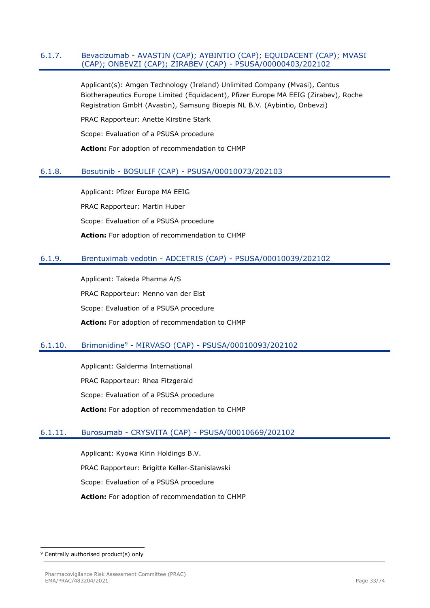#### <span id="page-32-0"></span>6.1.7. Bevacizumab - AVASTIN (CAP); AYBINTIO (CAP); EQUIDACENT (CAP); MVASI (CAP); ONBEVZI (CAP); ZIRABEV (CAP) - PSUSA/00000403/202102

Applicant(s): Amgen Technology (Ireland) Unlimited Company (Mvasi), Centus Biotherapeutics Europe Limited (Equidacent), Pfizer Europe MA EEIG (Zirabev), Roche Registration GmbH (Avastin), Samsung Bioepis NL B.V. (Aybintio, Onbevzi)

PRAC Rapporteur: Anette Kirstine Stark

Scope: Evaluation of a PSUSA procedure

**Action:** For adoption of recommendation to CHMP

### <span id="page-32-1"></span>6.1.8. Bosutinib - BOSULIF (CAP) - PSUSA/00010073/202103

Applicant: Pfizer Europe MA EEIG PRAC Rapporteur: Martin Huber Scope: Evaluation of a PSUSA procedure **Action:** For adoption of recommendation to CHMP

### <span id="page-32-2"></span>6.1.9. Brentuximab vedotin - ADCETRIS (CAP) - PSUSA/00010039/202102

Applicant: Takeda Pharma A/S PRAC Rapporteur: Menno van der Elst Scope: Evaluation of a PSUSA procedure **Action:** For adoption of recommendation to CHMP

#### <span id="page-32-3"></span>6.1.10. Brimonidine<sup>9</sup> - MIRVASO (CAP) - PSUSA/00010093/202102

Applicant: Galderma International PRAC Rapporteur: Rhea Fitzgerald Scope: Evaluation of a PSUSA procedure **Action:** For adoption of recommendation to CHMP

### <span id="page-32-4"></span>6.1.11. Burosumab - CRYSVITA (CAP) - PSUSA/00010669/202102

Applicant: Kyowa Kirin Holdings B.V. PRAC Rapporteur: Brigitte Keller-Stanislawski Scope: Evaluation of a PSUSA procedure **Action:** For adoption of recommendation to CHMP

<sup>&</sup>lt;sup>9</sup> Centrally authorised product(s) only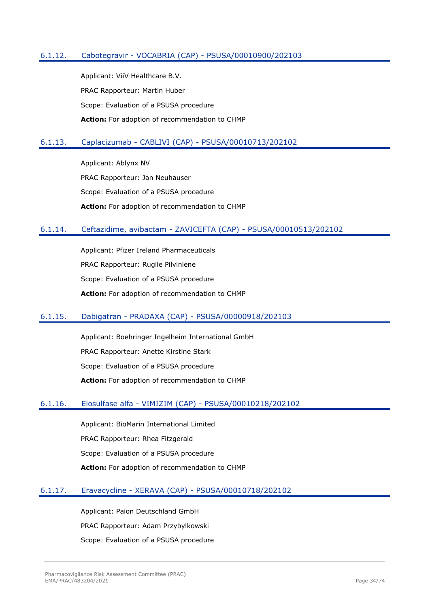## <span id="page-33-0"></span>6.1.12. Cabotegravir - VOCABRIA (CAP) - PSUSA/00010900/202103

Applicant: ViiV Healthcare B.V. PRAC Rapporteur: Martin Huber Scope: Evaluation of a PSUSA procedure **Action:** For adoption of recommendation to CHMP

#### <span id="page-33-1"></span>6.1.13. Caplacizumab - CABLIVI (CAP) - PSUSA/00010713/202102

Applicant: Ablynx NV PRAC Rapporteur: Jan Neuhauser Scope: Evaluation of a PSUSA procedure **Action:** For adoption of recommendation to CHMP

### <span id="page-33-2"></span>6.1.14. Ceftazidime, avibactam - ZAVICEFTA (CAP) - PSUSA/00010513/202102

Applicant: Pfizer Ireland Pharmaceuticals PRAC Rapporteur: Rugile Pilviniene Scope: Evaluation of a PSUSA procedure **Action:** For adoption of recommendation to CHMP

#### <span id="page-33-3"></span>6.1.15. Dabigatran - PRADAXA (CAP) - PSUSA/00000918/202103

Applicant: Boehringer Ingelheim International GmbH PRAC Rapporteur: Anette Kirstine Stark Scope: Evaluation of a PSUSA procedure **Action:** For adoption of recommendation to CHMP

#### <span id="page-33-4"></span>6.1.16. Elosulfase alfa - VIMIZIM (CAP) - PSUSA/00010218/202102

Applicant: BioMarin International Limited PRAC Rapporteur: Rhea Fitzgerald Scope: Evaluation of a PSUSA procedure **Action:** For adoption of recommendation to CHMP

#### <span id="page-33-5"></span>6.1.17. Eravacycline - XERAVA (CAP) - PSUSA/00010718/202102

Applicant: Paion Deutschland GmbH PRAC Rapporteur: Adam Przybylkowski Scope: Evaluation of a PSUSA procedure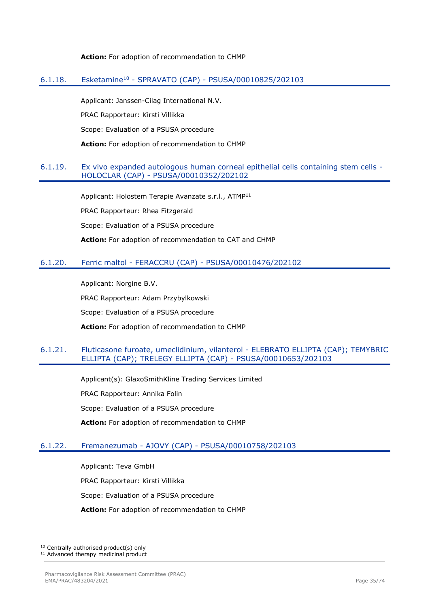#### **Action:** For adoption of recommendation to CHMP

#### <span id="page-34-0"></span>6.1.18. Esketamine<sup>10</sup> - SPRAVATO (CAP) - PSUSA/00010825/202103

Applicant: Janssen-Cilag International N.V.

PRAC Rapporteur: Kirsti Villikka

Scope: Evaluation of a PSUSA procedure

**Action:** For adoption of recommendation to CHMP

#### <span id="page-34-1"></span>6.1.19. Ex vivo expanded autologous human corneal epithelial cells containing stem cells - HOLOCLAR (CAP) - PSUSA/00010352/202102

Applicant: Holostem Terapie Avanzate s.r.l., ATMP<sup>11</sup> PRAC Rapporteur: Rhea Fitzgerald Scope: Evaluation of a PSUSA procedure **Action:** For adoption of recommendation to CAT and CHMP

### <span id="page-34-2"></span>6.1.20. Ferric maltol - FERACCRU (CAP) - PSUSA/00010476/202102

Applicant: Norgine B.V.

PRAC Rapporteur: Adam Przybylkowski

Scope: Evaluation of a PSUSA procedure

**Action:** For adoption of recommendation to CHMP

### <span id="page-34-3"></span>6.1.21. Fluticasone furoate, umeclidinium, vilanterol - ELEBRATO ELLIPTA (CAP); TEMYBRIC ELLIPTA (CAP); TRELEGY ELLIPTA (CAP) - PSUSA/00010653/202103

Applicant(s): GlaxoSmithKline Trading Services Limited PRAC Rapporteur: Annika Folin Scope: Evaluation of a PSUSA procedure **Action:** For adoption of recommendation to CHMP

## <span id="page-34-4"></span>6.1.22. Fremanezumab - AJOVY (CAP) - PSUSA/00010758/202103

Applicant: Teva GmbH PRAC Rapporteur: Kirsti Villikka Scope: Evaluation of a PSUSA procedure **Action:** For adoption of recommendation to CHMP

10 Centrally authorised product(s) only

<sup>&</sup>lt;sup>11</sup> Advanced therapy medicinal product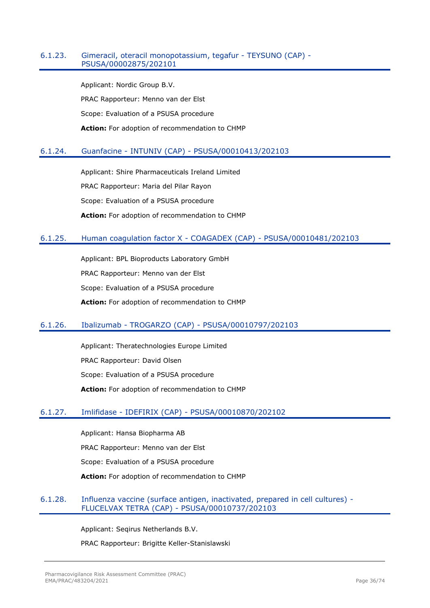#### <span id="page-35-0"></span>6.1.23. Gimeracil, oteracil monopotassium, tegafur - TEYSUNO (CAP) - PSUSA/00002875/202101

Applicant: Nordic Group B.V. PRAC Rapporteur: Menno van der Elst Scope: Evaluation of a PSUSA procedure **Action:** For adoption of recommendation to CHMP

## <span id="page-35-1"></span>6.1.24. Guanfacine - INTUNIV (CAP) - PSUSA/00010413/202103

Applicant: Shire Pharmaceuticals Ireland Limited PRAC Rapporteur: Maria del Pilar Rayon Scope: Evaluation of a PSUSA procedure **Action:** For adoption of recommendation to CHMP

## <span id="page-35-2"></span>6.1.25. Human coagulation factor X - COAGADEX (CAP) - PSUSA/00010481/202103

Applicant: BPL Bioproducts Laboratory GmbH PRAC Rapporteur: Menno van der Elst Scope: Evaluation of a PSUSA procedure **Action:** For adoption of recommendation to CHMP

## <span id="page-35-3"></span>6.1.26. Ibalizumab - TROGARZO (CAP) - PSUSA/00010797/202103

Applicant: Theratechnologies Europe Limited PRAC Rapporteur: David Olsen Scope: Evaluation of a PSUSA procedure **Action:** For adoption of recommendation to CHMP

## <span id="page-35-4"></span>6.1.27. Imlifidase - IDEFIRIX (CAP) - PSUSA/00010870/202102

Applicant: Hansa Biopharma AB PRAC Rapporteur: Menno van der Elst Scope: Evaluation of a PSUSA procedure **Action:** For adoption of recommendation to CHMP

## <span id="page-35-5"></span>6.1.28. Influenza vaccine (surface antigen, inactivated, prepared in cell cultures) - FLUCELVAX TETRA (CAP) - PSUSA/00010737/202103

Applicant: Seqirus Netherlands B.V.

PRAC Rapporteur: Brigitte Keller-Stanislawski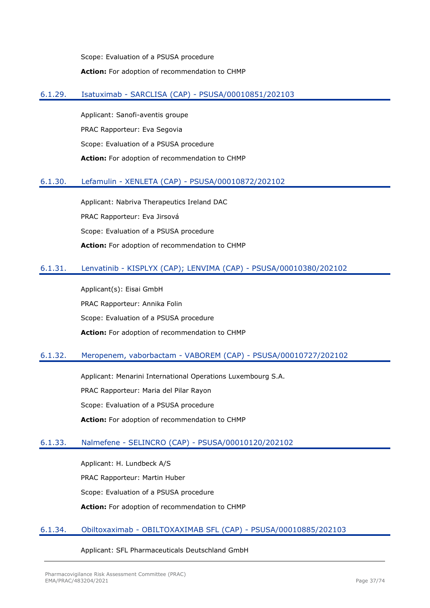Scope: Evaluation of a PSUSA procedure **Action:** For adoption of recommendation to CHMP

### 6.1.29. Isatuximab - SARCLISA (CAP) - PSUSA/00010851/202103

Applicant: Sanofi-aventis groupe PRAC Rapporteur: Eva Segovia Scope: Evaluation of a PSUSA procedure **Action:** For adoption of recommendation to CHMP

## 6.1.30. Lefamulin - XENLETA (CAP) - PSUSA/00010872/202102

Applicant: Nabriva Therapeutics Ireland DAC PRAC Rapporteur: Eva Jirsová Scope: Evaluation of a PSUSA procedure **Action:** For adoption of recommendation to CHMP

## 6.1.31. Lenvatinib - KISPLYX (CAP); LENVIMA (CAP) - PSUSA/00010380/202102

Applicant(s): Eisai GmbH PRAC Rapporteur: Annika Folin Scope: Evaluation of a PSUSA procedure **Action:** For adoption of recommendation to CHMP

## 6.1.32. Meropenem, vaborbactam - VABOREM (CAP) - PSUSA/00010727/202102

Applicant: Menarini International Operations Luxembourg S.A. PRAC Rapporteur: Maria del Pilar Rayon Scope: Evaluation of a PSUSA procedure **Action:** For adoption of recommendation to CHMP

#### 6.1.33. Nalmefene - SELINCRO (CAP) - PSUSA/00010120/202102

Applicant: H. Lundbeck A/S PRAC Rapporteur: Martin Huber Scope: Evaluation of a PSUSA procedure **Action:** For adoption of recommendation to CHMP

#### 6.1.34. Obiltoxaximab - OBILTOXAXIMAB SFL (CAP) - PSUSA/00010885/202103

Applicant: SFL Pharmaceuticals Deutschland GmbH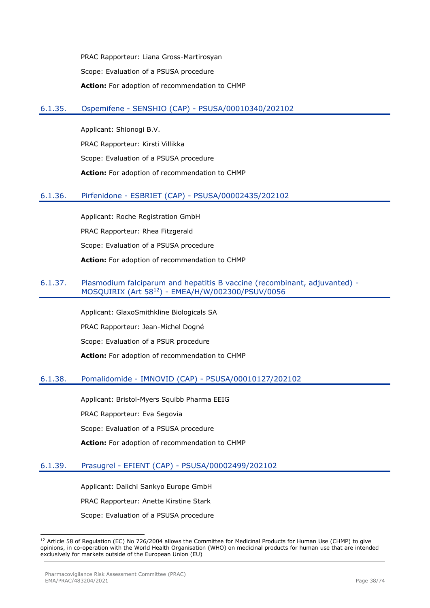PRAC Rapporteur: Liana Gross-Martirosyan Scope: Evaluation of a PSUSA procedure **Action:** For adoption of recommendation to CHMP

### 6.1.35. Ospemifene - SENSHIO (CAP) - PSUSA/00010340/202102

Applicant: Shionogi B.V. PRAC Rapporteur: Kirsti Villikka Scope: Evaluation of a PSUSA procedure **Action:** For adoption of recommendation to CHMP

### 6.1.36. Pirfenidone - ESBRIET (CAP) - PSUSA/00002435/202102

Applicant: Roche Registration GmbH PRAC Rapporteur: Rhea Fitzgerald Scope: Evaluation of a PSUSA procedure **Action:** For adoption of recommendation to CHMP

#### 6.1.37. Plasmodium falciparum and hepatitis B vaccine (recombinant, adjuvanted) - MOSQUIRIX (Art 58<sup>12</sup>) - EMEA/H/W/002300/PSUV/0056

Applicant: GlaxoSmithkline Biologicals SA PRAC Rapporteur: Jean-Michel Dogné Scope: Evaluation of a PSUR procedure **Action:** For adoption of recommendation to CHMP

## 6.1.38. Pomalidomide - IMNOVID (CAP) - PSUSA/00010127/202102

Applicant: Bristol-Myers Squibb Pharma EEIG

PRAC Rapporteur: Eva Segovia

Scope: Evaluation of a PSUSA procedure

**Action:** For adoption of recommendation to CHMP

## 6.1.39. Prasugrel - EFIENT (CAP) - PSUSA/00002499/202102

Applicant: Daiichi Sankyo Europe GmbH PRAC Rapporteur: Anette Kirstine Stark Scope: Evaluation of a PSUSA procedure

<sup>&</sup>lt;sup>12</sup> Article 58 of Regulation (EC) No 726/2004 allows the Committee for Medicinal Products for Human Use (CHMP) to give opinions, in co-operation with the World Health Organisation (WHO) on medicinal products for human use that are intended exclusively for markets outside of the European Union (EU)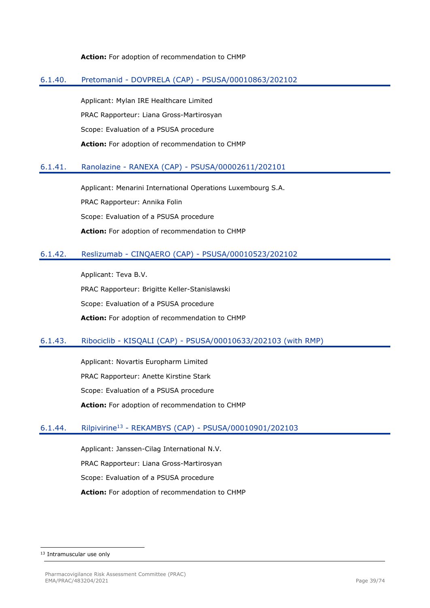#### **Action:** For adoption of recommendation to CHMP

#### 6.1.40. Pretomanid - DOVPRELA (CAP) - PSUSA/00010863/202102

Applicant: Mylan IRE Healthcare Limited PRAC Rapporteur: Liana Gross-Martirosyan Scope: Evaluation of a PSUSA procedure **Action:** For adoption of recommendation to CHMP

### 6.1.41. Ranolazine - RANEXA (CAP) - PSUSA/00002611/202101

Applicant: Menarini International Operations Luxembourg S.A. PRAC Rapporteur: Annika Folin Scope: Evaluation of a PSUSA procedure **Action:** For adoption of recommendation to CHMP

### 6.1.42. Reslizumab - CINQAERO (CAP) - PSUSA/00010523/202102

Applicant: Teva B.V. PRAC Rapporteur: Brigitte Keller-Stanislawski Scope: Evaluation of a PSUSA procedure **Action:** For adoption of recommendation to CHMP

#### 6.1.43. Ribociclib - KISQALI (CAP) - PSUSA/00010633/202103 (with RMP)

Applicant: Novartis Europharm Limited PRAC Rapporteur: Anette Kirstine Stark Scope: Evaluation of a PSUSA procedure **Action:** For adoption of recommendation to CHMP

#### 6.1.44. Rilpivirine<sup>13</sup> - REKAMBYS (CAP) - PSUSA/00010901/202103

Applicant: Janssen-Cilag International N.V. PRAC Rapporteur: Liana Gross-Martirosyan Scope: Evaluation of a PSUSA procedure **Action:** For adoption of recommendation to CHMP

<sup>13</sup> Intramuscular use only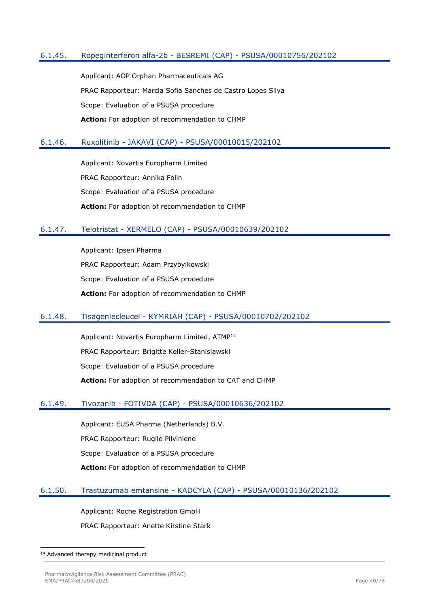### 6.1.45. Ropeginterferon alfa-2b - BESREMI (CAP) - PSUSA/00010756/202102

Applicant: AOP Orphan Pharmaceuticals AG PRAC Rapporteur: Marcia Sofia Sanches de Castro Lopes Silva Scope: Evaluation of a PSUSA procedure **Action:** For adoption of recommendation to CHMP

### 6.1.46. Ruxolitinib - JAKAVI (CAP) - PSUSA/00010015/202102

Applicant: Novartis Europharm Limited PRAC Rapporteur: Annika Folin Scope: Evaluation of a PSUSA procedure **Action:** For adoption of recommendation to CHMP

### 6.1.47. Telotristat - XERMELO (CAP) - PSUSA/00010639/202102

Applicant: Ipsen Pharma PRAC Rapporteur: Adam Przybylkowski Scope: Evaluation of a PSUSA procedure **Action:** For adoption of recommendation to CHMP

#### 6.1.48. Tisagenlecleucel - KYMRIAH (CAP) - PSUSA/00010702/202102

Applicant: Novartis Europharm Limited, ATMP<sup>14</sup> PRAC Rapporteur: Brigitte Keller-Stanislawski Scope: Evaluation of a PSUSA procedure **Action:** For adoption of recommendation to CAT and CHMP

### 6.1.49. Tivozanib - FOTIVDA (CAP) - PSUSA/00010636/202102

Applicant: EUSA Pharma (Netherlands) B.V. PRAC Rapporteur: Rugile Pilviniene Scope: Evaluation of a PSUSA procedure **Action:** For adoption of recommendation to CHMP

#### 6.1.50. Trastuzumab emtansine - KADCYLA (CAP) - PSUSA/00010136/202102

Applicant: Roche Registration GmbH

PRAC Rapporteur: Anette Kirstine Stark

<sup>14</sup> Advanced therapy medicinal product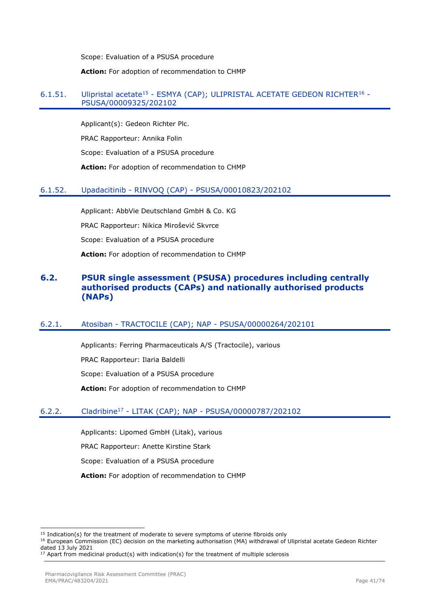Scope: Evaluation of a PSUSA procedure

#### **Action:** For adoption of recommendation to CHMP

### 6.1.51. Ulipristal acetate<sup>15</sup> - ESMYA (CAP); ULIPRISTAL ACETATE GEDEON RICHTER<sup>16</sup> -PSUSA/00009325/202102

Applicant(s): Gedeon Richter Plc. PRAC Rapporteur: Annika Folin Scope: Evaluation of a PSUSA procedure **Action:** For adoption of recommendation to CHMP

## 6.1.52. Upadacitinib - RINVOQ (CAP) - PSUSA/00010823/202102

Applicant: AbbVie Deutschland GmbH & Co. KG PRAC Rapporteur: Nikica Mirošević Skvrce Scope: Evaluation of a PSUSA procedure **Action:** For adoption of recommendation to CHMP

## **6.2. PSUR single assessment (PSUSA) procedures including centrally authorised products (CAPs) and nationally authorised products (NAPs)**

## 6.2.1. Atosiban - TRACTOCILE (CAP); NAP - PSUSA/00000264/202101

Applicants: Ferring Pharmaceuticals A/S (Tractocile), various PRAC Rapporteur: Ilaria Baldelli Scope: Evaluation of a PSUSA procedure **Action:** For adoption of recommendation to CHMP

## 6.2.2. Cladribine<sup>17</sup> - LITAK (CAP); NAP - PSUSA/00000787/202102

Applicants: Lipomed GmbH (Litak), various

PRAC Rapporteur: Anette Kirstine Stark

Scope: Evaluation of a PSUSA procedure

**Action:** For adoption of recommendation to CHMP

<sup>&</sup>lt;sup>15</sup> Indication(s) for the treatment of moderate to severe symptoms of uterine fibroids only

<sup>16</sup> European Commission (EC) decision on the marketing authorisation (MA) withdrawal of Ulipristal acetate Gedeon Richter dated 13 July 2021

<sup>17</sup> Apart from medicinal product(s) with indication(s) for the treatment of multiple sclerosis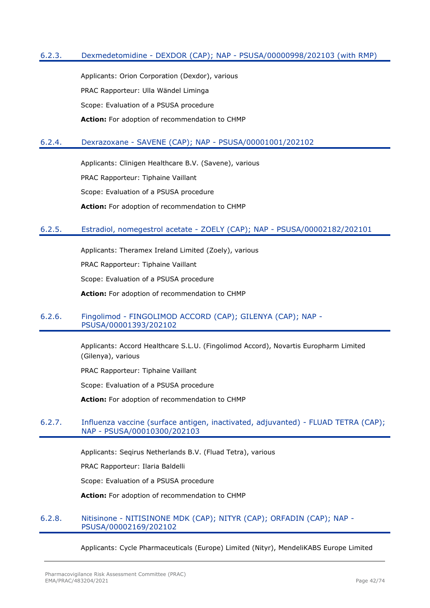### 6.2.3. Dexmedetomidine - DEXDOR (CAP); NAP - PSUSA/00000998/202103 (with RMP)

Applicants: Orion Corporation (Dexdor), various PRAC Rapporteur: Ulla Wändel Liminga Scope: Evaluation of a PSUSA procedure **Action:** For adoption of recommendation to CHMP

#### 6.2.4. Dexrazoxane - SAVENE (CAP); NAP - PSUSA/00001001/202102

Applicants: Clinigen Healthcare B.V. (Savene), various PRAC Rapporteur: Tiphaine Vaillant Scope: Evaluation of a PSUSA procedure **Action:** For adoption of recommendation to CHMP

### 6.2.5. Estradiol, nomegestrol acetate - ZOELY (CAP); NAP - PSUSA/00002182/202101

Applicants: Theramex Ireland Limited (Zoely), various PRAC Rapporteur: Tiphaine Vaillant Scope: Evaluation of a PSUSA procedure **Action:** For adoption of recommendation to CHMP

#### 6.2.6. Fingolimod - FINGOLIMOD ACCORD (CAP); GILENYA (CAP); NAP - PSUSA/00001393/202102

Applicants: Accord Healthcare S.L.U. (Fingolimod Accord), Novartis Europharm Limited (Gilenya), various

PRAC Rapporteur: Tiphaine Vaillant

Scope: Evaluation of a PSUSA procedure

**Action:** For adoption of recommendation to CHMP

### 6.2.7. Influenza vaccine (surface antigen, inactivated, adjuvanted) - FLUAD TETRA (CAP); NAP - PSUSA/00010300/202103

Applicants: Seqirus Netherlands B.V. (Fluad Tetra), various

PRAC Rapporteur: Ilaria Baldelli

Scope: Evaluation of a PSUSA procedure

**Action:** For adoption of recommendation to CHMP

#### 6.2.8. Nitisinone - NITISINONE MDK (CAP); NITYR (CAP); ORFADIN (CAP); NAP - PSUSA/00002169/202102

Applicants: Cycle Pharmaceuticals (Europe) Limited (Nityr), MendeliKABS Europe Limited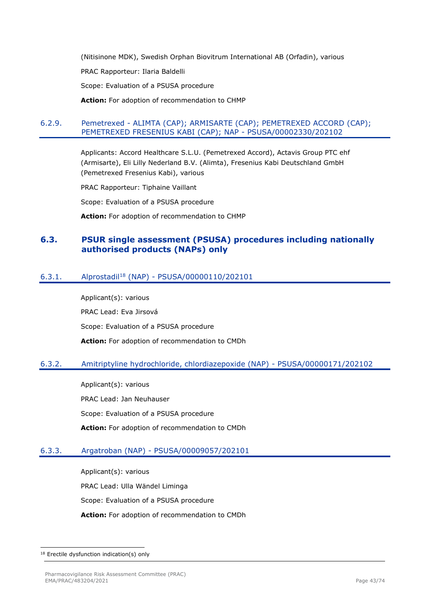(Nitisinone MDK), Swedish Orphan Biovitrum International AB (Orfadin), various

PRAC Rapporteur: Ilaria Baldelli

Scope: Evaluation of a PSUSA procedure

**Action:** For adoption of recommendation to CHMP

## 6.2.9. Pemetrexed - ALIMTA (CAP); ARMISARTE (CAP); PEMETREXED ACCORD (CAP); PEMETREXED FRESENIUS KABI (CAP); NAP - PSUSA/00002330/202102

Applicants: Accord Healthcare S.L.U. (Pemetrexed Accord), Actavis Group PTC ehf (Armisarte), Eli Lilly Nederland B.V. (Alimta), Fresenius Kabi Deutschland GmbH (Pemetrexed Fresenius Kabi), various

PRAC Rapporteur: Tiphaine Vaillant

Scope: Evaluation of a PSUSA procedure

**Action:** For adoption of recommendation to CHMP

## **6.3. PSUR single assessment (PSUSA) procedures including nationally authorised products (NAPs) only**

## 6.3.1. Alprostadil<sup>18</sup> (NAP) - PSUSA/00000110/202101

Applicant(s): various PRAC Lead: Eva Jirsová Scope: Evaluation of a PSUSA procedure **Action:** For adoption of recommendation to CMDh

## 6.3.2. Amitriptyline hydrochloride, chlordiazepoxide (NAP) - PSUSA/00000171/202102

Applicant(s): various PRAC Lead: Jan Neuhauser Scope: Evaluation of a PSUSA procedure **Action:** For adoption of recommendation to CMDh

## 6.3.3. Argatroban (NAP) - PSUSA/00009057/202101

Applicant(s): various PRAC Lead: Ulla Wändel Liminga Scope: Evaluation of a PSUSA procedure **Action:** For adoption of recommendation to CMDh

<sup>&</sup>lt;sup>18</sup> Erectile dysfunction indication(s) only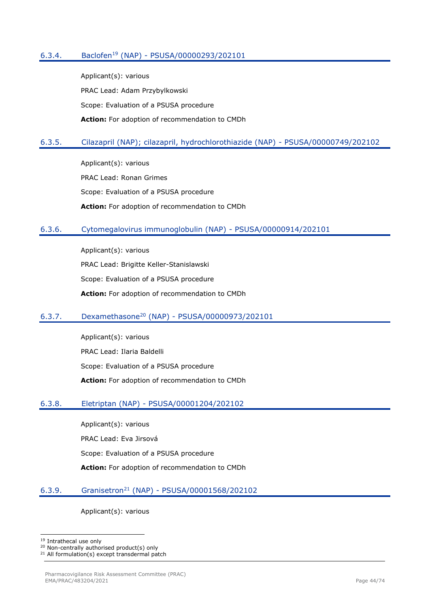## 6.3.4. Baclofen<sup>19</sup> (NAP) - PSUSA/00000293/202101

Applicant(s): various PRAC Lead: Adam Przybylkowski Scope: Evaluation of a PSUSA procedure **Action:** For adoption of recommendation to CMDh

## 6.3.5. Cilazapril (NAP); cilazapril, hydrochlorothiazide (NAP) - PSUSA/00000749/202102

Applicant(s): various PRAC Lead: Ronan Grimes Scope: Evaluation of a PSUSA procedure **Action:** For adoption of recommendation to CMDh

#### 6.3.6. Cytomegalovirus immunoglobulin (NAP) - PSUSA/00000914/202101

Applicant(s): various PRAC Lead: Brigitte Keller-Stanislawski Scope: Evaluation of a PSUSA procedure **Action:** For adoption of recommendation to CMDh

### 6.3.7. Dexamethasone<sup>20</sup> (NAP) - PSUSA/00000973/202101

Applicant(s): various PRAC Lead: Ilaria Baldelli Scope: Evaluation of a PSUSA procedure **Action:** For adoption of recommendation to CMDh

#### 6.3.8. Eletriptan (NAP) - PSUSA/00001204/202102

Applicant(s): various

PRAC Lead: Eva Jirsová

Scope: Evaluation of a PSUSA procedure

**Action:** For adoption of recommendation to CMDh

#### 6.3.9. Granisetron<sup>21</sup> (NAP) - PSUSA/00001568/202102

Applicant(s): various

<sup>&</sup>lt;sup>19</sup> Intrathecal use only

<sup>20</sup> Non-centrally authorised product(s) only

<sup>&</sup>lt;sup>21</sup> All formulation(s) except transdermal patch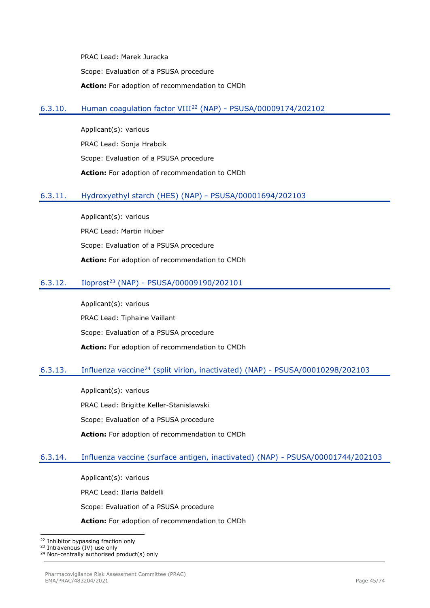PRAC Lead: Marek Juracka Scope: Evaluation of a PSUSA procedure **Action:** For adoption of recommendation to CMDh

## 6.3.10. Human coagulation factor VIII<sup>22</sup> (NAP) - PSUSA/00009174/202102

Applicant(s): various PRAC Lead: Sonja Hrabcik Scope: Evaluation of a PSUSA procedure **Action:** For adoption of recommendation to CMDh

### 6.3.11. Hydroxyethyl starch (HES) (NAP) - PSUSA/00001694/202103

Applicant(s): various PRAC Lead: Martin Huber Scope: Evaluation of a PSUSA procedure **Action:** For adoption of recommendation to CMDh

## 6.3.12. Iloprost<sup>23</sup> (NAP) - PSUSA/00009190/202101

Applicant(s): various PRAC Lead: Tiphaine Vaillant Scope: Evaluation of a PSUSA procedure **Action:** For adoption of recommendation to CMDh

#### 6.3.13. Influenza vaccine<sup>24</sup> (split virion, inactivated) (NAP) - PSUSA/00010298/202103

Applicant(s): various PRAC Lead: Brigitte Keller-Stanislawski Scope: Evaluation of a PSUSA procedure **Action:** For adoption of recommendation to CMDh

## 6.3.14. Influenza vaccine (surface antigen, inactivated) (NAP) - PSUSA/00001744/202103

Applicant(s): various PRAC Lead: Ilaria Baldelli Scope: Evaluation of a PSUSA procedure

**Action:** For adoption of recommendation to CMDh

<sup>&</sup>lt;sup>22</sup> Inhibitor bypassing fraction only

<sup>23</sup> Intravenous (IV) use only

<sup>&</sup>lt;sup>24</sup> Non-centrally authorised product(s) only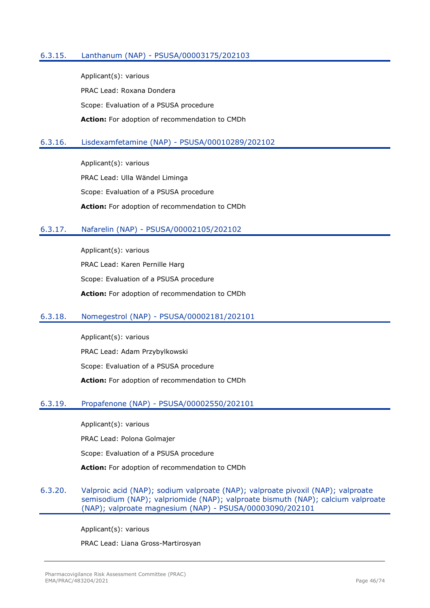### 6.3.15. Lanthanum (NAP) - PSUSA/00003175/202103

Applicant(s): various PRAC Lead: Roxana Dondera Scope: Evaluation of a PSUSA procedure **Action:** For adoption of recommendation to CMDh

#### 6.3.16. Lisdexamfetamine (NAP) - PSUSA/00010289/202102

Applicant(s): various PRAC Lead: Ulla Wändel Liminga Scope: Evaluation of a PSUSA procedure **Action:** For adoption of recommendation to CMDh

#### 6.3.17. Nafarelin (NAP) - PSUSA/00002105/202102

Applicant(s): various PRAC Lead: Karen Pernille Harg Scope: Evaluation of a PSUSA procedure **Action:** For adoption of recommendation to CMDh

#### 6.3.18. Nomegestrol (NAP) - PSUSA/00002181/202101

Applicant(s): various PRAC Lead: Adam Przybylkowski Scope: Evaluation of a PSUSA procedure **Action:** For adoption of recommendation to CMDh

#### 6.3.19. Propafenone (NAP) - PSUSA/00002550/202101

Applicant(s): various PRAC Lead: Polona Golmajer Scope: Evaluation of a PSUSA procedure **Action:** For adoption of recommendation to CMDh

### 6.3.20. Valproic acid (NAP); sodium valproate (NAP); valproate pivoxil (NAP); valproate semisodium (NAP); valpriomide (NAP); valproate bismuth (NAP); calcium valproate (NAP); valproate magnesium (NAP) - PSUSA/00003090/202101

Applicant(s): various

PRAC Lead: Liana Gross-Martirosyan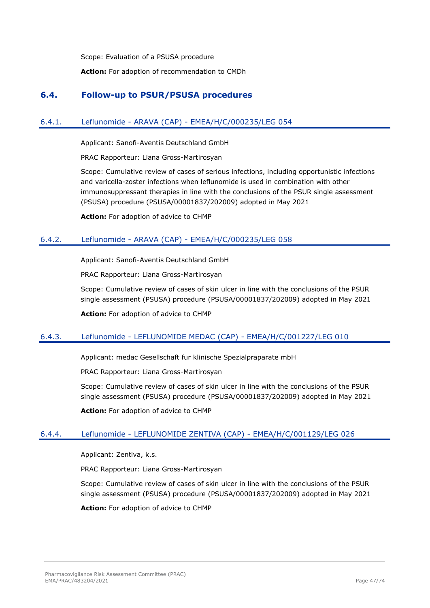Scope: Evaluation of a PSUSA procedure

**Action:** For adoption of recommendation to CMDh

## **6.4. Follow-up to PSUR/PSUSA procedures**

## 6.4.1. Leflunomide - ARAVA (CAP) - EMEA/H/C/000235/LEG 054

Applicant: Sanofi-Aventis Deutschland GmbH

PRAC Rapporteur: Liana Gross-Martirosyan

Scope: Cumulative review of cases of serious infections, including opportunistic infections and varicella-zoster infections when leflunomide is used in combination with other immunosuppressant therapies in line with the conclusions of the PSUR single assessment (PSUSA) procedure (PSUSA/00001837/202009) adopted in May 2021

**Action:** For adoption of advice to CHMP

### 6.4.2. Leflunomide - ARAVA (CAP) - EMEA/H/C/000235/LEG 058

Applicant: Sanofi-Aventis Deutschland GmbH

PRAC Rapporteur: Liana Gross-Martirosyan

Scope: Cumulative review of cases of skin ulcer in line with the conclusions of the PSUR single assessment (PSUSA) procedure (PSUSA/00001837/202009) adopted in May 2021

**Action:** For adoption of advice to CHMP

## 6.4.3. Leflunomide - LEFLUNOMIDE MEDAC (CAP) - EMEA/H/C/001227/LEG 010

Applicant: medac Gesellschaft fur klinische Spezialpraparate mbH

PRAC Rapporteur: Liana Gross-Martirosyan

Scope: Cumulative review of cases of skin ulcer in line with the conclusions of the PSUR single assessment (PSUSA) procedure (PSUSA/00001837/202009) adopted in May 2021

**Action:** For adoption of advice to CHMP

#### 6.4.4. Leflunomide - LEFLUNOMIDE ZENTIVA (CAP) - EMEA/H/C/001129/LEG 026

Applicant: Zentiva, k.s.

PRAC Rapporteur: Liana Gross-Martirosyan

Scope: Cumulative review of cases of skin ulcer in line with the conclusions of the PSUR single assessment (PSUSA) procedure (PSUSA/00001837/202009) adopted in May 2021

**Action:** For adoption of advice to CHMP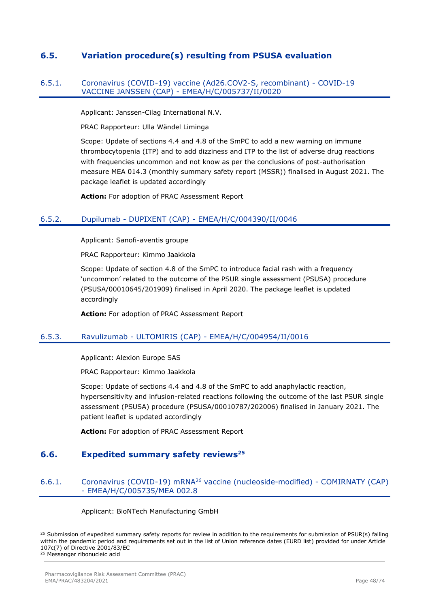## **6.5. Variation procedure(s) resulting from PSUSA evaluation**

#### 6.5.1. Coronavirus (COVID-19) vaccine (Ad26.COV2-S, recombinant) - COVID-19 VACCINE JANSSEN (CAP) - EMEA/H/C/005737/II/0020

Applicant: Janssen-Cilag International N.V.

PRAC Rapporteur: Ulla Wändel Liminga

Scope: Update of sections 4.4 and 4.8 of the SmPC to add a new warning on immune thrombocytopenia (ITP) and to add dizziness and ITP to the list of adverse drug reactions with frequencies uncommon and not know as per the conclusions of post-authorisation measure MEA 014.3 (monthly summary safety report (MSSR)) finalised in August 2021. The package leaflet is updated accordingly

**Action:** For adoption of PRAC Assessment Report

### 6.5.2. Dupilumab - DUPIXENT (CAP) - EMEA/H/C/004390/II/0046

Applicant: Sanofi-aventis groupe

PRAC Rapporteur: Kimmo Jaakkola

Scope: Update of section 4.8 of the SmPC to introduce facial rash with a frequency 'uncommon' related to the outcome of the PSUR single assessment (PSUSA) procedure (PSUSA/00010645/201909) finalised in April 2020. The package leaflet is updated accordingly

**Action:** For adoption of PRAC Assessment Report

#### 6.5.3. Ravulizumab - ULTOMIRIS (CAP) - EMEA/H/C/004954/II/0016

Applicant: Alexion Europe SAS

PRAC Rapporteur: Kimmo Jaakkola

Scope: Update of sections 4.4 and 4.8 of the SmPC to add anaphylactic reaction, hypersensitivity and infusion-related reactions following the outcome of the last PSUR single assessment (PSUSA) procedure (PSUSA/00010787/202006) finalised in January 2021. The patient leaflet is updated accordingly

**Action:** For adoption of PRAC Assessment Report

## **6.6. Expedited summary safety reviews<sup>25</sup>**

### 6.6.1. Coronavirus (COVID-19) mRNA<sup>26</sup> vaccine (nucleoside-modified) - COMIRNATY (CAP) - EMEA/H/C/005735/MEA 002.8

Applicant: BioNTech Manufacturing GmbH

<sup>&</sup>lt;sup>25</sup> Submission of expedited summary safety reports for review in addition to the requirements for submission of PSUR(s) falling within the pandemic period and requirements set out in the list of Union reference dates (EURD list) provided for under Article 107c(7) of Directive 2001/83/EC <sup>26</sup> Messenger ribonucleic acid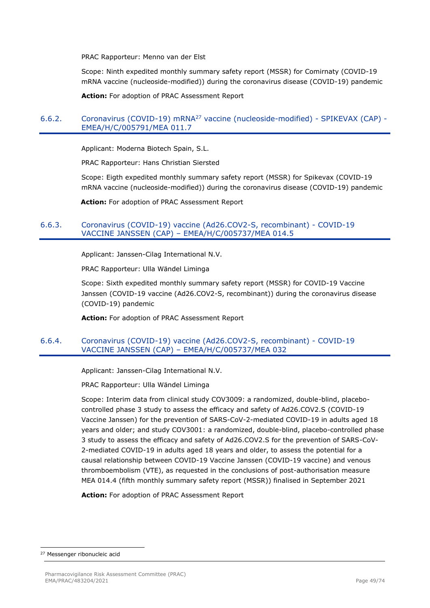PRAC Rapporteur: Menno van der Elst

Scope: Ninth expedited monthly summary safety report (MSSR) for Comirnaty (COVID-19 mRNA vaccine (nucleoside-modified)) during the coronavirus disease (COVID-19) pandemic

**Action:** For adoption of PRAC Assessment Report

### 6.6.2. Coronavirus (COVID-19) mRNA<sup>27</sup> vaccine (nucleoside-modified) - SPIKEVAX (CAP) - EMEA/H/C/005791/MEA 011.7

Applicant: Moderna Biotech Spain, S.L.

PRAC Rapporteur: Hans Christian Siersted

Scope: Eigth expedited monthly summary safety report (MSSR) for Spikevax (COVID-19 mRNA vaccine (nucleoside-modified)) during the coronavirus disease (COVID-19) pandemic

**Action:** For adoption of PRAC Assessment Report

#### 6.6.3. Coronavirus (COVID-19) vaccine (Ad26.COV2-S, recombinant) - COVID-19 VACCINE JANSSEN (CAP) – EMEA/H/C/005737/MEA 014.5

Applicant: Janssen-Cilag International N.V.

PRAC Rapporteur: Ulla Wändel Liminga

Scope: Sixth expedited monthly summary safety report (MSSR) for COVID-19 Vaccine Janssen (COVID-19 vaccine (Ad26.COV2-S, recombinant)) during the coronavirus disease (COVID-19) pandemic

**Action:** For adoption of PRAC Assessment Report

### 6.6.4. Coronavirus (COVID-19) vaccine (Ad26.COV2-S, recombinant) - COVID-19 VACCINE JANSSEN (CAP) – EMEA/H/C/005737/MEA 032

Applicant: Janssen-Cilag International N.V.

PRAC Rapporteur: Ulla Wändel Liminga

Scope: Interim data from clinical study COV3009: a randomized, double-blind, placebocontrolled phase 3 study to assess the efficacy and safety of Ad26.COV2.S (COVID-19 Vaccine Janssen) for the prevention of SARS-CoV-2-mediated COVID-19 in adults aged 18 years and older; and study COV3001: a randomized, double-blind, placebo-controlled phase 3 study to assess the efficacy and safety of Ad26.COV2.S for the prevention of SARS-CoV-2-mediated COVID-19 in adults aged 18 years and older, to assess the potential for a causal relationship between COVID-19 Vaccine Janssen (COVID-19 vaccine) and venous thromboembolism (VTE), as requested in the conclusions of post-authorisation measure MEA 014.4 (fifth monthly summary safety report (MSSR)) finalised in September 2021

**Action:** For adoption of PRAC Assessment Report

<sup>27</sup> Messenger ribonucleic acid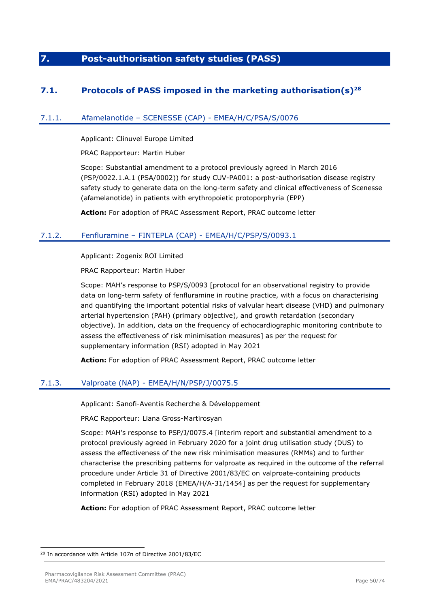# **7. Post-authorisation safety studies (PASS)**

## **7.1. Protocols of PASS imposed in the marketing authorisation(s)<sup>28</sup>**

## 7.1.1. Afamelanotide – SCENESSE (CAP) - EMEA/H/C/PSA/S/0076

Applicant: Clinuvel Europe Limited

PRAC Rapporteur: Martin Huber

Scope: Substantial amendment to a protocol previously agreed in March 2016 (PSP/0022.1.A.1 (PSA/0002)) for study CUV-PA001: a post-authorisation disease registry safety study to generate data on the long-term safety and clinical effectiveness of Scenesse (afamelanotide) in patients with erythropoietic protoporphyria (EPP)

**Action:** For adoption of PRAC Assessment Report, PRAC outcome letter

## 7.1.2. Fenfluramine – FINTEPLA (CAP) - EMEA/H/C/PSP/S/0093.1

Applicant: Zogenix ROI Limited

PRAC Rapporteur: Martin Huber

Scope: MAH's response to PSP/S/0093 [protocol for an observational registry to provide data on long-term safety of fenfluramine in routine practice, with a focus on characterising and quantifying the important potential risks of valvular heart disease (VHD) and pulmonary arterial hypertension (PAH) (primary objective), and growth retardation (secondary objective). In addition, data on the frequency of echocardiographic monitoring contribute to assess the effectiveness of risk minimisation measures] as per the request for supplementary information (RSI) adopted in May 2021

**Action:** For adoption of PRAC Assessment Report, PRAC outcome letter

## 7.1.3. Valproate (NAP) - EMEA/H/N/PSP/J/0075.5

Applicant: Sanofi-Aventis Recherche & Développement

PRAC Rapporteur: Liana Gross-Martirosyan

Scope: MAH's response to PSP/J/0075.4 [interim report and substantial amendment to a protocol previously agreed in February 2020 for a joint drug utilisation study (DUS) to assess the effectiveness of the new risk minimisation measures (RMMs) and to further characterise the prescribing patterns for valproate as required in the outcome of the referral procedure under Article 31 of Directive 2001/83/EC on valproate-containing products completed in February 2018 (EMEA/H/A-31/1454] as per the request for supplementary information (RSI) adopted in May 2021

**Action:** For adoption of PRAC Assessment Report, PRAC outcome letter

<sup>28</sup> In accordance with Article 107n of Directive 2001/83/EC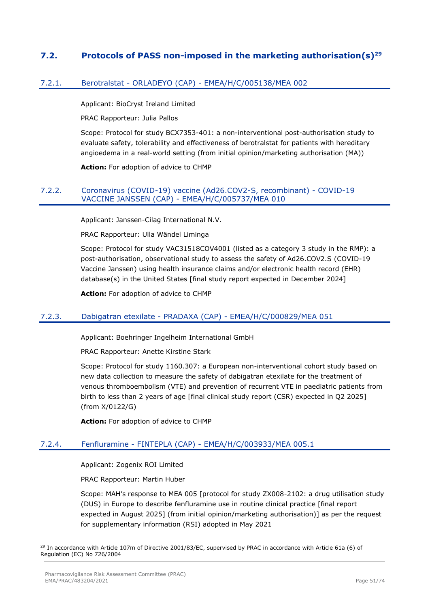## **7.2. Protocols of PASS non-imposed in the marketing authorisation(s)<sup>29</sup>**

### 7.2.1. Berotralstat - ORLADEYO (CAP) - EMEA/H/C/005138/MEA 002

Applicant: BioCryst Ireland Limited

PRAC Rapporteur: Julia Pallos

Scope: Protocol for study BCX7353-401: a non-interventional post-authorisation study to evaluate safety, tolerability and effectiveness of berotralstat for patients with hereditary angioedema in a real-world setting (from initial opinion/marketing authorisation (MA))

**Action:** For adoption of advice to CHMP

#### 7.2.2. Coronavirus (COVID-19) vaccine (Ad26.COV2-S, recombinant) - COVID-19 VACCINE JANSSEN (CAP) - EMEA/H/C/005737/MEA 010

Applicant: Janssen-Cilag International N.V.

PRAC Rapporteur: Ulla Wändel Liminga

Scope: Protocol for study VAC31518COV4001 (listed as a category 3 study in the RMP): a post-authorisation, observational study to assess the safety of Ad26.COV2.S (COVID-19 Vaccine Janssen) using health insurance claims and/or electronic health record (EHR) database(s) in the United States [final study report expected in December 2024]

**Action:** For adoption of advice to CHMP

#### 7.2.3. Dabigatran etexilate - PRADAXA (CAP) - EMEA/H/C/000829/MEA 051

Applicant: Boehringer Ingelheim International GmbH

PRAC Rapporteur: Anette Kirstine Stark

Scope: Protocol for study 1160.307: a European non-interventional cohort study based on new data collection to measure the safety of dabigatran etexilate for the treatment of venous thromboembolism (VTE) and prevention of recurrent VTE in paediatric patients from birth to less than 2 years of age [final clinical study report (CSR) expected in Q2 2025] (from X/0122/G)

**Action:** For adoption of advice to CHMP

## 7.2.4. Fenfluramine - FINTEPLA (CAP) - EMEA/H/C/003933/MEA 005.1

Applicant: Zogenix ROI Limited

PRAC Rapporteur: Martin Huber

Scope: MAH's response to MEA 005 [protocol for study ZX008-2102: a drug utilisation study (DUS) in Europe to describe fenfluramine use in routine clinical practice [final report expected in August 2025] (from initial opinion/marketing authorisation)] as per the request for supplementary information (RSI) adopted in May 2021

<sup>29</sup> In accordance with Article 107m of Directive 2001/83/EC, supervised by PRAC in accordance with Article 61a (6) of Regulation (EC) No 726/2004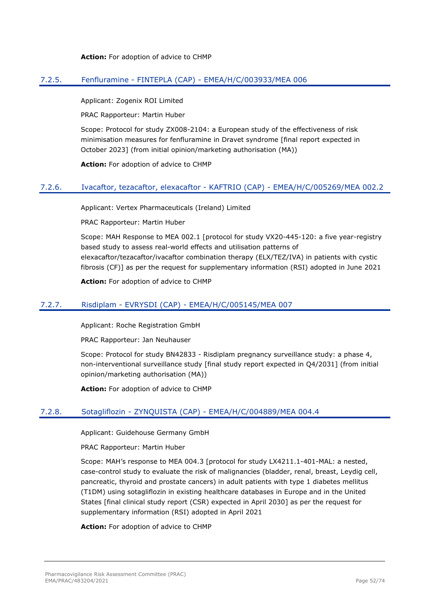#### **Action:** For adoption of advice to CHMP

### 7.2.5. Fenfluramine - FINTEPLA (CAP) - EMEA/H/C/003933/MEA 006

Applicant: Zogenix ROI Limited

PRAC Rapporteur: Martin Huber

Scope: Protocol for study ZX008-2104: a European study of the effectiveness of risk minimisation measures for fenfluramine in Dravet syndrome [final report expected in October 2023] (from initial opinion/marketing authorisation (MA))

**Action:** For adoption of advice to CHMP

#### 7.2.6. Ivacaftor, tezacaftor, elexacaftor - KAFTRIO (CAP) - EMEA/H/C/005269/MEA 002.2

Applicant: Vertex Pharmaceuticals (Ireland) Limited

PRAC Rapporteur: Martin Huber

Scope: MAH Response to MEA 002.1 [protocol for study VX20-445-120: a five year-registry based study to assess real-world effects and utilisation patterns of elexacaftor/tezacaftor/ivacaftor combination therapy (ELX/TEZ/IVA) in patients with cystic fibrosis (CF)] as per the request for supplementary information (RSI) adopted in June 2021

**Action:** For adoption of advice to CHMP

### 7.2.7. Risdiplam - EVRYSDI (CAP) - EMEA/H/C/005145/MEA 007

Applicant: Roche Registration GmbH

PRAC Rapporteur: Jan Neuhauser

Scope: Protocol for study BN42833 - Risdiplam pregnancy surveillance study: a phase 4, non-interventional surveillance study [final study report expected in Q4/2031] (from initial opinion/marketing authorisation (MA))

**Action:** For adoption of advice to CHMP

#### 7.2.8. Sotagliflozin - ZYNQUISTA (CAP) - EMEA/H/C/004889/MEA 004.4

Applicant: Guidehouse Germany GmbH

PRAC Rapporteur: Martin Huber

Scope: MAH's response to MEA 004.3 [protocol for study LX4211.1-401-MAL: a nested, case-control study to evaluate the risk of malignancies (bladder, renal, breast, Leydig cell, pancreatic, thyroid and prostate cancers) in adult patients with type 1 diabetes mellitus (T1DM) using sotagliflozin in existing healthcare databases in Europe and in the United States [final clinical study report (CSR) expected in April 2030] as per the request for supplementary information (RSI) adopted in April 2021

**Action:** For adoption of advice to CHMP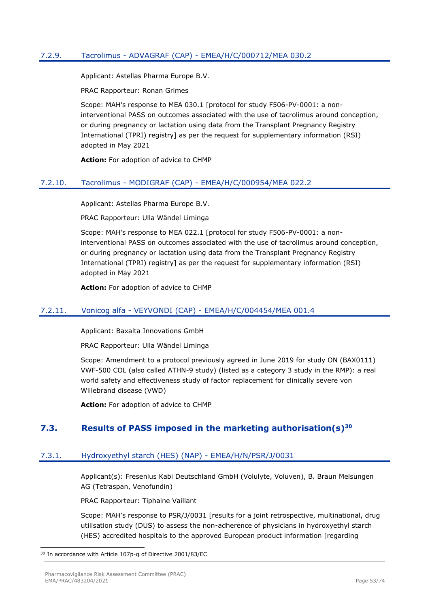## 7.2.9. Tacrolimus - ADVAGRAF (CAP) - EMEA/H/C/000712/MEA 030.2

Applicant: Astellas Pharma Europe B.V.

PRAC Rapporteur: Ronan Grimes

Scope: MAH's response to MEA 030.1 [protocol for study F506-PV-0001: a noninterventional PASS on outcomes associated with the use of tacrolimus around conception, or during pregnancy or lactation using data from the Transplant Pregnancy Registry International (TPRI) registry] as per the request for supplementary information (RSI) adopted in May 2021

**Action:** For adoption of advice to CHMP

#### 7.2.10. Tacrolimus - MODIGRAF (CAP) - EMEA/H/C/000954/MEA 022.2

Applicant: Astellas Pharma Europe B.V.

PRAC Rapporteur: Ulla Wändel Liminga

Scope: MAH's response to MEA 022.1 [protocol for study F506-PV-0001: a noninterventional PASS on outcomes associated with the use of tacrolimus around conception, or during pregnancy or lactation using data from the Transplant Pregnancy Registry International (TPRI) registry] as per the request for supplementary information (RSI) adopted in May 2021

**Action:** For adoption of advice to CHMP

#### 7.2.11. Vonicog alfa - VEYVONDI (CAP) - EMEA/H/C/004454/MEA 001.4

Applicant: Baxalta Innovations GmbH

PRAC Rapporteur: Ulla Wändel Liminga

Scope: Amendment to a protocol previously agreed in June 2019 for study ON (BAX0111) VWF-500 COL (also called ATHN-9 study) (listed as a category 3 study in the RMP): a real world safety and effectiveness study of factor replacement for clinically severe von Willebrand disease (VWD)

**Action:** For adoption of advice to CHMP

## **7.3. Results of PASS imposed in the marketing authorisation(s)<sup>30</sup>**

#### 7.3.1. Hydroxyethyl starch (HES) (NAP) - EMEA/H/N/PSR/J/0031

Applicant(s): Fresenius Kabi Deutschland GmbH (Volulyte, Voluven), B. Braun Melsungen AG (Tetraspan, Venofundin)

PRAC Rapporteur: Tiphaine Vaillant

Scope: MAH's response to PSR/J/0031 [results for a joint retrospective, multinational, drug utilisation study (DUS) to assess the non-adherence of physicians in hydroxyethyl starch (HES) accredited hospitals to the approved European product information [regarding

<sup>30</sup> In accordance with Article 107p-q of Directive 2001/83/EC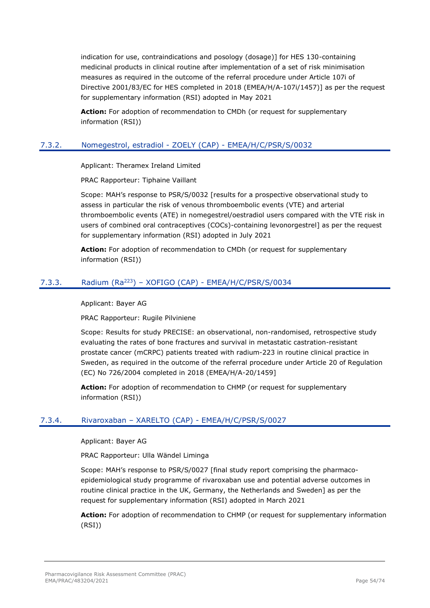indication for use, contraindications and posology (dosage)] for HES 130-containing medicinal products in clinical routine after implementation of a set of risk minimisation measures as required in the outcome of the referral procedure under Article 107i of Directive 2001/83/EC for HES completed in 2018 (EMEA/H/A-107i/1457)] as per the request for supplementary information (RSI) adopted in May 2021

**Action:** For adoption of recommendation to CMDh (or request for supplementary information (RSI))

## 7.3.2. Nomegestrol, estradiol - ZOELY (CAP) - EMEA/H/C/PSR/S/0032

Applicant: Theramex Ireland Limited

PRAC Rapporteur: Tiphaine Vaillant

Scope: MAH's response to PSR/S/0032 [results for a prospective observational study to assess in particular the risk of venous thromboembolic events (VTE) and arterial thromboembolic events (ATE) in nomegestrel/oestradiol users compared with the VTE risk in users of combined oral contraceptives (COCs)-containing levonorgestrel] as per the request for supplementary information (RSI) adopted in July 2021

**Action:** For adoption of recommendation to CMDh (or request for supplementary information (RSI))

## 7.3.3. Radium (Ra<sup>223</sup>) – XOFIGO (CAP) - EMEA/H/C/PSR/S/0034

Applicant: Bayer AG

PRAC Rapporteur: Rugile Pilviniene

Scope: Results for study PRECISE: an observational, non-randomised, retrospective study evaluating the rates of bone fractures and survival in metastatic castration-resistant prostate cancer (mCRPC) patients treated with radium-223 in routine clinical practice in Sweden, as required in the outcome of the referral procedure under Article 20 of Regulation (EC) No 726/2004 completed in 2018 (EMEA/H/A-20/1459]

**Action:** For adoption of recommendation to CHMP (or request for supplementary information (RSI))

## 7.3.4. Rivaroxaban – XARELTO (CAP) - EMEA/H/C/PSR/S/0027

Applicant: Bayer AG

PRAC Rapporteur: Ulla Wändel Liminga

Scope: MAH's response to PSR/S/0027 [final study report comprising the pharmacoepidemiological study programme of rivaroxaban use and potential adverse outcomes in routine clinical practice in the UK, Germany, the Netherlands and Sweden] as per the request for supplementary information (RSI) adopted in March 2021

**Action:** For adoption of recommendation to CHMP (or request for supplementary information (RSI))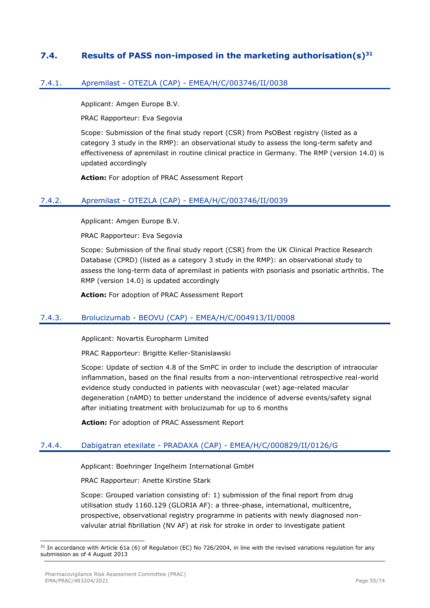## **7.4. Results of PASS non-imposed in the marketing authorisation(s)<sup>31</sup>**

## 7.4.1. Apremilast - OTEZLA (CAP) - EMEA/H/C/003746/II/0038

Applicant: Amgen Europe B.V.

PRAC Rapporteur: Eva Segovia

Scope: Submission of the final study report (CSR) from PsOBest registry (listed as a category 3 study in the RMP): an observational study to assess the long-term safety and effectiveness of apremilast in routine clinical practice in Germany. The RMP (version 14.0) is updated accordingly

**Action:** For adoption of PRAC Assessment Report

#### 7.4.2. Apremilast - OTEZLA (CAP) - EMEA/H/C/003746/II/0039

Applicant: Amgen Europe B.V.

PRAC Rapporteur: Eva Segovia

Scope: Submission of the final study report (CSR) from the UK Clinical Practice Research Database (CPRD) (listed as a category 3 study in the RMP): an observational study to assess the long-term data of apremilast in patients with psoriasis and psoriatic arthritis. The RMP (version 14.0) is updated accordingly

**Action:** For adoption of PRAC Assessment Report

#### 7.4.3. Brolucizumab - BEOVU (CAP) - EMEA/H/C/004913/II/0008

Applicant: Novartis Europharm Limited

PRAC Rapporteur: Brigitte Keller-Stanislawski

Scope: Update of section 4.8 of the SmPC in order to include the description of intraocular inflammation, based on the final results from a non-interventional retrospective real-world evidence study conducted in patients with neovascular (wet) age-related macular degeneration (nAMD) to better understand the incidence of adverse events/safety signal after initiating treatment with brolucizumab for up to 6 months

**Action:** For adoption of PRAC Assessment Report

## 7.4.4. Dabigatran etexilate - PRADAXA (CAP) - EMEA/H/C/000829/II/0126/G

Applicant: Boehringer Ingelheim International GmbH

PRAC Rapporteur: Anette Kirstine Stark

Scope: Grouped variation consisting of: 1) submission of the final report from drug utilisation study 1160.129 (GLORIA AF): a three-phase, international, multicentre, prospective, observational registry programme in patients with newly diagnosed nonvalvular atrial fibrillation (NV AF) at risk for stroke in order to investigate patient

<sup>31</sup> In accordance with Article 61a (6) of Regulation (EC) No 726/2004, in line with the revised variations regulation for any submission as of 4 August 2013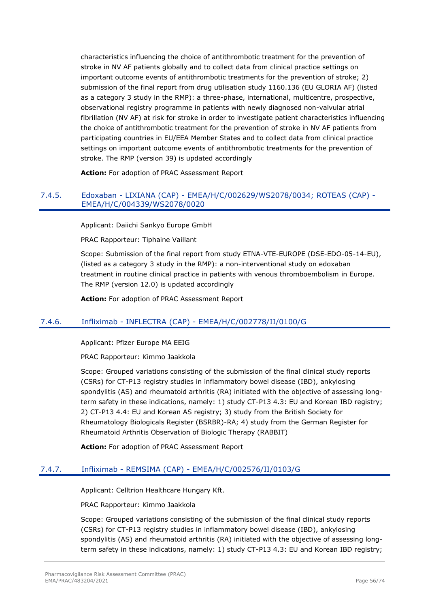characteristics influencing the choice of antithrombotic treatment for the prevention of stroke in NV AF patients globally and to collect data from clinical practice settings on important outcome events of antithrombotic treatments for the prevention of stroke; 2) submission of the final report from drug utilisation study 1160.136 (EU GLORIA AF) (listed as a category 3 study in the RMP): a three-phase, international, multicentre, prospective, observational registry programme in patients with newly diagnosed non-valvular atrial fibrillation (NV AF) at risk for stroke in order to investigate patient characteristics influencing the choice of antithrombotic treatment for the prevention of stroke in NV AF patients from participating countries in EU/EEA Member States and to collect data from clinical practice settings on important outcome events of antithrombotic treatments for the prevention of stroke. The RMP (version 39) is updated accordingly

**Action:** For adoption of PRAC Assessment Report

### 7.4.5. Edoxaban - LIXIANA (CAP) - EMEA/H/C/002629/WS2078/0034; ROTEAS (CAP) - EMEA/H/C/004339/WS2078/0020

Applicant: Daiichi Sankyo Europe GmbH

PRAC Rapporteur: Tiphaine Vaillant

Scope: Submission of the final report from study ETNA-VTE-EUROPE (DSE-EDO-05-14-EU), (listed as a category 3 study in the RMP): a non-interventional study on edoxaban treatment in routine clinical practice in patients with venous thromboembolism in Europe. The RMP (version 12.0) is updated accordingly

**Action:** For adoption of PRAC Assessment Report

## 7.4.6. Infliximab - INFLECTRA (CAP) - EMEA/H/C/002778/II/0100/G

Applicant: Pfizer Europe MA EEIG

PRAC Rapporteur: Kimmo Jaakkola

Scope: Grouped variations consisting of the submission of the final clinical study reports (CSRs) for CT-P13 registry studies in inflammatory bowel disease (IBD), ankylosing spondylitis (AS) and rheumatoid arthritis (RA) initiated with the objective of assessing longterm safety in these indications, namely: 1) study CT-P13 4.3: EU and Korean IBD registry; 2) CT-P13 4.4: EU and Korean AS registry; 3) study from the British Society for Rheumatology Biologicals Register (BSRBR)-RA; 4) study from the German Register for Rheumatoid Arthritis Observation of Biologic Therapy (RABBIT)

**Action:** For adoption of PRAC Assessment Report

## 7.4.7. Infliximab - REMSIMA (CAP) - EMEA/H/C/002576/II/0103/G

Applicant: Celltrion Healthcare Hungary Kft.

PRAC Rapporteur: Kimmo Jaakkola

Scope: Grouped variations consisting of the submission of the final clinical study reports (CSRs) for CT-P13 registry studies in inflammatory bowel disease (IBD), ankylosing spondylitis (AS) and rheumatoid arthritis (RA) initiated with the objective of assessing longterm safety in these indications, namely: 1) study CT-P13 4.3: EU and Korean IBD registry;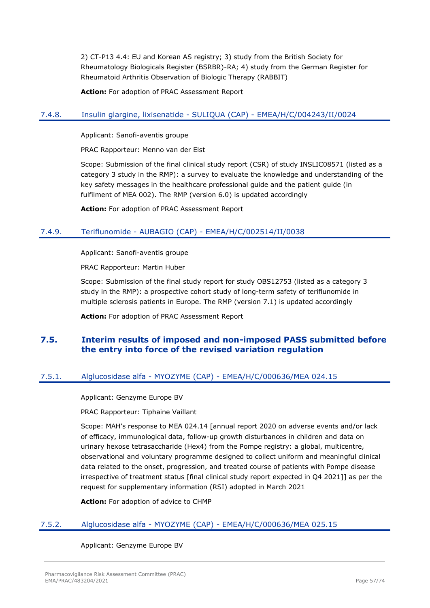2) CT-P13 4.4: EU and Korean AS registry; 3) study from the British Society for Rheumatology Biologicals Register (BSRBR)-RA; 4) study from the German Register for Rheumatoid Arthritis Observation of Biologic Therapy (RABBIT)

**Action:** For adoption of PRAC Assessment Report

## 7.4.8. Insulin glargine, lixisenatide - SULIQUA (CAP) - EMEA/H/C/004243/II/0024

Applicant: Sanofi-aventis groupe

PRAC Rapporteur: Menno van der Elst

Scope: Submission of the final clinical study report (CSR) of study INSLIC08571 (listed as a category 3 study in the RMP): a survey to evaluate the knowledge and understanding of the key safety messages in the healthcare professional guide and the patient guide (in fulfilment of MEA 002). The RMP (version 6.0) is updated accordingly

**Action:** For adoption of PRAC Assessment Report

### 7.4.9. Teriflunomide - AUBAGIO (CAP) - EMEA/H/C/002514/II/0038

Applicant: Sanofi-aventis groupe

PRAC Rapporteur: Martin Huber

Scope: Submission of the final study report for study OBS12753 (listed as a category 3 study in the RMP): a prospective cohort study of long-term safety of teriflunomide in multiple sclerosis patients in Europe. The RMP (version 7.1) is updated accordingly

**Action:** For adoption of PRAC Assessment Report

## **7.5. Interim results of imposed and non-imposed PASS submitted before the entry into force of the revised variation regulation**

## 7.5.1. Alglucosidase alfa - MYOZYME (CAP) - EMEA/H/C/000636/MEA 024.15

Applicant: Genzyme Europe BV

PRAC Rapporteur: Tiphaine Vaillant

Scope: MAH's response to MEA 024.14 [annual report 2020 on adverse events and/or lack of efficacy, immunological data, follow-up growth disturbances in children and data on urinary hexose tetrasaccharide (Hex4) from the Pompe registry: a global, multicentre, observational and voluntary programme designed to collect uniform and meaningful clinical data related to the onset, progression, and treated course of patients with Pompe disease irrespective of treatment status [final clinical study report expected in Q4 2021]] as per the request for supplementary information (RSI) adopted in March 2021

**Action:** For adoption of advice to CHMP

#### 7.5.2. Alglucosidase alfa - MYOZYME (CAP) - EMEA/H/C/000636/MEA 025.15

Applicant: Genzyme Europe BV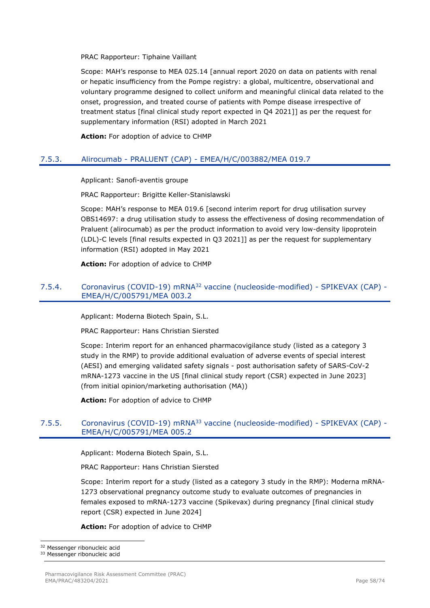PRAC Rapporteur: Tiphaine Vaillant

Scope: MAH's response to MEA 025.14 [annual report 2020 on data on patients with renal or hepatic insufficiency from the Pompe registry: a global, multicentre, observational and voluntary programme designed to collect uniform and meaningful clinical data related to the onset, progression, and treated course of patients with Pompe disease irrespective of treatment status [final clinical study report expected in Q4 2021]] as per the request for supplementary information (RSI) adopted in March 2021

**Action:** For adoption of advice to CHMP

### 7.5.3. Alirocumab - PRALUENT (CAP) - EMEA/H/C/003882/MEA 019.7

Applicant: Sanofi-aventis groupe

PRAC Rapporteur: Brigitte Keller-Stanislawski

Scope: MAH's response to MEA 019.6 [second interim report for drug utilisation survey OBS14697: a drug utilisation study to assess the effectiveness of dosing recommendation of Praluent (alirocumab) as per the product information to avoid very low-density lipoprotein (LDL)-C levels [final results expected in Q3 2021]] as per the request for supplementary information (RSI) adopted in May 2021

**Action:** For adoption of advice to CHMP

#### 7.5.4. Coronavirus (COVID-19) mRNA<sup>32</sup> vaccine (nucleoside-modified) - SPIKEVAX (CAP) -EMEA/H/C/005791/MEA 003.2

Applicant: Moderna Biotech Spain, S.L.

PRAC Rapporteur: Hans Christian Siersted

Scope: Interim report for an enhanced pharmacovigilance study (listed as a category 3 study in the RMP) to provide additional evaluation of adverse events of special interest (AESI) and emerging validated safety signals - post authorisation safety of SARS-CoV-2 mRNA-1273 vaccine in the US [final clinical study report (CSR) expected in June 2023] (from initial opinion/marketing authorisation (MA))

**Action:** For adoption of advice to CHMP

### 7.5.5. Coronavirus (COVID-19) mRNA<sup>33</sup> vaccine (nucleoside-modified) - SPIKEVAX (CAP) - EMEA/H/C/005791/MEA 005.2

Applicant: Moderna Biotech Spain, S.L.

PRAC Rapporteur: Hans Christian Siersted

Scope: Interim report for a study (listed as a category 3 study in the RMP): Moderna mRNA-1273 observational pregnancy outcome study to evaluate outcomes of pregnancies in females exposed to mRNA-1273 vaccine (Spikevax) during pregnancy [final clinical study report (CSR) expected in June 2024]

**Action:** For adoption of advice to CHMP

<sup>32</sup> Messenger ribonucleic acid

<sup>33</sup> Messenger ribonucleic acid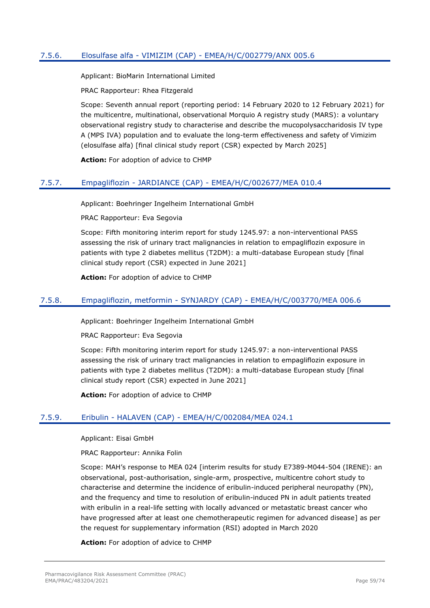## 7.5.6. Elosulfase alfa - VIMIZIM (CAP) - EMEA/H/C/002779/ANX 005.6

Applicant: BioMarin International Limited

PRAC Rapporteur: Rhea Fitzgerald

Scope: Seventh annual report (reporting period: 14 February 2020 to 12 February 2021) for the multicentre, multinational, observational Morquio A registry study (MARS): a voluntary observational registry study to characterise and describe the mucopolysaccharidosis IV type A (MPS IVA) population and to evaluate the long-term effectiveness and safety of Vimizim (elosulfase alfa) [final clinical study report (CSR) expected by March 2025]

**Action:** For adoption of advice to CHMP

#### 7.5.7. Empagliflozin - JARDIANCE (CAP) - EMEA/H/C/002677/MEA 010.4

Applicant: Boehringer Ingelheim International GmbH

PRAC Rapporteur: Eva Segovia

Scope: Fifth monitoring interim report for study 1245.97: a non-interventional PASS assessing the risk of urinary tract malignancies in relation to empagliflozin exposure in patients with type 2 diabetes mellitus (T2DM): a multi-database European study [final clinical study report (CSR) expected in June 2021]

**Action:** For adoption of advice to CHMP

#### 7.5.8. Empagliflozin, metformin - SYNJARDY (CAP) - EMEA/H/C/003770/MEA 006.6

Applicant: Boehringer Ingelheim International GmbH

PRAC Rapporteur: Eva Segovia

Scope: Fifth monitoring interim report for study 1245.97: a non-interventional PASS assessing the risk of urinary tract malignancies in relation to empagliflozin exposure in patients with type 2 diabetes mellitus (T2DM): a multi-database European study [final clinical study report (CSR) expected in June 2021]

**Action:** For adoption of advice to CHMP

#### 7.5.9. Eribulin - HALAVEN (CAP) - EMEA/H/C/002084/MEA 024.1

Applicant: Eisai GmbH

PRAC Rapporteur: Annika Folin

Scope: MAH's response to MEA 024 [interim results for study E7389-M044-504 (IRENE): an observational, post-authorisation, single-arm, prospective, multicentre cohort study to characterise and determine the incidence of eribulin-induced peripheral neuropathy (PN), and the frequency and time to resolution of eribulin-induced PN in adult patients treated with eribulin in a real-life setting with locally advanced or metastatic breast cancer who have progressed after at least one chemotherapeutic regimen for advanced disease] as per the request for supplementary information (RSI) adopted in March 2020

**Action:** For adoption of advice to CHMP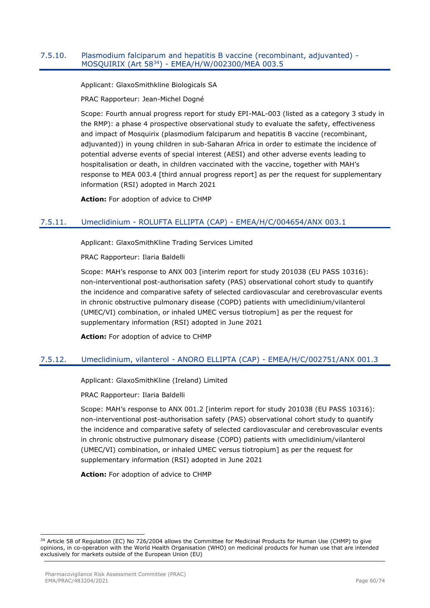#### 7.5.10. Plasmodium falciparum and hepatitis B vaccine (recombinant, adjuvanted) - MOSQUIRIX (Art 58<sup>34</sup>) - EMEA/H/W/002300/MEA 003.5

Applicant: GlaxoSmithkline Biologicals SA

PRAC Rapporteur: Jean-Michel Dogné

Scope: Fourth annual progress report for study EPI-MAL-003 (listed as a category 3 study in the RMP): a phase 4 prospective observational study to evaluate the safety, effectiveness and impact of Mosquirix (plasmodium falciparum and hepatitis B vaccine (recombinant, adjuvanted)) in young children in sub-Saharan Africa in order to estimate the incidence of potential adverse events of special interest (AESI) and other adverse events leading to hospitalisation or death, in children vaccinated with the vaccine, together with MAH's response to MEA 003.4 [third annual progress report] as per the request for supplementary information (RSI) adopted in March 2021

**Action:** For adoption of advice to CHMP

### 7.5.11. Umeclidinium - ROLUFTA ELLIPTA (CAP) - EMEA/H/C/004654/ANX 003.1

Applicant: GlaxoSmithKline Trading Services Limited

PRAC Rapporteur: Ilaria Baldelli

Scope: MAH's response to ANX 003 [interim report for study 201038 (EU PASS 10316): non-interventional post-authorisation safety (PAS) observational cohort study to quantify the incidence and comparative safety of selected cardiovascular and cerebrovascular events in chronic obstructive pulmonary disease (COPD) patients with umeclidinium/vilanterol (UMEC/VI) combination, or inhaled UMEC versus tiotropium] as per the request for supplementary information (RSI) adopted in June 2021

**Action:** For adoption of advice to CHMP

## 7.5.12. Umeclidinium, vilanterol - ANORO ELLIPTA (CAP) - EMEA/H/C/002751/ANX 001.3

Applicant: GlaxoSmithKline (Ireland) Limited

PRAC Rapporteur: Ilaria Baldelli

Scope: MAH's response to ANX 001.2 [interim report for study 201038 (EU PASS 10316): non-interventional post-authorisation safety (PAS) observational cohort study to quantify the incidence and comparative safety of selected cardiovascular and cerebrovascular events in chronic obstructive pulmonary disease (COPD) patients with umeclidinium/vilanterol (UMEC/VI) combination, or inhaled UMEC versus tiotropium] as per the request for supplementary information (RSI) adopted in June 2021

**Action:** For adoption of advice to CHMP

<sup>34</sup> Article 58 of Regulation (EC) No 726/2004 allows the Committee for Medicinal Products for Human Use (CHMP) to give opinions, in co-operation with the World Health Organisation (WHO) on medicinal products for human use that are intended exclusively for markets outside of the European Union (EU)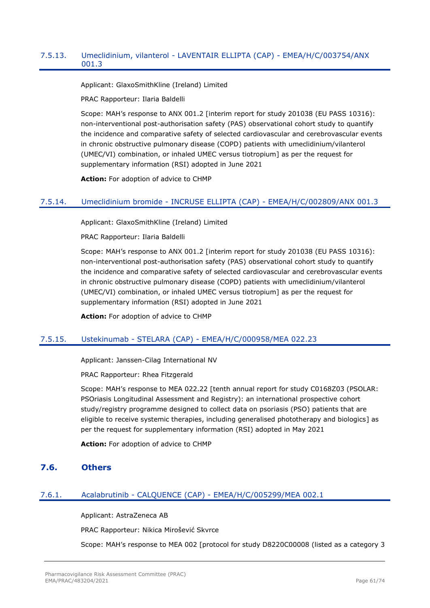### 7.5.13. Umeclidinium, vilanterol - LAVENTAIR ELLIPTA (CAP) - EMEA/H/C/003754/ANX 001.3

Applicant: GlaxoSmithKline (Ireland) Limited

PRAC Rapporteur: Ilaria Baldelli

Scope: MAH's response to ANX 001.2 [interim report for study 201038 (EU PASS 10316): non-interventional post-authorisation safety (PAS) observational cohort study to quantify the incidence and comparative safety of selected cardiovascular and cerebrovascular events in chronic obstructive pulmonary disease (COPD) patients with umeclidinium/vilanterol (UMEC/VI) combination, or inhaled UMEC versus tiotropium] as per the request for supplementary information (RSI) adopted in June 2021

**Action:** For adoption of advice to CHMP

#### 7.5.14. Umeclidinium bromide - INCRUSE ELLIPTA (CAP) - EMEA/H/C/002809/ANX 001.3

Applicant: GlaxoSmithKline (Ireland) Limited

PRAC Rapporteur: Ilaria Baldelli

Scope: MAH's response to ANX 001.2 [interim report for study 201038 (EU PASS 10316): non-interventional post-authorisation safety (PAS) observational cohort study to quantify the incidence and comparative safety of selected cardiovascular and cerebrovascular events in chronic obstructive pulmonary disease (COPD) patients with umeclidinium/vilanterol (UMEC/VI) combination, or inhaled UMEC versus tiotropium] as per the request for supplementary information (RSI) adopted in June 2021

**Action:** For adoption of advice to CHMP

#### 7.5.15. Ustekinumab - STELARA (CAP) - EMEA/H/C/000958/MEA 022.23

Applicant: Janssen-Cilag International NV

PRAC Rapporteur: Rhea Fitzgerald

Scope: MAH's response to MEA 022.22 [tenth annual report for study C0168Z03 (PSOLAR: PSOriasis Longitudinal Assessment and Registry): an international prospective cohort study/registry programme designed to collect data on psoriasis (PSO) patients that are eligible to receive systemic therapies, including generalised phototherapy and biologics] as per the request for supplementary information (RSI) adopted in May 2021

**Action:** For adoption of advice to CHMP

### **7.6. Others**

## 7.6.1. Acalabrutinib - CALQUENCE (CAP) - EMEA/H/C/005299/MEA 002.1

Applicant: AstraZeneca AB

PRAC Rapporteur: Nikica Mirošević Skvrce

Scope: MAH's response to MEA 002 [protocol for study D8220C00008 (listed as a category 3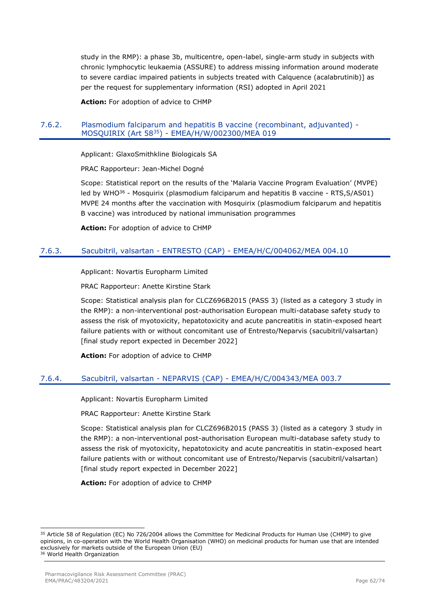study in the RMP): a phase 3b, multicentre, open-label, single-arm study in subjects with chronic lymphocytic leukaemia (ASSURE) to address missing information around moderate to severe cardiac impaired patients in subjects treated with Calquence (acalabrutinib)] as per the request for supplementary information (RSI) adopted in April 2021

**Action:** For adoption of advice to CHMP

#### 7.6.2. Plasmodium falciparum and hepatitis B vaccine (recombinant, adjuvanted) - MOSQUIRIX (Art 58<sup>35</sup>) - EMEA/H/W/002300/MEA 019

Applicant: GlaxoSmithkline Biologicals SA

PRAC Rapporteur: Jean-Michel Dogné

Scope: Statistical report on the results of the 'Malaria Vaccine Program Evaluation' (MVPE) led by WHO<sup>36</sup> - Mosquirix (plasmodium falciparum and hepatitis B vaccine - RTS, S/AS01) MVPE 24 months after the vaccination with Mosquirix (plasmodium falciparum and hepatitis B vaccine) was introduced by national immunisation programmes

**Action:** For adoption of advice to CHMP

### 7.6.3. Sacubitril, valsartan - ENTRESTO (CAP) - EMEA/H/C/004062/MEA 004.10

Applicant: Novartis Europharm Limited

PRAC Rapporteur: Anette Kirstine Stark

Scope: Statistical analysis plan for CLCZ696B2015 (PASS 3) (listed as a category 3 study in the RMP): a non-interventional post-authorisation European multi-database safety study to assess the risk of myotoxicity, hepatotoxicity and acute pancreatitis in statin-exposed heart failure patients with or without concomitant use of Entresto/Neparvis (sacubitril/valsartan) [final study report expected in December 2022]

**Action:** For adoption of advice to CHMP

#### 7.6.4. Sacubitril, valsartan - NEPARVIS (CAP) - EMEA/H/C/004343/MEA 003.7

Applicant: Novartis Europharm Limited

PRAC Rapporteur: Anette Kirstine Stark

Scope: Statistical analysis plan for CLCZ696B2015 (PASS 3) (listed as a category 3 study in the RMP): a non-interventional post-authorisation European multi-database safety study to assess the risk of myotoxicity, hepatotoxicity and acute pancreatitis in statin-exposed heart failure patients with or without concomitant use of Entresto/Neparvis (sacubitril/valsartan) [final study report expected in December 2022]

**Action:** For adoption of advice to CHMP

<sup>&</sup>lt;sup>35</sup> Article 58 of Regulation (EC) No 726/2004 allows the Committee for Medicinal Products for Human Use (CHMP) to give opinions, in co-operation with the World Health Organisation (WHO) on medicinal products for human use that are intended exclusively for markets outside of the European Union (EU) <sup>36</sup> World Health Organization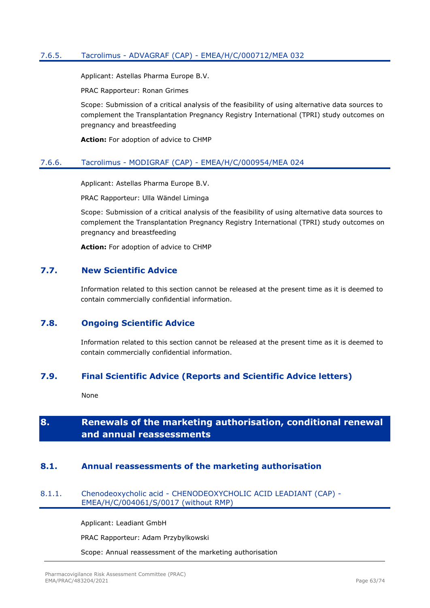### 7.6.5. Tacrolimus - ADVAGRAF (CAP) - EMEA/H/C/000712/MEA 032

Applicant: Astellas Pharma Europe B.V.

PRAC Rapporteur: Ronan Grimes

Scope: Submission of a critical analysis of the feasibility of using alternative data sources to complement the Transplantation Pregnancy Registry International (TPRI) study outcomes on pregnancy and breastfeeding

**Action:** For adoption of advice to CHMP

#### 7.6.6. Tacrolimus - MODIGRAF (CAP) - EMEA/H/C/000954/MEA 024

Applicant: Astellas Pharma Europe B.V.

PRAC Rapporteur: Ulla Wändel Liminga

Scope: Submission of a critical analysis of the feasibility of using alternative data sources to complement the Transplantation Pregnancy Registry International (TPRI) study outcomes on pregnancy and breastfeeding

**Action:** For adoption of advice to CHMP

### **7.7. New Scientific Advice**

Information related to this section cannot be released at the present time as it is deemed to contain commercially confidential information.

## **7.8. Ongoing Scientific Advice**

Information related to this section cannot be released at the present time as it is deemed to contain commercially confidential information.

## **7.9. Final Scientific Advice (Reports and Scientific Advice letters)**

None

# **8. Renewals of the marketing authorisation, conditional renewal and annual reassessments**

#### **8.1. Annual reassessments of the marketing authorisation**

#### 8.1.1. Chenodeoxycholic acid - CHENODEOXYCHOLIC ACID LEADIANT (CAP) - EMEA/H/C/004061/S/0017 (without RMP)

Applicant: Leadiant GmbH

PRAC Rapporteur: Adam Przybylkowski

Scope: Annual reassessment of the marketing authorisation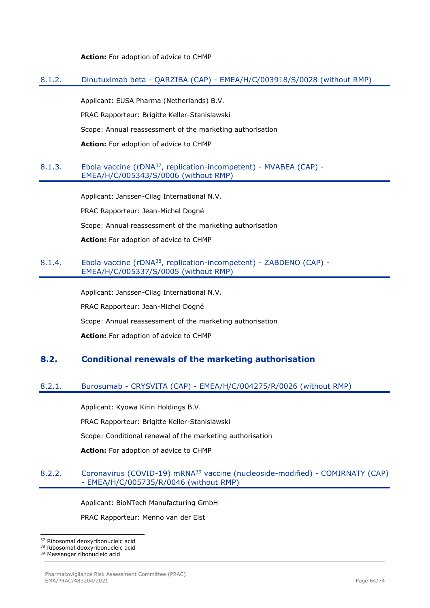**Action:** For adoption of advice to CHMP

### 8.1.2. Dinutuximab beta - QARZIBA (CAP) - EMEA/H/C/003918/S/0028 (without RMP)

Applicant: EUSA Pharma (Netherlands) B.V.

PRAC Rapporteur: Brigitte Keller-Stanislawski

Scope: Annual reassessment of the marketing authorisation

**Action:** For adoption of advice to CHMP

#### 8.1.3. Ebola vaccine (rDNA<sup>37</sup>, replication-incompetent) - MVABEA (CAP) -EMEA/H/C/005343/S/0006 (without RMP)

Applicant: Janssen-Cilag International N.V.

PRAC Rapporteur: Jean-Michel Dogné

Scope: Annual reassessment of the marketing authorisation

**Action:** For adoption of advice to CHMP

#### 8.1.4. Ebola vaccine (rDNA<sup>38</sup>, replication-incompetent) - ZABDENO (CAP) -EMEA/H/C/005337/S/0005 (without RMP)

Applicant: Janssen-Cilag International N.V.

PRAC Rapporteur: Jean-Michel Dogné

Scope: Annual reassessment of the marketing authorisation

**Action:** For adoption of advice to CHMP

## **8.2. Conditional renewals of the marketing authorisation**

## 8.2.1. Burosumab - CRYSVITA (CAP) - EMEA/H/C/004275/R/0026 (without RMP)

Applicant: Kyowa Kirin Holdings B.V.

PRAC Rapporteur: Brigitte Keller-Stanislawski

Scope: Conditional renewal of the marketing authorisation

**Action:** For adoption of advice to CHMP

#### 8.2.2. Coronavirus (COVID-19) mRNA<sup>39</sup> vaccine (nucleoside-modified) - COMIRNATY (CAP) - EMEA/H/C/005735/R/0046 (without RMP)

Applicant: BioNTech Manufacturing GmbH

PRAC Rapporteur: Menno van der Elst

<sup>37</sup> Ribosomal deoxyribonucleic acid

<sup>38</sup> Ribosomal deoxyribonucleic acid

<sup>39</sup> Messenger ribonucleic acid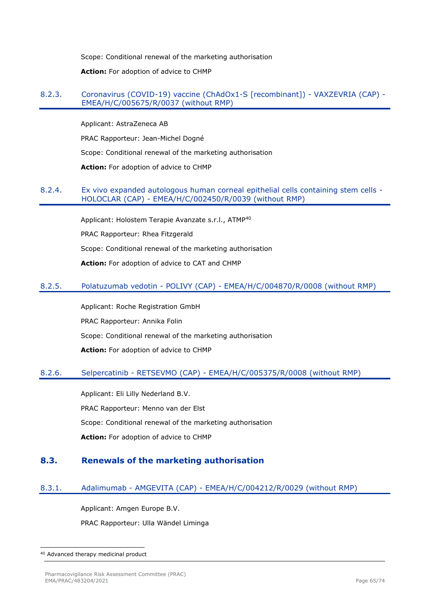Scope: Conditional renewal of the marketing authorisation

**Action:** For adoption of advice to CHMP

#### 8.2.3. Coronavirus (COVID-19) vaccine (ChAdOx1-S [recombinant]) - VAXZEVRIA (CAP) - EMEA/H/C/005675/R/0037 (without RMP)

Applicant: AstraZeneca AB PRAC Rapporteur: Jean-Michel Dogné Scope: Conditional renewal of the marketing authorisation **Action:** For adoption of advice to CHMP

#### 8.2.4. Ex vivo expanded autologous human corneal epithelial cells containing stem cells - HOLOCLAR (CAP) - EMEA/H/C/002450/R/0039 (without RMP)

Applicant: Holostem Terapie Avanzate s.r.l., ATMP<sup>40</sup> PRAC Rapporteur: Rhea Fitzgerald Scope: Conditional renewal of the marketing authorisation **Action:** For adoption of advice to CAT and CHMP

### 8.2.5. Polatuzumab vedotin - POLIVY (CAP) - EMEA/H/C/004870/R/0008 (without RMP)

Applicant: Roche Registration GmbH PRAC Rapporteur: Annika Folin Scope: Conditional renewal of the marketing authorisation **Action:** For adoption of advice to CHMP

#### 8.2.6. Selpercatinib - RETSEVMO (CAP) - EMEA/H/C/005375/R/0008 (without RMP)

Applicant: Eli Lilly Nederland B.V. PRAC Rapporteur: Menno van der Elst Scope: Conditional renewal of the marketing authorisation **Action:** For adoption of advice to CHMP

#### **8.3. Renewals of the marketing authorisation**

#### 8.3.1. Adalimumab - AMGEVITA (CAP) - EMEA/H/C/004212/R/0029 (without RMP)

Applicant: Amgen Europe B.V. PRAC Rapporteur: Ulla Wändel Liminga

<sup>40</sup> Advanced therapy medicinal product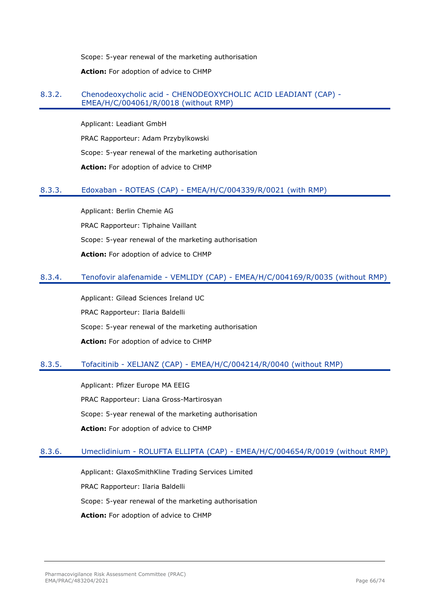Scope: 5-year renewal of the marketing authorisation **Action:** For adoption of advice to CHMP

## 8.3.2. Chenodeoxycholic acid - CHENODEOXYCHOLIC ACID LEADIANT (CAP) - EMEA/H/C/004061/R/0018 (without RMP)

Applicant: Leadiant GmbH PRAC Rapporteur: Adam Przybylkowski Scope: 5-year renewal of the marketing authorisation **Action:** For adoption of advice to CHMP

## 8.3.3. Edoxaban - ROTEAS (CAP) - EMEA/H/C/004339/R/0021 (with RMP)

Applicant: Berlin Chemie AG PRAC Rapporteur: Tiphaine Vaillant Scope: 5-year renewal of the marketing authorisation **Action:** For adoption of advice to CHMP

#### 8.3.4. Tenofovir alafenamide - VEMLIDY (CAP) - EMEA/H/C/004169/R/0035 (without RMP)

Applicant: Gilead Sciences Ireland UC PRAC Rapporteur: Ilaria Baldelli Scope: 5-year renewal of the marketing authorisation **Action:** For adoption of advice to CHMP

## 8.3.5. Tofacitinib - XELJANZ (CAP) - EMEA/H/C/004214/R/0040 (without RMP)

Applicant: Pfizer Europe MA EEIG PRAC Rapporteur: Liana Gross-Martirosyan Scope: 5-year renewal of the marketing authorisation **Action:** For adoption of advice to CHMP

## 8.3.6. Umeclidinium - ROLUFTA ELLIPTA (CAP) - EMEA/H/C/004654/R/0019 (without RMP)

Applicant: GlaxoSmithKline Trading Services Limited PRAC Rapporteur: Ilaria Baldelli Scope: 5-year renewal of the marketing authorisation **Action:** For adoption of advice to CHMP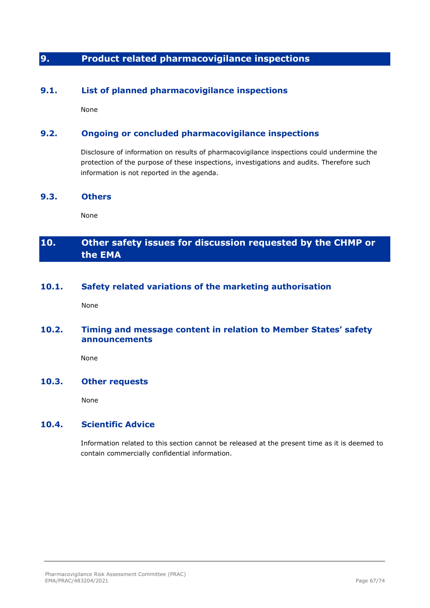# **9. Product related pharmacovigilance inspections**

## **9.1. List of planned pharmacovigilance inspections**

None

## **9.2. Ongoing or concluded pharmacovigilance inspections**

Disclosure of information on results of pharmacovigilance inspections could undermine the protection of the purpose of these inspections, investigations and audits. Therefore such information is not reported in the agenda.

### **9.3. Others**

None

# **10. Other safety issues for discussion requested by the CHMP or the EMA**

## **10.1. Safety related variations of the marketing authorisation**

None

## **10.2. Timing and message content in relation to Member States' safety announcements**

None

### **10.3. Other requests**

None

## **10.4. Scientific Advice**

Information related to this section cannot be released at the present time as it is deemed to contain commercially confidential information.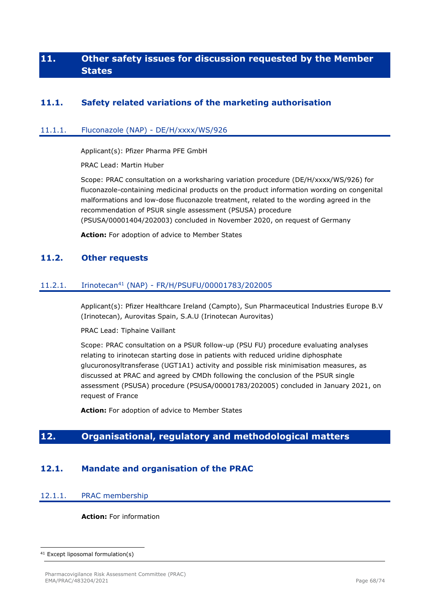# **11. Other safety issues for discussion requested by the Member States**

## **11.1. Safety related variations of the marketing authorisation**

### 11.1.1. Fluconazole (NAP) - DE/H/xxxx/WS/926

Applicant(s): Pfizer Pharma PFE GmbH

PRAC Lead: Martin Huber

Scope: PRAC consultation on a worksharing variation procedure (DE/H/xxxx/WS/926) for fluconazole-containing medicinal products on the product information wording on congenital malformations and low-dose fluconazole treatment, related to the wording agreed in the recommendation of PSUR single assessment (PSUSA) procedure (PSUSA/00001404/202003) concluded in November 2020, on request of Germany

**Action:** For adoption of advice to Member States

### **11.2. Other requests**

#### 11.2.1. Irinotecan<sup>41</sup> (NAP) - FR/H/PSUFU/00001783/202005

Applicant(s): Pfizer Healthcare Ireland (Campto), Sun Pharmaceutical Industries Europe B.V (Irinotecan), Aurovitas Spain, S.A.U (Irinotecan Aurovitas)

PRAC Lead: Tiphaine Vaillant

Scope: PRAC consultation on a PSUR follow-up (PSU FU) procedure evaluating analyses relating to irinotecan starting dose in patients with reduced uridine diphosphate glucuronosyltransferase (UGT1A1) activity and possible risk minimisation measures, as discussed at PRAC and agreed by CMDh following the conclusion of the PSUR single assessment (PSUSA) procedure (PSUSA/00001783/202005) concluded in January 2021, on request of France

**Action:** For adoption of advice to Member States

## **12. Organisational, regulatory and methodological matters**

## **12.1. Mandate and organisation of the PRAC**

#### 12.1.1. PRAC membership

**Action:** For information

<sup>41</sup> Except liposomal formulation(s)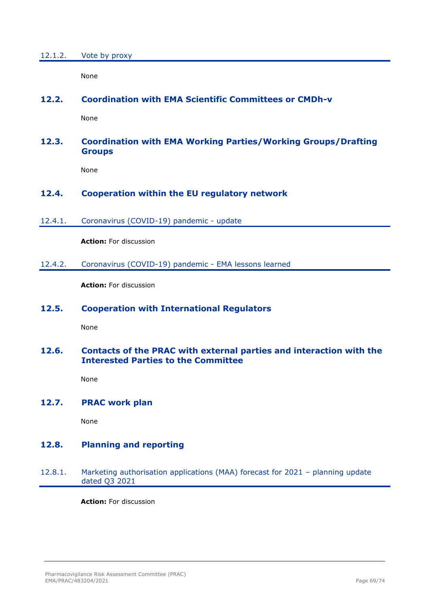None

## **12.2. Coordination with EMA Scientific Committees or CMDh-v**

None

## **12.3. Coordination with EMA Working Parties/Working Groups/Drafting Groups**

None

## **12.4. Cooperation within the EU regulatory network**

12.4.1. Coronavirus (COVID-19) pandemic - update

**Action:** For discussion

12.4.2. Coronavirus (COVID-19) pandemic - EMA lessons learned

**Action:** For discussion

## **12.5. Cooperation with International Regulators**

None

### **12.6. Contacts of the PRAC with external parties and interaction with the Interested Parties to the Committee**

None

## **12.7. PRAC work plan**

None

## **12.8. Planning and reporting**

## 12.8.1. Marketing authorisation applications (MAA) forecast for 2021 – planning update dated Q3 2021

**Action:** For discussion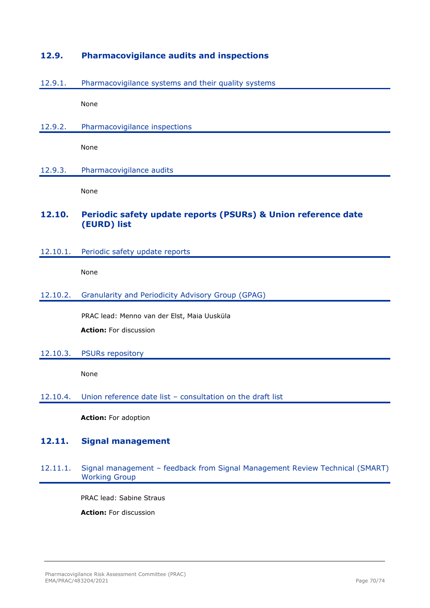## **12.9. Pharmacovigilance audits and inspections**

#### 12.9.1. Pharmacovigilance systems and their quality systems

None

12.9.2. Pharmacovigilance inspections

None

12.9.3. Pharmacovigilance audits

None

## **12.10. Periodic safety update reports (PSURs) & Union reference date (EURD) list**

12.10.1. Periodic safety update reports

None

#### 12.10.2. Granularity and Periodicity Advisory Group (GPAG)

PRAC lead: Menno van der Elst, Maia Uusküla **Action:** For discussion

#### 12.10.3. PSURs repository

None

#### 12.10.4. Union reference date list – consultation on the draft list

**Action:** For adoption

## **12.11. Signal management**

#### 12.11.1. Signal management – feedback from Signal Management Review Technical (SMART) Working Group

PRAC lead: Sabine Straus

**Action:** For discussion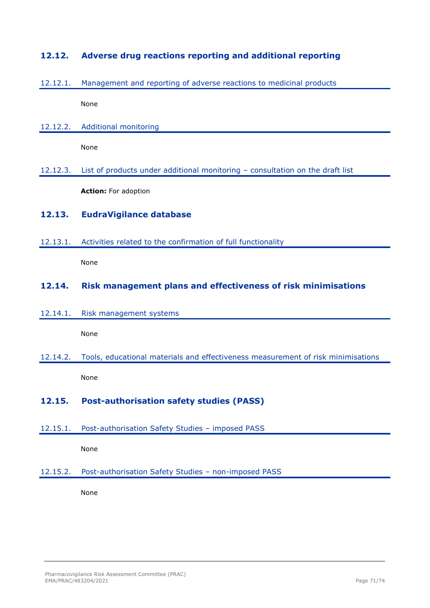## **12.12. Adverse drug reactions reporting and additional reporting**

## 12.12.1. Management and reporting of adverse reactions to medicinal products

None

12.12.2. Additional monitoring

None

12.12.3. List of products under additional monitoring – consultation on the draft list

**Action:** For adoption

## **12.13. EudraVigilance database**

12.13.1. Activities related to the confirmation of full functionality

None

## **12.14. Risk management plans and effectiveness of risk minimisations**

12.14.1. Risk management systems

None

12.14.2. Tools, educational materials and effectiveness measurement of risk minimisations None

# **12.15. Post-authorisation safety studies (PASS)**

12.15.1. Post-authorisation Safety Studies – imposed PASS

None

12.15.2. Post-authorisation Safety Studies – non-imposed PASS

None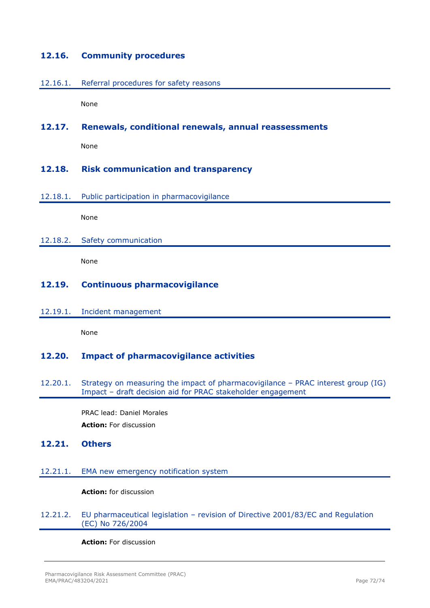## **12.16. Community procedures**

#### 12.16.1. Referral procedures for safety reasons

None

### **12.17. Renewals, conditional renewals, annual reassessments**

None

### **12.18. Risk communication and transparency**

#### 12.18.1. Public participation in pharmacovigilance

None

#### 12.18.2. Safety communication

None

## **12.19. Continuous pharmacovigilance**

#### 12.19.1. Incident management

None

## **12.20. Impact of pharmacovigilance activities**

12.20.1. Strategy on measuring the impact of pharmacovigilance – PRAC interest group (IG) Impact – draft decision aid for PRAC stakeholder engagement

> PRAC lead: Daniel Morales **Action:** For discussion

### **12.21. Others**

#### 12.21.1. EMA new emergency notification system

#### **Action:** for discussion

#### 12.21.2. EU pharmaceutical legislation – revision of Directive 2001/83/EC and Regulation (EC) No 726/2004

**Action:** For discussion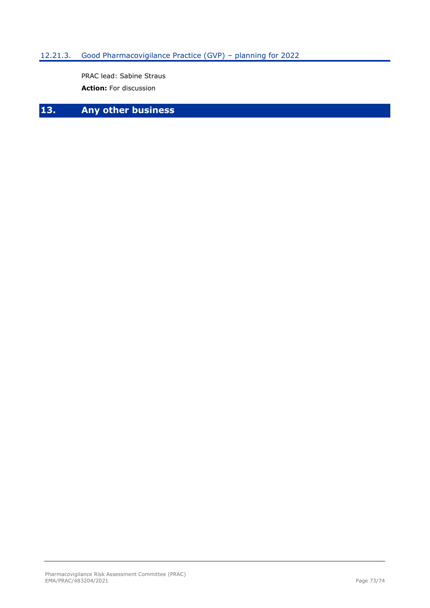# 12.21.3. Good Pharmacovigilance Practice (GVP) – planning for 2022

PRAC lead: Sabine Straus **Action:** For discussion

# **13. Any other business**